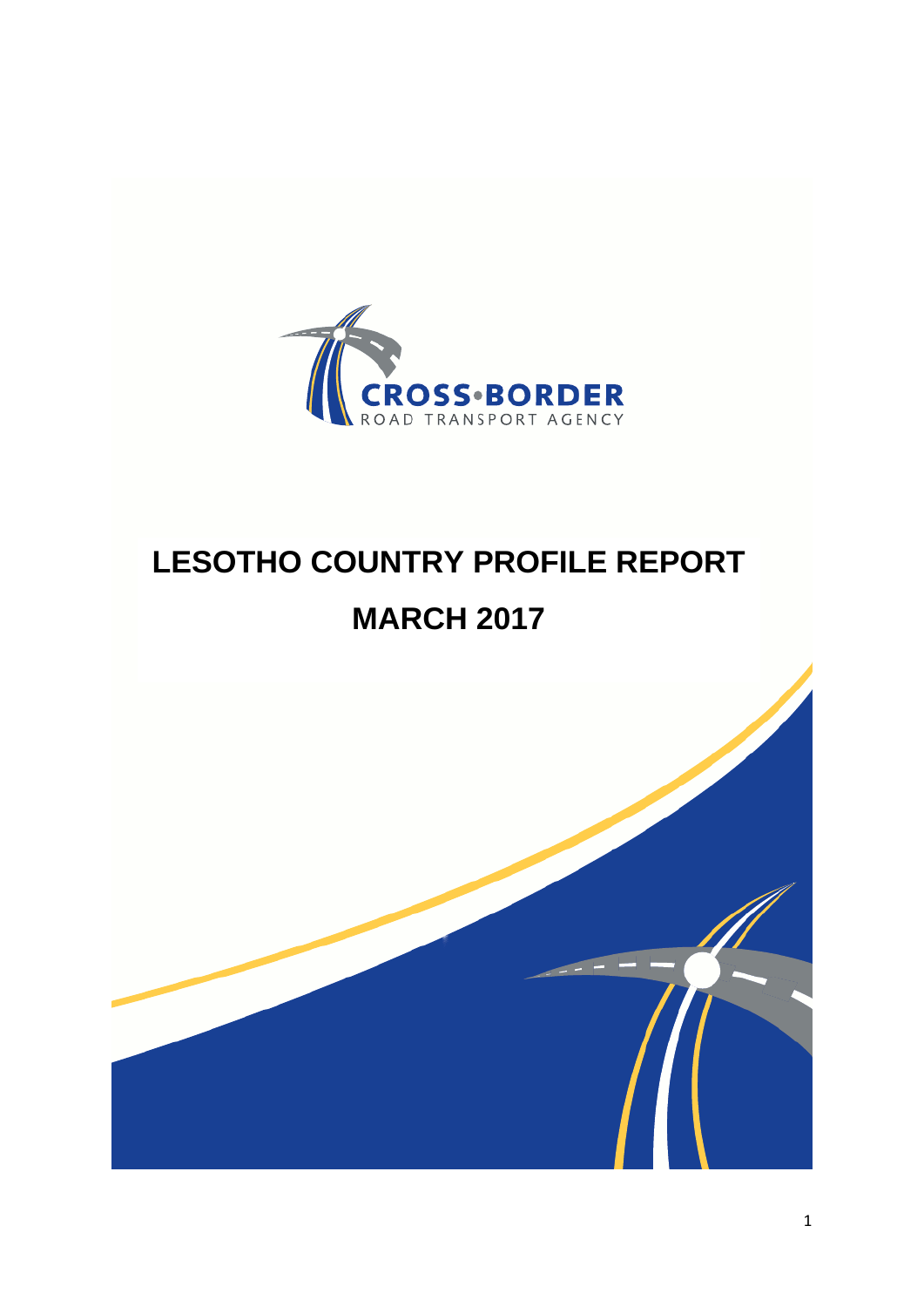

# **LESOTHO COUNTRY PROFILE REPORT MARCH 2017**

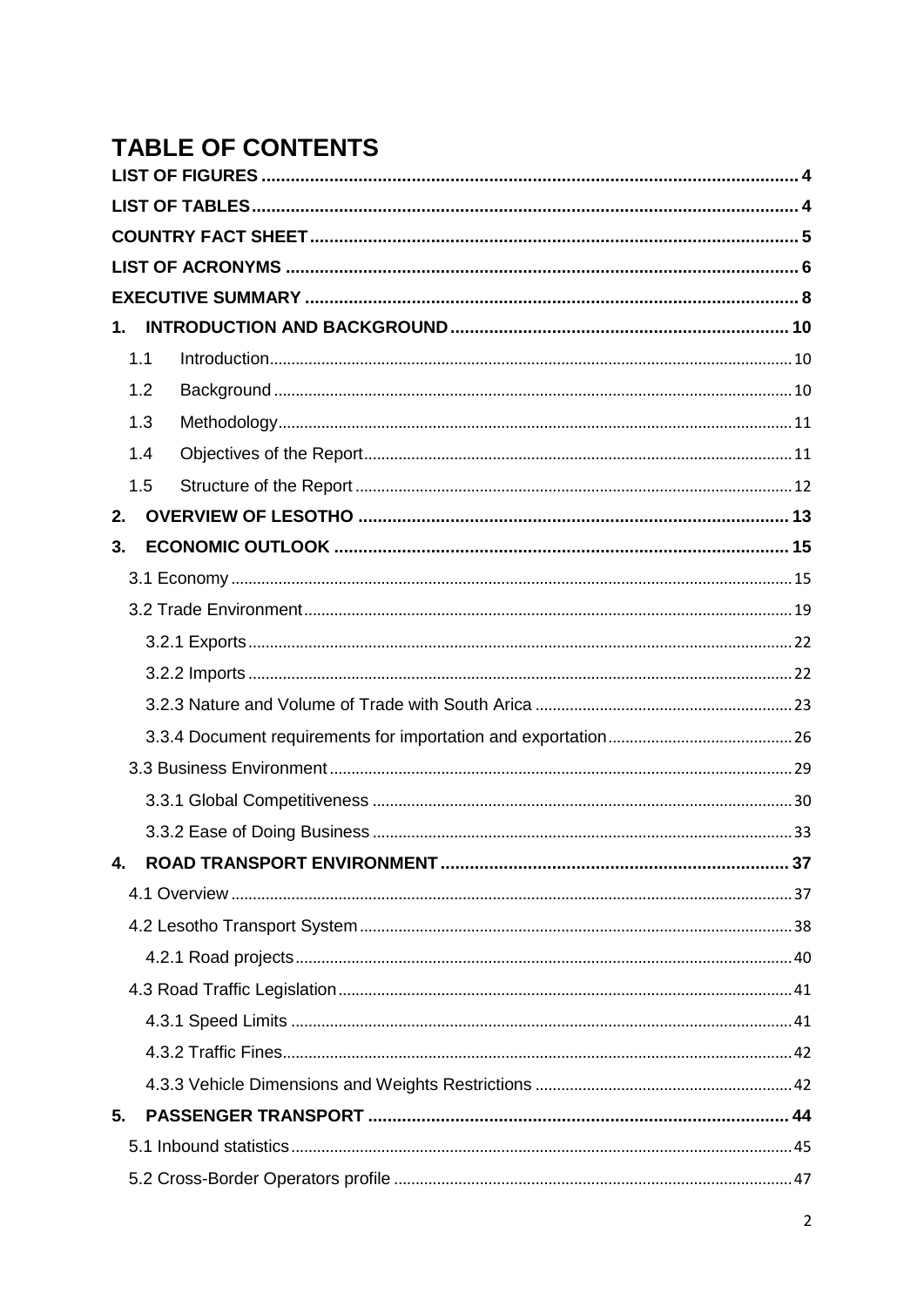## **TABLE OF CONTENTS**

| 1.  |  |
|-----|--|
| 1.1 |  |
| 1.2 |  |
| 1.3 |  |
| 1.4 |  |
| 1.5 |  |
| 2.  |  |
| 3.  |  |
|     |  |
|     |  |
|     |  |
|     |  |
|     |  |
|     |  |
|     |  |
|     |  |
|     |  |
| 4.  |  |
|     |  |
|     |  |
|     |  |
|     |  |
|     |  |
|     |  |
|     |  |
| 5.  |  |
|     |  |
|     |  |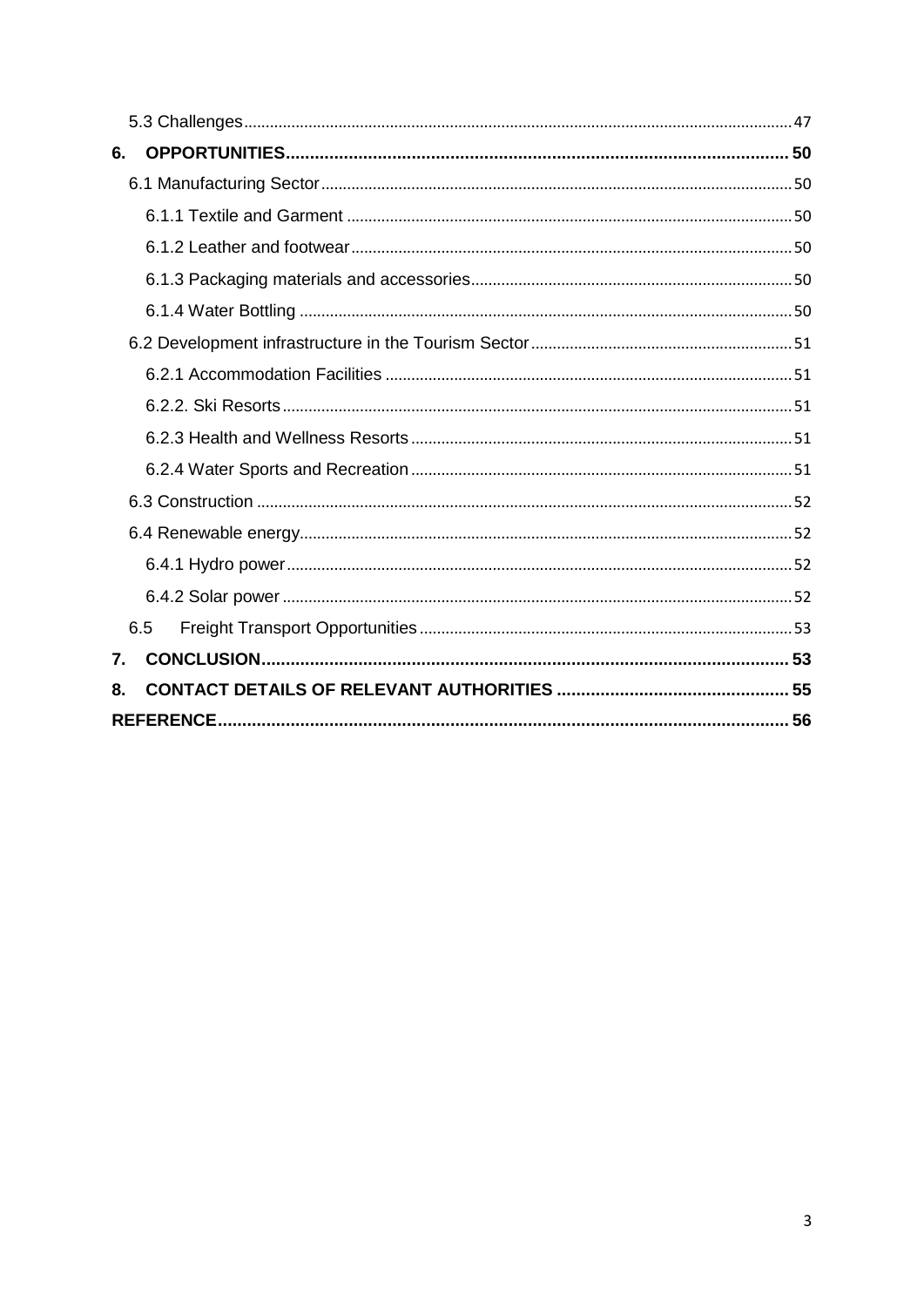| 6. |     |  |
|----|-----|--|
|    |     |  |
|    |     |  |
|    |     |  |
|    |     |  |
|    |     |  |
|    |     |  |
|    |     |  |
|    |     |  |
|    |     |  |
|    |     |  |
|    |     |  |
|    |     |  |
|    |     |  |
|    |     |  |
|    | 6.5 |  |
| 7. |     |  |
| 8. |     |  |
|    |     |  |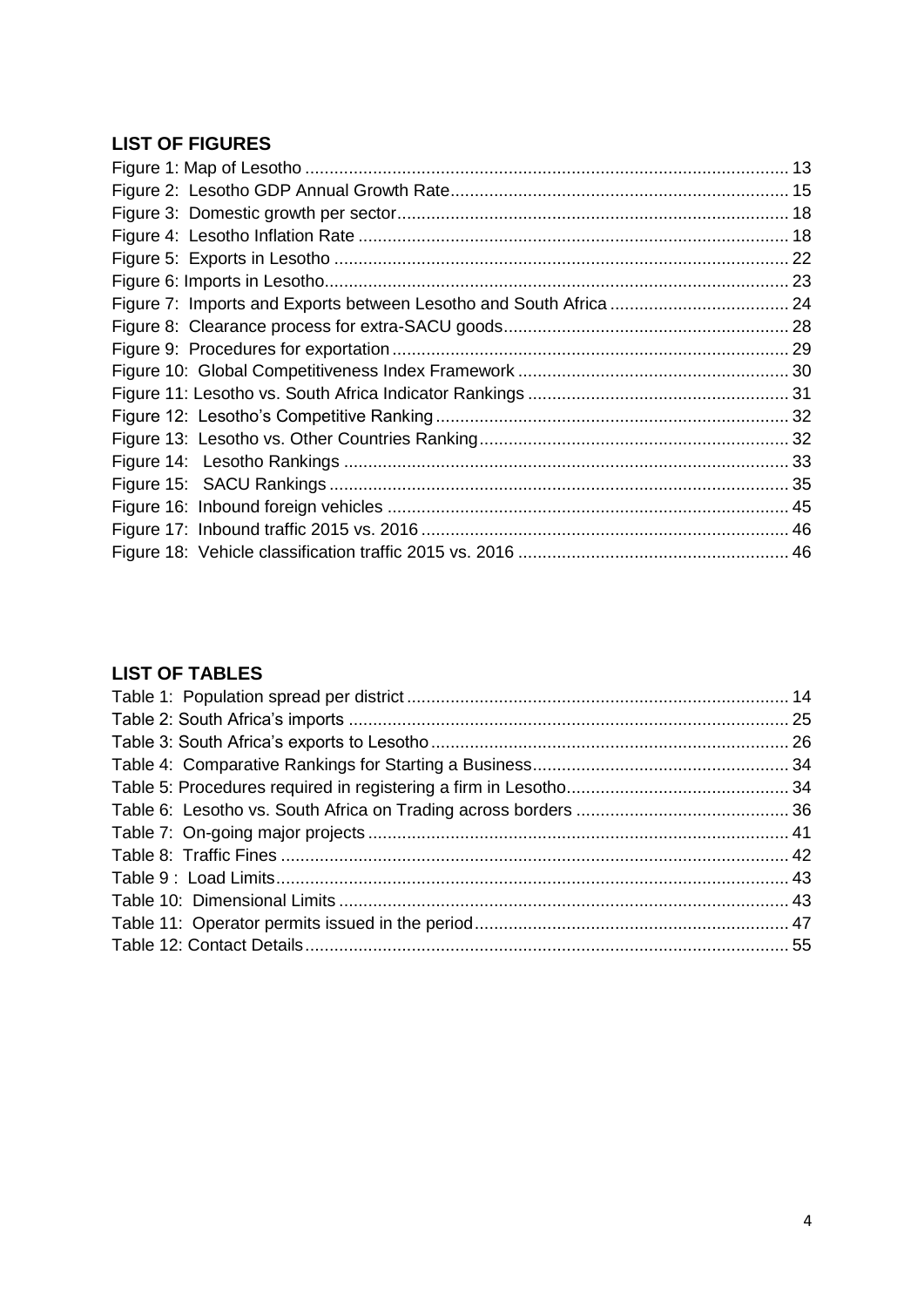### <span id="page-3-0"></span>**LIST OF FIGURES**

### <span id="page-3-1"></span>**LIST OF TABLES**

<span id="page-3-2"></span>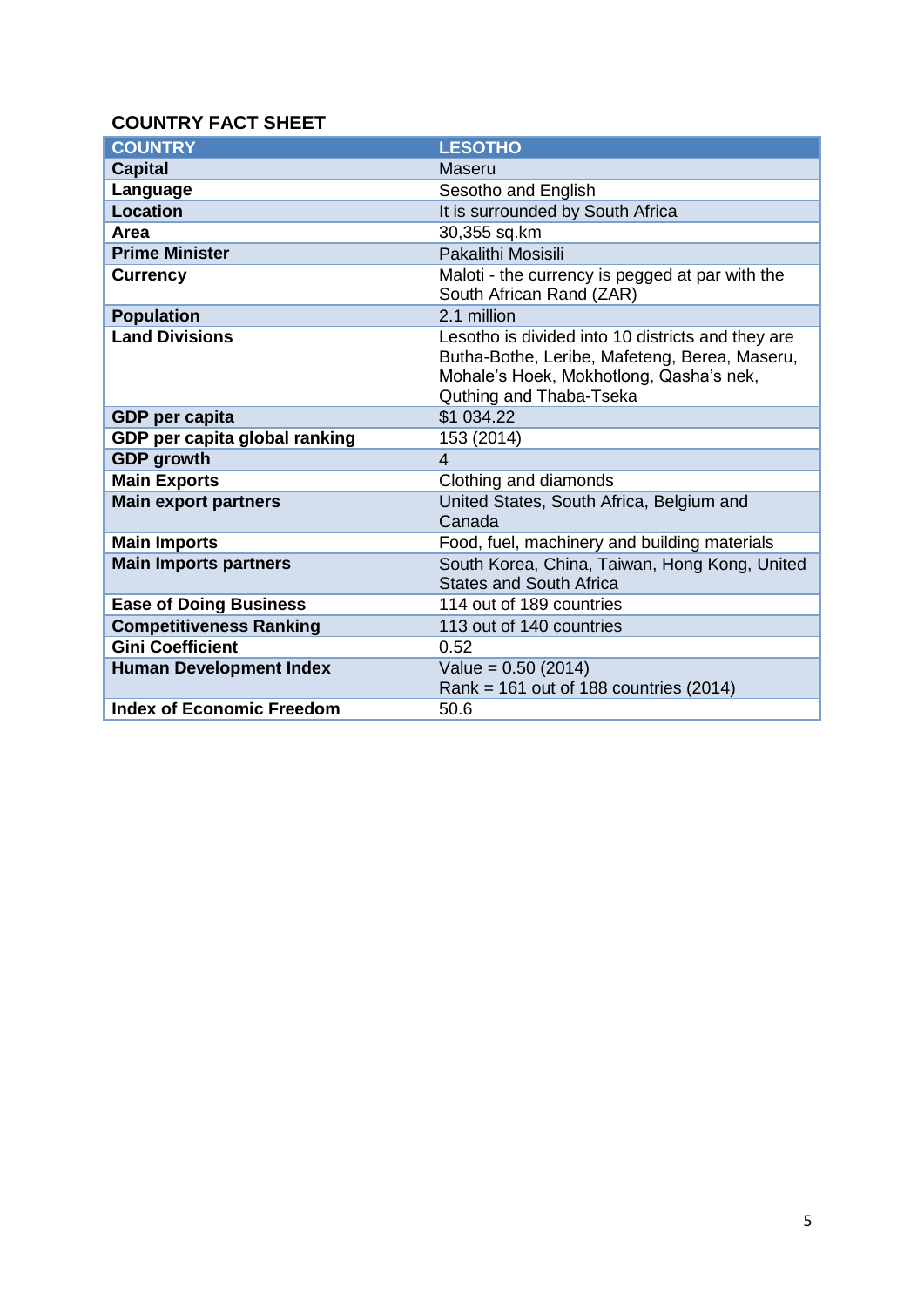### **COUNTRY FACT SHEET**

| <b>COUNTRY</b>                   | <b>LESOTHO</b>                                                                                                                                                           |
|----------------------------------|--------------------------------------------------------------------------------------------------------------------------------------------------------------------------|
| <b>Capital</b>                   | Maseru                                                                                                                                                                   |
| Language                         | Sesotho and English                                                                                                                                                      |
| <b>Location</b>                  | It is surrounded by South Africa                                                                                                                                         |
| Area                             | 30,355 sq.km                                                                                                                                                             |
| <b>Prime Minister</b>            | Pakalithi Mosisili                                                                                                                                                       |
| <b>Currency</b>                  | Maloti - the currency is pegged at par with the<br>South African Rand (ZAR)                                                                                              |
| <b>Population</b>                | 2.1 million                                                                                                                                                              |
| <b>Land Divisions</b>            | Lesotho is divided into 10 districts and they are<br>Butha-Bothe, Leribe, Mafeteng, Berea, Maseru,<br>Mohale's Hoek, Mokhotlong, Qasha's nek,<br>Quthing and Thaba-Tseka |
| <b>GDP</b> per capita            | \$1 034.22                                                                                                                                                               |
| GDP per capita global ranking    | 153 (2014)                                                                                                                                                               |
| <b>GDP</b> growth                | $\overline{4}$                                                                                                                                                           |
| <b>Main Exports</b>              | Clothing and diamonds                                                                                                                                                    |
| <b>Main export partners</b>      | United States, South Africa, Belgium and<br>Canada                                                                                                                       |
| <b>Main Imports</b>              | Food, fuel, machinery and building materials                                                                                                                             |
| <b>Main Imports partners</b>     | South Korea, China, Taiwan, Hong Kong, United<br><b>States and South Africa</b>                                                                                          |
| <b>Ease of Doing Business</b>    | 114 out of 189 countries                                                                                                                                                 |
| <b>Competitiveness Ranking</b>   | 113 out of 140 countries                                                                                                                                                 |
| <b>Gini Coefficient</b>          | 0.52                                                                                                                                                                     |
| <b>Human Development Index</b>   | Value = $0.50$ (2014)<br>Rank = $161$ out of 188 countries (2014)                                                                                                        |
| <b>Index of Economic Freedom</b> | 50.6                                                                                                                                                                     |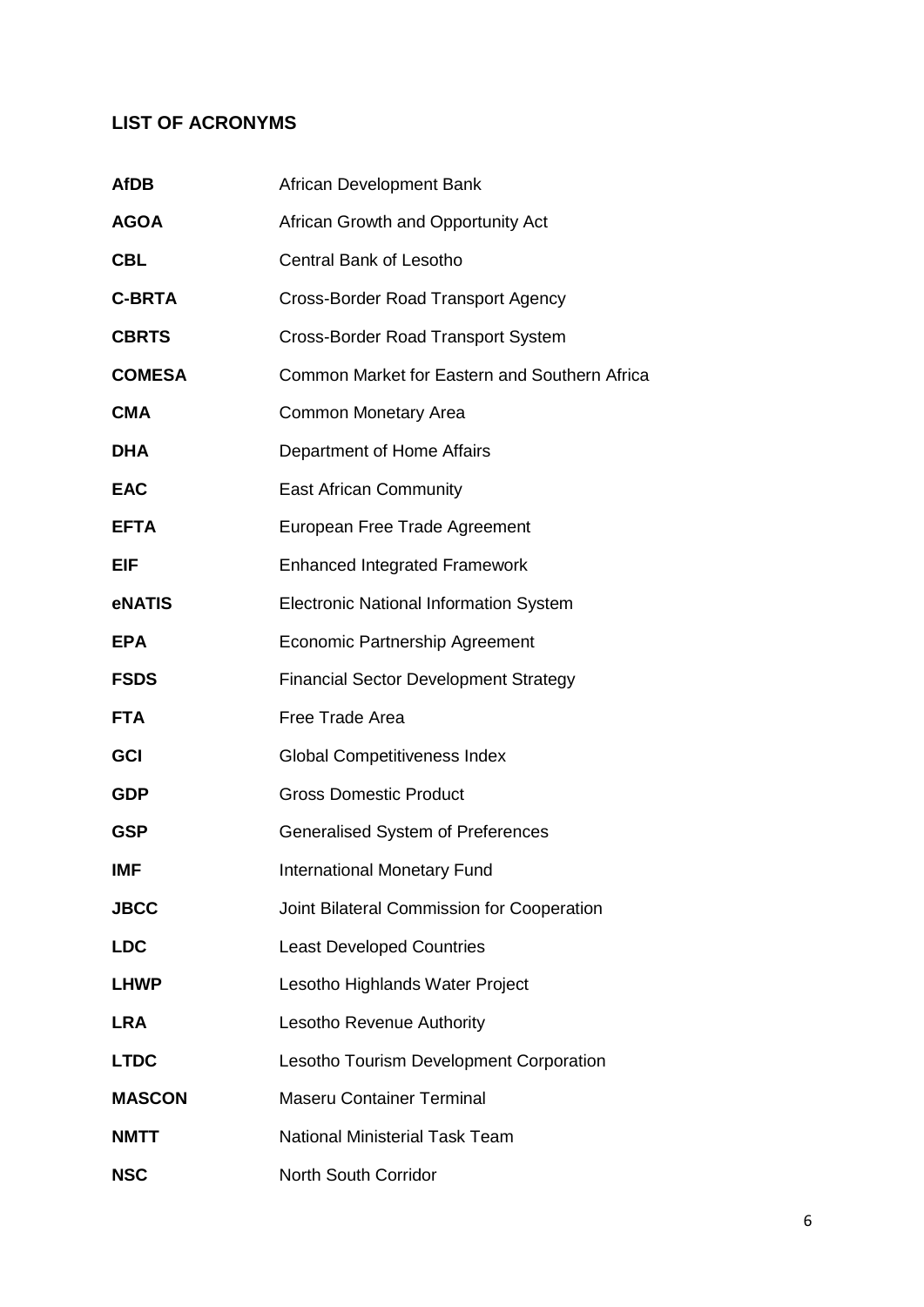### <span id="page-5-0"></span>**LIST OF ACRONYMS**

| <b>AfDB</b>   | African Development Bank                      |
|---------------|-----------------------------------------------|
| <b>AGOA</b>   | African Growth and Opportunity Act            |
| <b>CBL</b>    | Central Bank of Lesotho                       |
| <b>C-BRTA</b> | <b>Cross-Border Road Transport Agency</b>     |
| <b>CBRTS</b>  | <b>Cross-Border Road Transport System</b>     |
| <b>COMESA</b> | Common Market for Eastern and Southern Africa |
| <b>CMA</b>    | <b>Common Monetary Area</b>                   |
| <b>DHA</b>    | Department of Home Affairs                    |
| <b>EAC</b>    | <b>East African Community</b>                 |
| <b>EFTA</b>   | European Free Trade Agreement                 |
| EIF           | <b>Enhanced Integrated Framework</b>          |
| <b>eNATIS</b> | <b>Electronic National Information System</b> |
| <b>EPA</b>    | <b>Economic Partnership Agreement</b>         |
| <b>FSDS</b>   | <b>Financial Sector Development Strategy</b>  |
| <b>FTA</b>    | Free Trade Area                               |
| GCI           | <b>Global Competitiveness Index</b>           |
| <b>GDP</b>    | <b>Gross Domestic Product</b>                 |
| <b>GSP</b>    | <b>Generalised System of Preferences</b>      |
| <b>IMF</b>    | <b>International Monetary Fund</b>            |
| <b>JBCC</b>   | Joint Bilateral Commission for Cooperation    |
| <b>LDC</b>    | <b>Least Developed Countries</b>              |
| <b>LHWP</b>   | Lesotho Highlands Water Project               |
| <b>LRA</b>    | Lesotho Revenue Authority                     |
| <b>LTDC</b>   | Lesotho Tourism Development Corporation       |
| <b>MASCON</b> | <b>Maseru Container Terminal</b>              |
| <b>NMTT</b>   | <b>National Ministerial Task Team</b>         |
| <b>NSC</b>    | North South Corridor                          |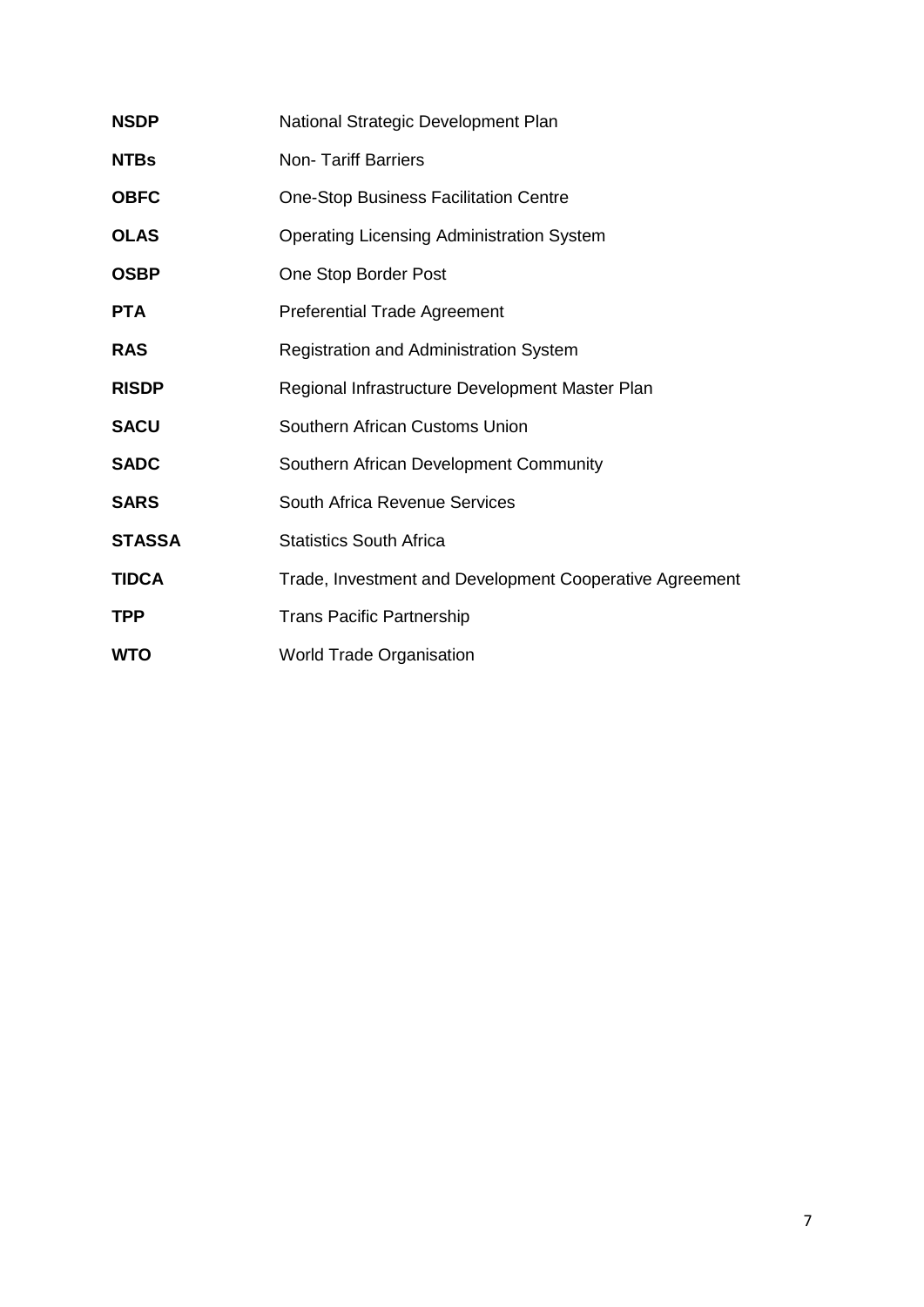| <b>NSDP</b>   | National Strategic Development Plan                     |
|---------------|---------------------------------------------------------|
| <b>NTBs</b>   | <b>Non-Tariff Barriers</b>                              |
| <b>OBFC</b>   | <b>One-Stop Business Facilitation Centre</b>            |
| <b>OLAS</b>   | <b>Operating Licensing Administration System</b>        |
| <b>OSBP</b>   | One Stop Border Post                                    |
| <b>PTA</b>    | <b>Preferential Trade Agreement</b>                     |
| <b>RAS</b>    | <b>Registration and Administration System</b>           |
| <b>RISDP</b>  | Regional Infrastructure Development Master Plan         |
| <b>SACU</b>   | Southern African Customs Union                          |
| <b>SADC</b>   | Southern African Development Community                  |
| <b>SARS</b>   | South Africa Revenue Services                           |
| <b>STASSA</b> | <b>Statistics South Africa</b>                          |
| <b>TIDCA</b>  | Trade, Investment and Development Cooperative Agreement |
| TPP           | <b>Trans Pacific Partnership</b>                        |
| <b>WTO</b>    | <b>World Trade Organisation</b>                         |
|               |                                                         |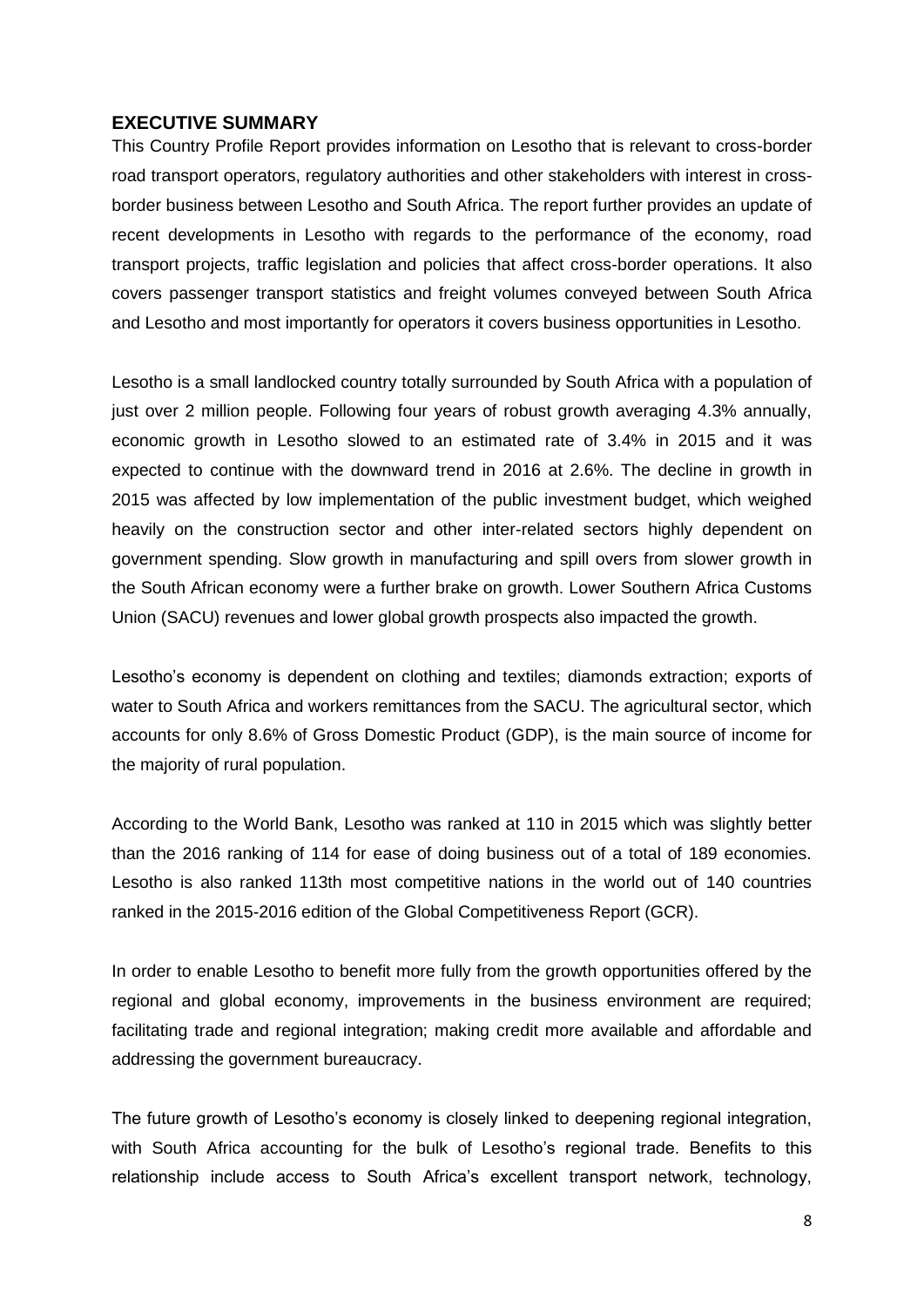#### <span id="page-7-0"></span>**EXECUTIVE SUMMARY**

This Country Profile Report provides information on Lesotho that is relevant to cross-border road transport operators, regulatory authorities and other stakeholders with interest in crossborder business between Lesotho and South Africa. The report further provides an update of recent developments in Lesotho with regards to the performance of the economy, road transport projects, traffic legislation and policies that affect cross-border operations. It also covers passenger transport statistics and freight volumes conveyed between South Africa and Lesotho and most importantly for operators it covers business opportunities in Lesotho.

Lesotho is a small landlocked country totally surrounded by South Africa with a population of just over 2 million people. Following four years of robust growth averaging 4.3% annually, economic growth in Lesotho slowed to an estimated rate of 3.4% in 2015 and it was expected to continue with the downward trend in 2016 at 2.6%. The decline in growth in 2015 was affected by low implementation of the public investment budget, which weighed heavily on the construction sector and other inter-related sectors highly dependent on government spending. Slow growth in manufacturing and spill overs from slower growth in the South African economy were a further brake on growth. Lower Southern Africa Customs Union (SACU) revenues and lower global growth prospects also impacted the growth.

Lesotho's economy is dependent on clothing and textiles; diamonds extraction; exports of water to South Africa and workers remittances from the SACU. The agricultural sector, which accounts for only 8.6% of Gross Domestic Product (GDP), is the main source of income for the majority of rural population.

According to the World Bank, Lesotho was ranked at 110 in 2015 which was slightly better than the 2016 ranking of 114 for ease of doing business out of a total of 189 economies. Lesotho is also ranked 113th most competitive nations in the world out of 140 countries ranked in the 2015-2016 edition of the Global Competitiveness Report (GCR).

In order to enable Lesotho to benefit more fully from the growth opportunities offered by the regional and global economy, improvements in the business environment are required; facilitating trade and regional integration; making credit more available and affordable and addressing the government bureaucracy.

The future growth of Lesotho's economy is closely linked to deepening regional integration, with South Africa accounting for the bulk of Lesotho's regional trade. Benefits to this relationship include access to South Africa's excellent transport network, technology,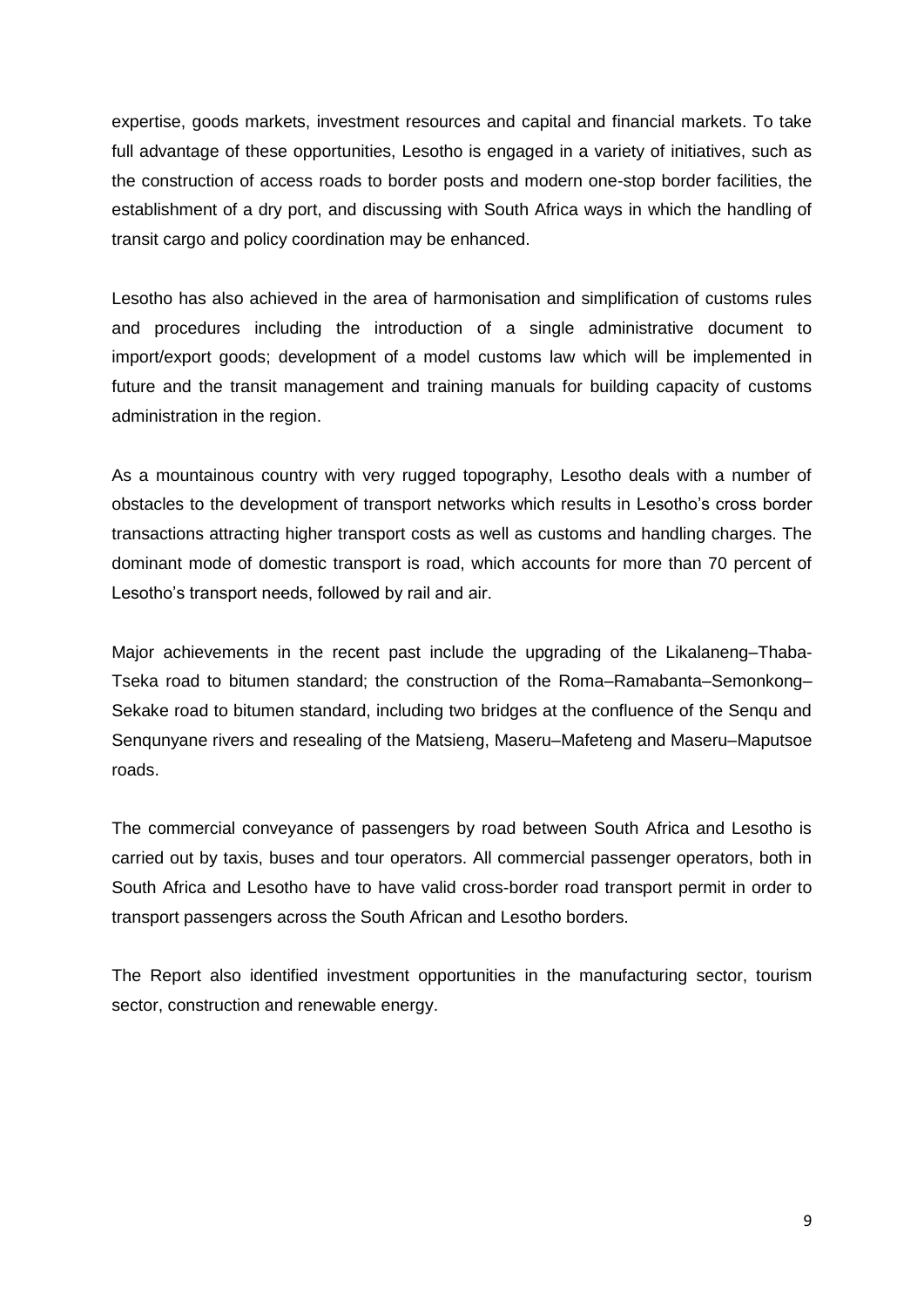expertise, goods markets, investment resources and capital and financial markets. To take full advantage of these opportunities, Lesotho is engaged in a variety of initiatives, such as the construction of access roads to border posts and modern one-stop border facilities, the establishment of a dry port, and discussing with South Africa ways in which the handling of transit cargo and policy coordination may be enhanced.

Lesotho has also achieved in the area of harmonisation and simplification of customs rules and procedures including the introduction of a single administrative document to import/export goods; development of a model customs law which will be implemented in future and the transit management and training manuals for building capacity of customs administration in the region.

As a mountainous country with very rugged topography, Lesotho deals with a number of obstacles to the development of transport networks which results in Lesotho's cross border transactions attracting higher transport costs as well as customs and handling charges. The dominant mode of domestic transport is road, which accounts for more than 70 percent of Lesotho's transport needs, followed by rail and air.

Major achievements in the recent past include the upgrading of the Likalaneng–Thaba-Tseka road to bitumen standard; the construction of the Roma–Ramabanta–Semonkong– Sekake road to bitumen standard, including two bridges at the confluence of the Senqu and Senqunyane rivers and resealing of the Matsieng, Maseru–Mafeteng and Maseru–Maputsoe roads.

The commercial conveyance of passengers by road between South Africa and Lesotho is carried out by taxis, buses and tour operators. All commercial passenger operators, both in South Africa and Lesotho have to have valid cross-border road transport permit in order to transport passengers across the South African and Lesotho borders.

The Report also identified investment opportunities in the manufacturing sector, tourism sector, construction and renewable energy.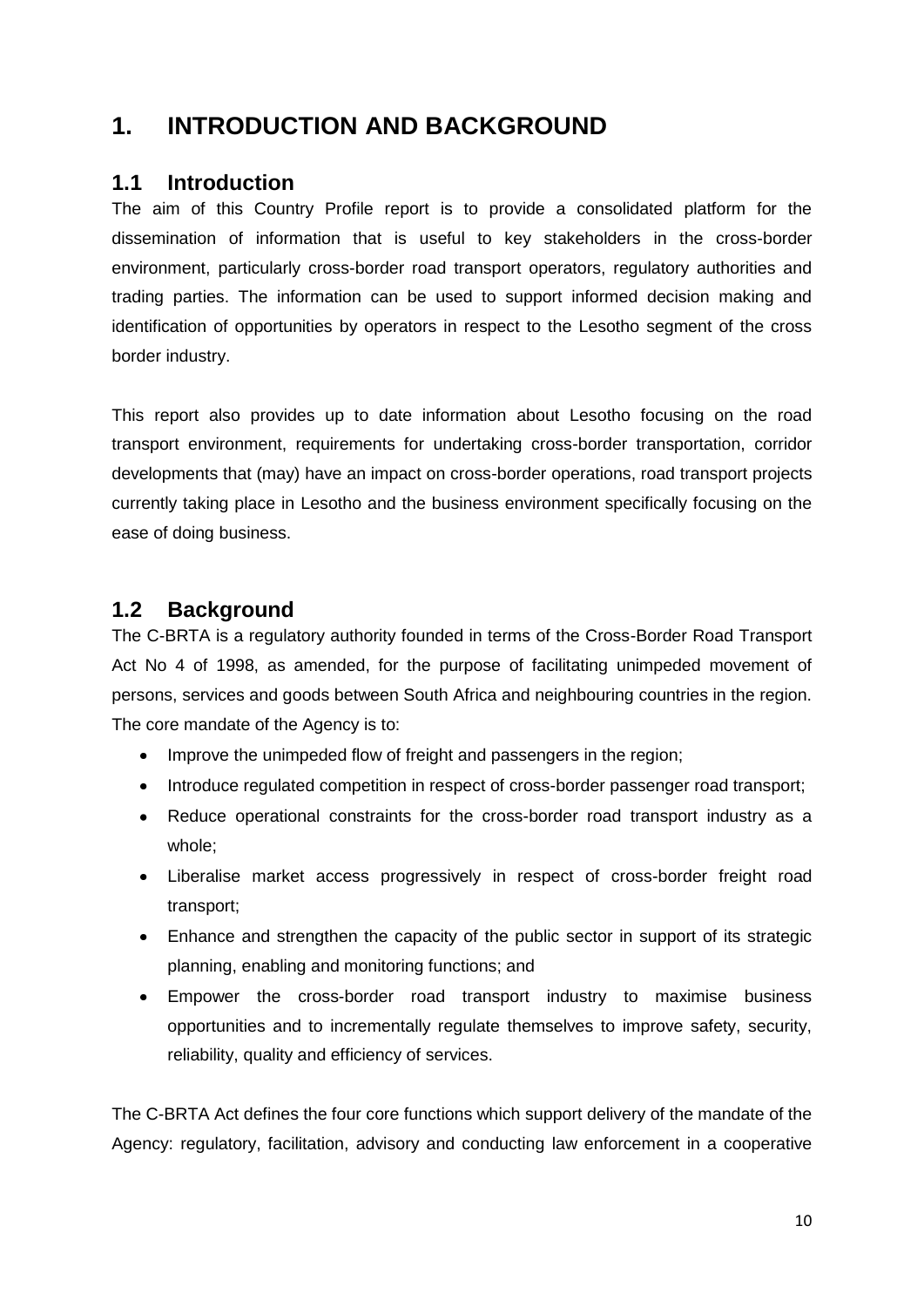### <span id="page-9-0"></span>**1. INTRODUCTION AND BACKGROUND**

#### <span id="page-9-1"></span>**1.1 Introduction**

The aim of this Country Profile report is to provide a consolidated platform for the dissemination of information that is useful to key stakeholders in the cross-border environment, particularly cross-border road transport operators, regulatory authorities and trading parties. The information can be used to support informed decision making and identification of opportunities by operators in respect to the Lesotho segment of the cross border industry.

This report also provides up to date information about Lesotho focusing on the road transport environment, requirements for undertaking cross-border transportation, corridor developments that (may) have an impact on cross-border operations, road transport projects currently taking place in Lesotho and the business environment specifically focusing on the ease of doing business.

### <span id="page-9-2"></span>**1.2 Background**

The C-BRTA is a regulatory authority founded in terms of the Cross-Border Road Transport Act No 4 of 1998, as amended, for the purpose of facilitating unimpeded movement of persons, services and goods between South Africa and neighbouring countries in the region. The core mandate of the Agency is to:

- Improve the unimpeded flow of freight and passengers in the region;
- Introduce regulated competition in respect of cross-border passenger road transport;
- Reduce operational constraints for the cross-border road transport industry as a whole;
- Liberalise market access progressively in respect of cross-border freight road transport;
- Enhance and strengthen the capacity of the public sector in support of its strategic planning, enabling and monitoring functions; and
- Empower the cross-border road transport industry to maximise business opportunities and to incrementally regulate themselves to improve safety, security, reliability, quality and efficiency of services.

The C-BRTA Act defines the four core functions which support delivery of the mandate of the Agency: regulatory, facilitation, advisory and conducting law enforcement in a cooperative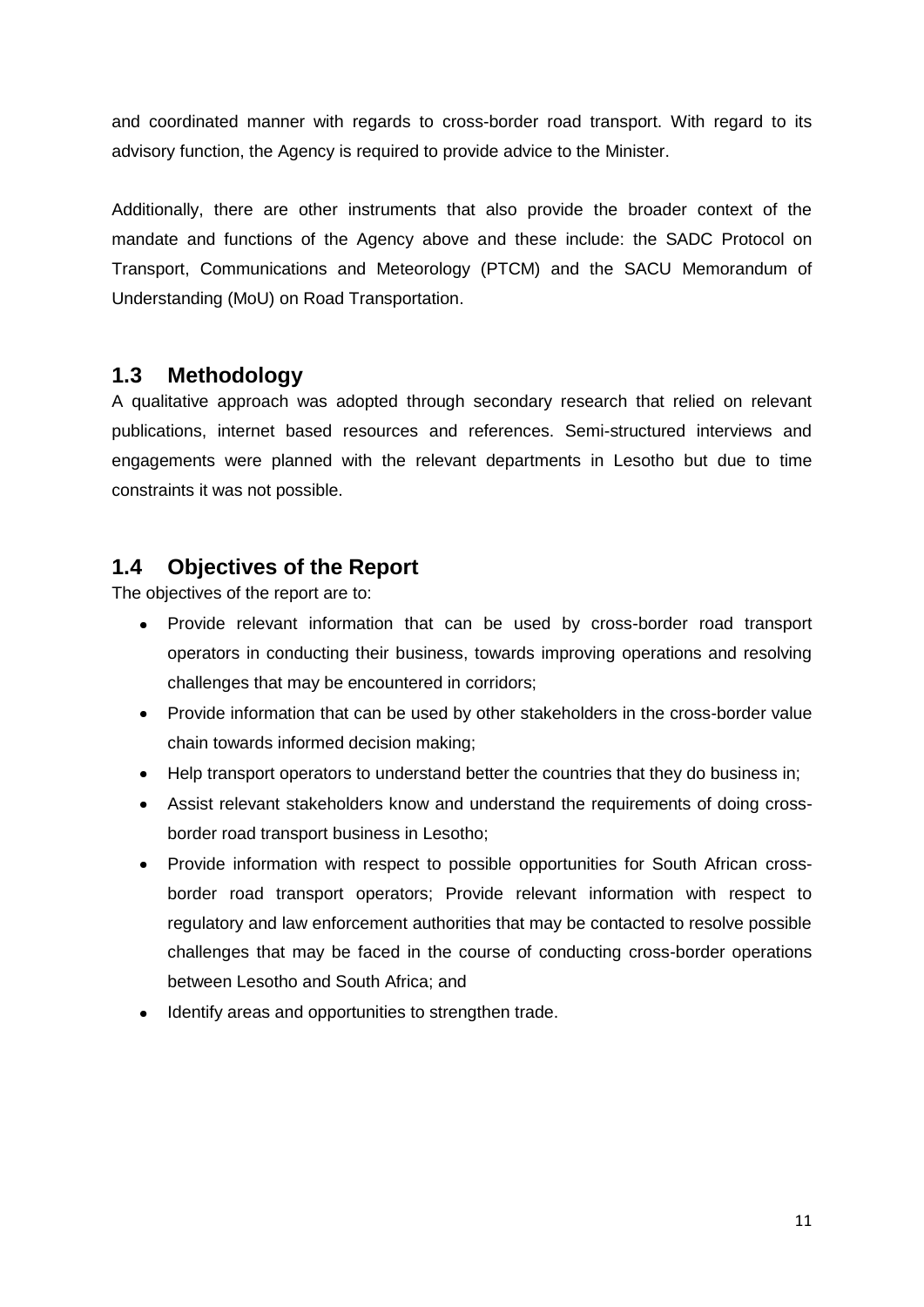and coordinated manner with regards to cross-border road transport. With regard to its advisory function, the Agency is required to provide advice to the Minister.

Additionally, there are other instruments that also provide the broader context of the mandate and functions of the Agency above and these include: the SADC Protocol on Transport, Communications and Meteorology (PTCM) and the SACU Memorandum of Understanding (MoU) on Road Transportation.

### <span id="page-10-0"></span>**1.3 Methodology**

A qualitative approach was adopted through secondary research that relied on relevant publications, internet based resources and references. Semi-structured interviews and engagements were planned with the relevant departments in Lesotho but due to time constraints it was not possible.

#### <span id="page-10-1"></span>**1.4 Objectives of the Report**

The objectives of the report are to:

- Provide relevant information that can be used by cross-border road transport operators in conducting their business, towards improving operations and resolving challenges that may be encountered in corridors;
- Provide information that can be used by other stakeholders in the cross-border value chain towards informed decision making;
- Help transport operators to understand better the countries that they do business in;  $\bullet$
- Assist relevant stakeholders know and understand the requirements of doing crossborder road transport business in Lesotho;
- Provide information with respect to possible opportunities for South African crossborder road transport operators; Provide relevant information with respect to regulatory and law enforcement authorities that may be contacted to resolve possible challenges that may be faced in the course of conducting cross-border operations between Lesotho and South Africa; and
- Identify areas and opportunities to strengthen trade.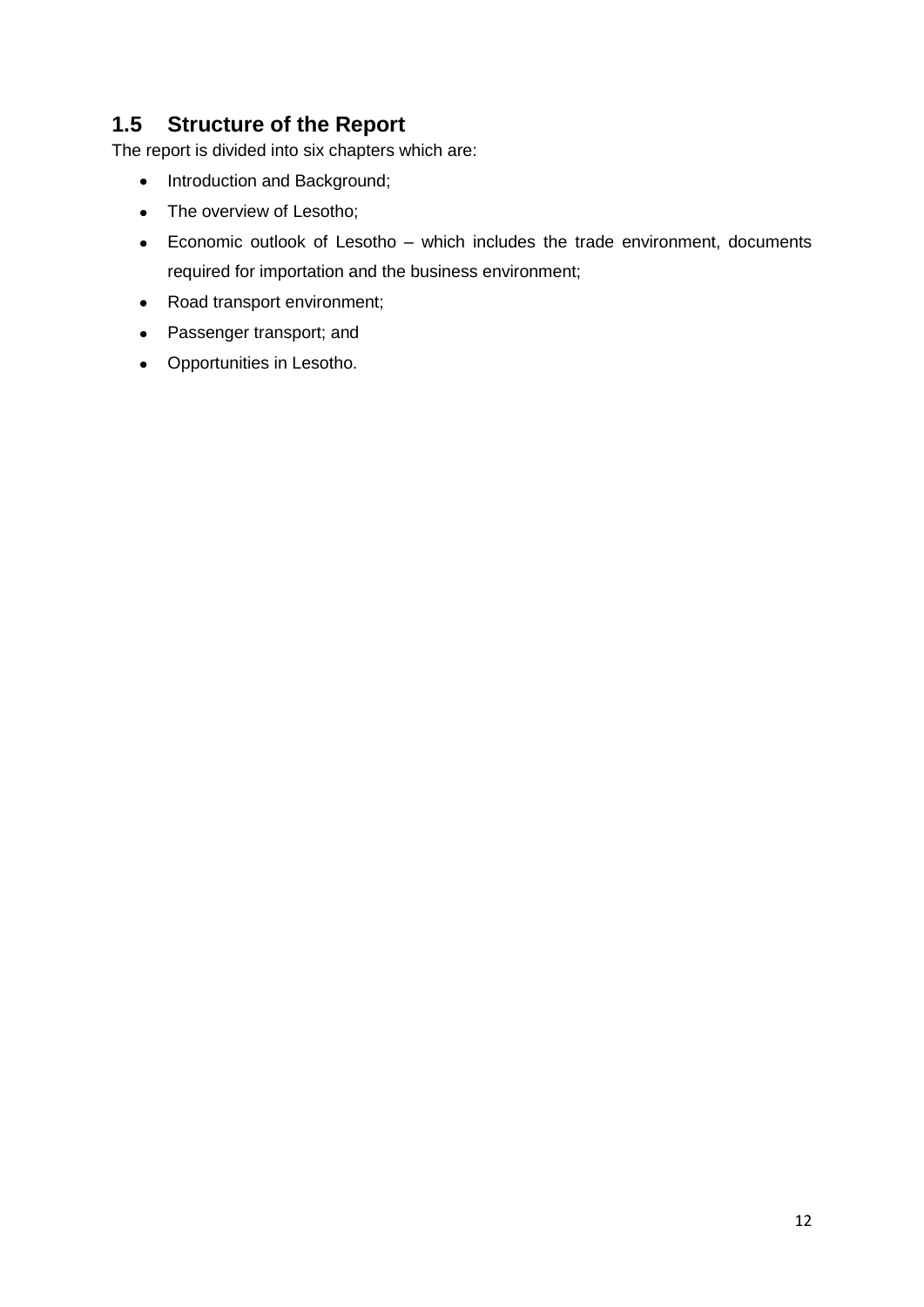### <span id="page-11-0"></span>**1.5 Structure of the Report**

The report is divided into six chapters which are:

- Introduction and Background;
- The overview of Lesotho;
- Economic outlook of Lesotho which includes the trade environment, documents required for importation and the business environment;
- Road transport environment;
- Passenger transport; and
- Opportunities in Lesotho.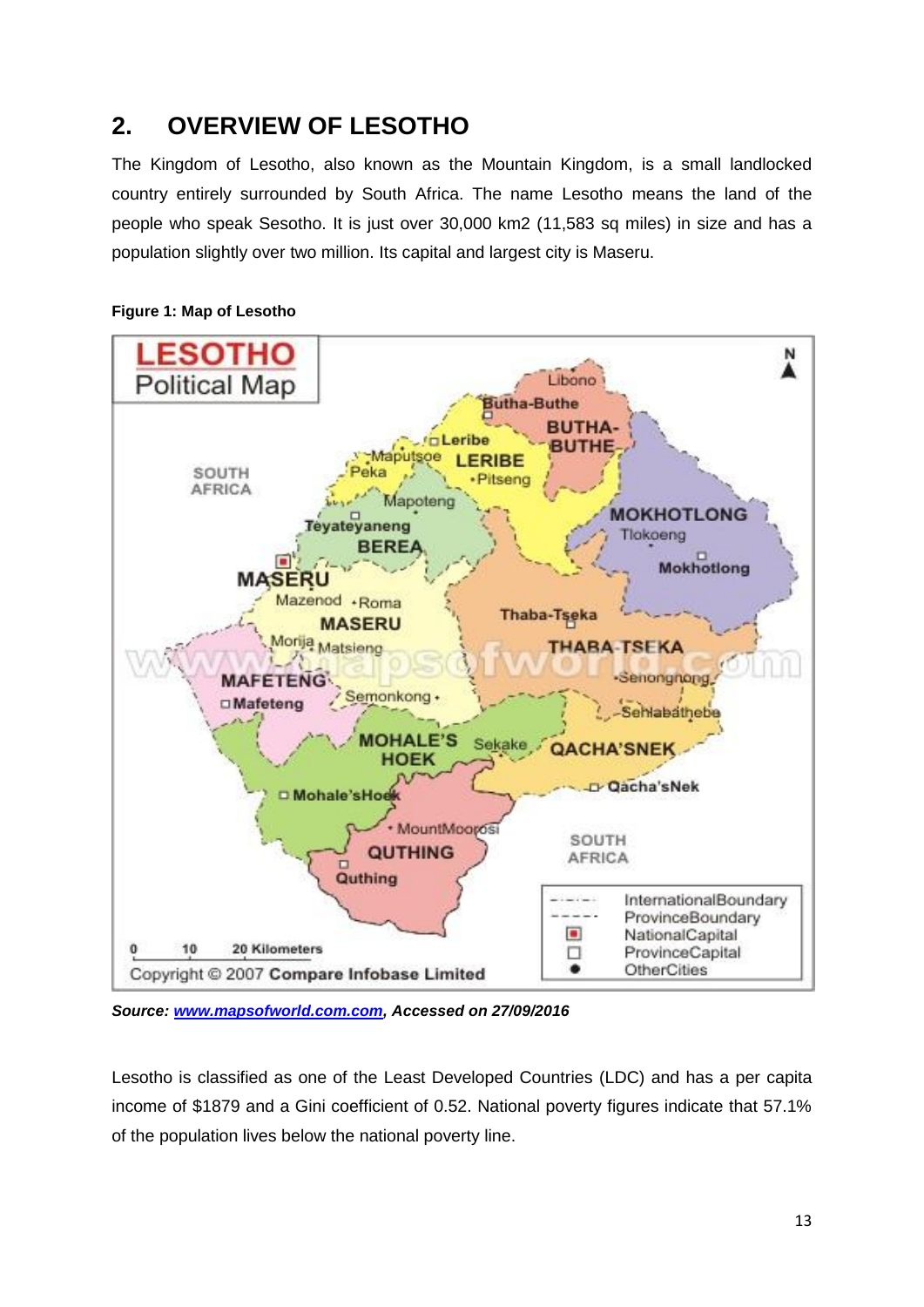## <span id="page-12-0"></span>**2. OVERVIEW OF LESOTHO**

The Kingdom of Lesotho, also known as the Mountain Kingdom, is a small landlocked country entirely surrounded by South Africa. The name Lesotho means the land of the people who speak Sesotho. It is just over 30,000 km2 (11,583 sq miles) in size and has a population slightly over two million. Its capital and largest city is Maseru.



#### <span id="page-12-1"></span>**Figure 1: Map of Lesotho**

*Source: [www.mapsofworld.com.com,](http://www.mapsofworld.com.com/) Accessed on 27/09/2016*

Lesotho is classified as one of the Least Developed Countries (LDC) and has a per capita income of \$1879 and a Gini coefficient of 0.52. National poverty figures indicate that 57.1% of the population lives below the national poverty line.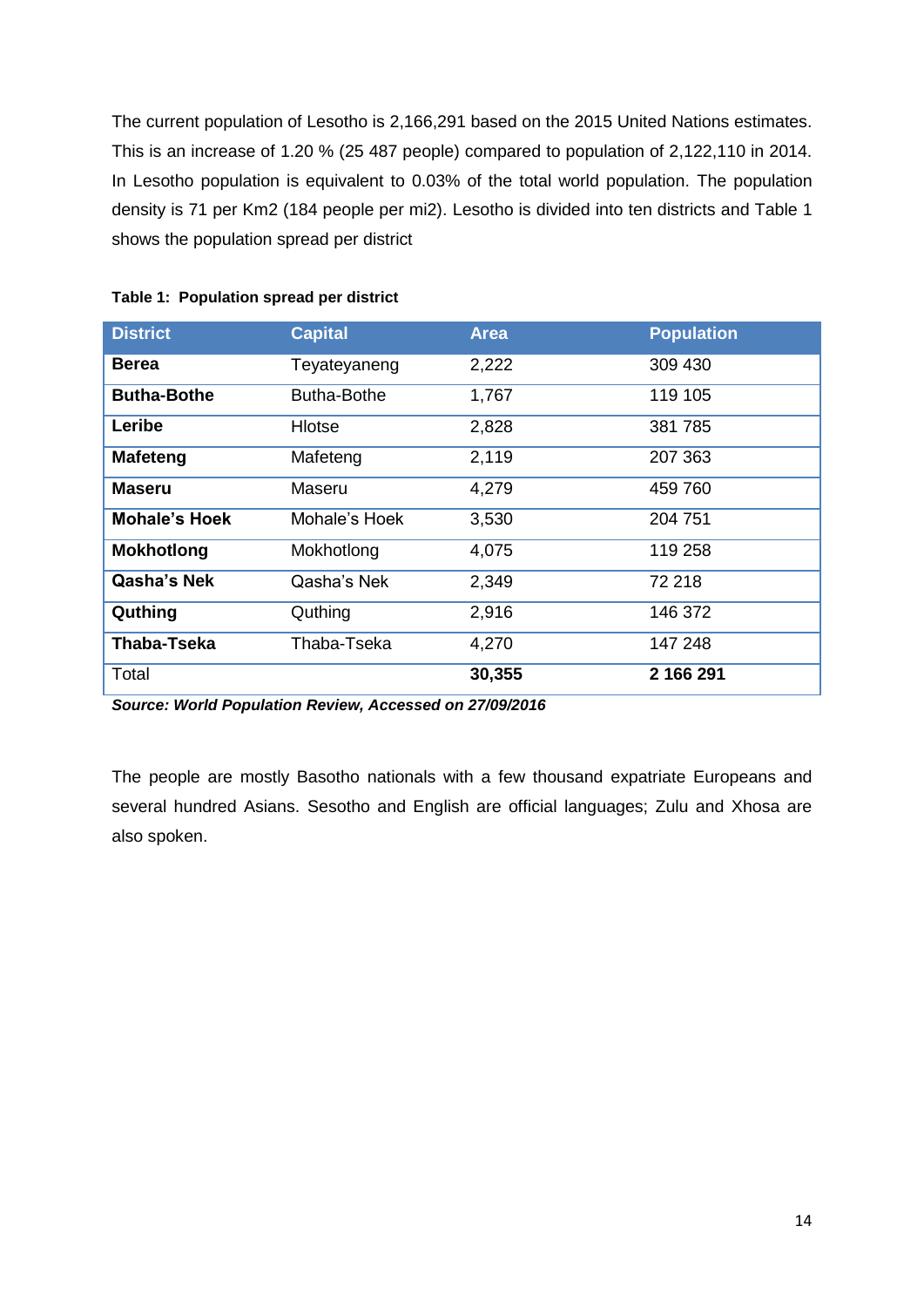The current population of Lesotho is 2,166,291 based on the 2015 United Nations estimates. This is an increase of 1.20 % (25 487 people) compared to population of 2,122,110 in 2014. In Lesotho population is equivalent to 0.03% of the total world population. The population density is 71 per Km2 (184 people per mi2). Lesotho is divided into ten districts and Table 1 shows the population spread per district

| <b>District</b>      | <b>Capital</b> | <b>Area</b> | <b>Population</b> |
|----------------------|----------------|-------------|-------------------|
| <b>Berea</b>         | Teyateyaneng   | 2,222       | 309 430           |
| <b>Butha-Bothe</b>   | Butha-Bothe    | 1,767       | 119 105           |
| Leribe               | Hlotse         | 2,828       | 381785            |
| <b>Mafeteng</b>      | Mafeteng       | 2,119       | 207 363           |
| <b>Maseru</b>        | Maseru         | 4,279       | 459 760           |
| <b>Mohale's Hoek</b> | Mohale's Hoek  | 3,530       | 204 751           |
| <b>Mokhotlong</b>    | Mokhotlong     | 4,075       | 119 258           |
| Qasha's Nek          | Qasha's Nek    | 2,349       | 72 218            |
| Quthing              | Quthing        | 2,916       | 146 372           |
| Thaba-Tseka          | Thaba-Tseka    | 4,270       | 147 248           |
| Total                |                | 30,355      | 2 166 291         |

#### <span id="page-13-0"></span>**Table 1: Population spread per district**

*Source: World Population Review, Accessed on 27/09/2016*

The people are mostly Basotho nationals with a few thousand expatriate Europeans and several hundred Asians. Sesotho and English are official languages; Zulu and Xhosa are also spoken.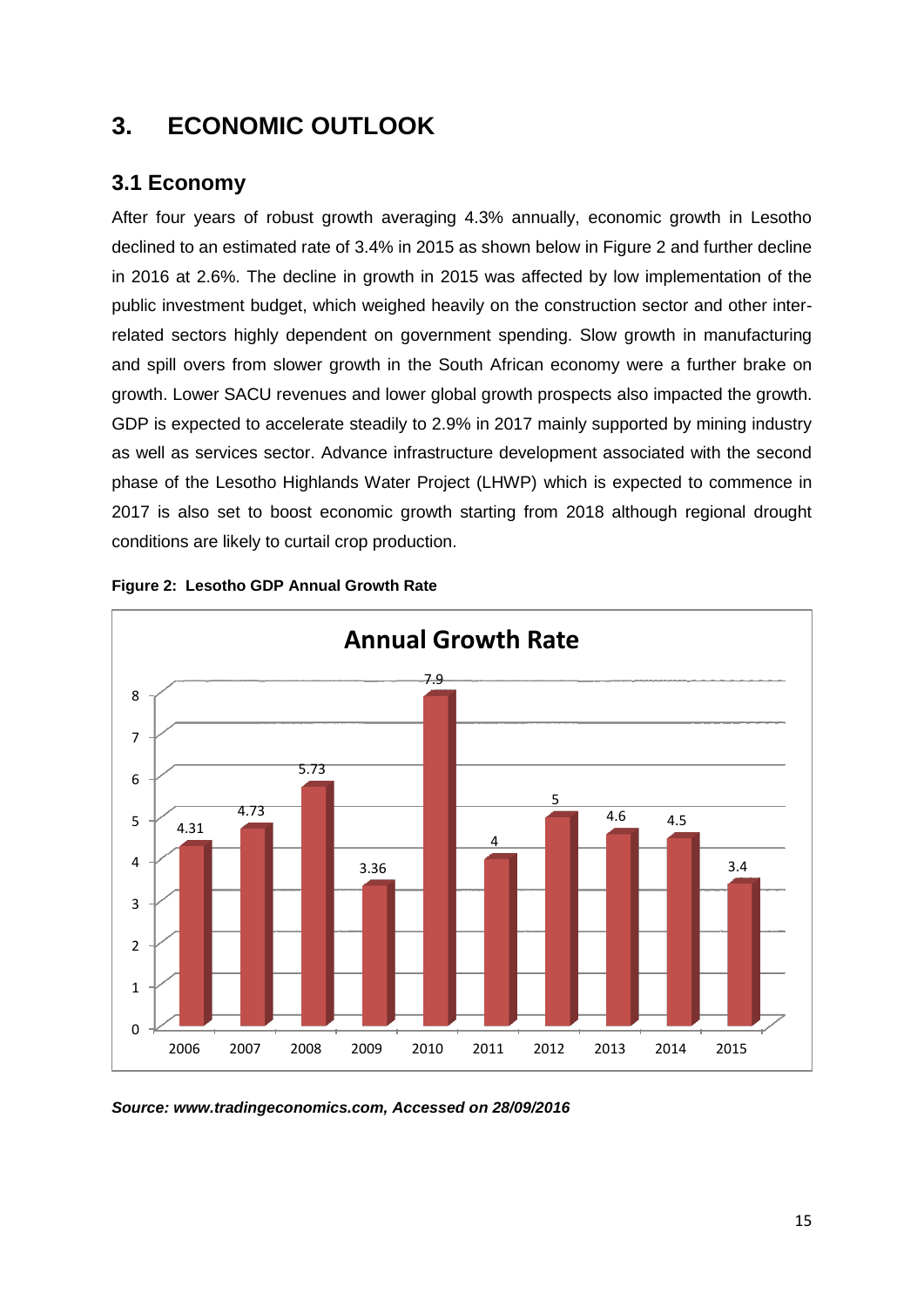### <span id="page-14-0"></span>**3. ECONOMIC OUTLOOK**

### <span id="page-14-1"></span>**3.1 Economy**

After four years of robust growth averaging 4.3% annually, economic growth in Lesotho declined to an estimated rate of 3.4% in 2015 as shown below in Figure 2 and further decline in 2016 at 2.6%. The decline in growth in 2015 was affected by low implementation of the public investment budget, which weighed heavily on the construction sector and other interrelated sectors highly dependent on government spending. Slow growth in manufacturing and spill overs from slower growth in the South African economy were a further brake on growth. Lower SACU revenues and lower global growth prospects also impacted the growth. GDP is expected to accelerate steadily to 2.9% in 2017 mainly supported by mining industry as well as services sector. Advance infrastructure development associated with the second phase of the Lesotho Highlands Water Project (LHWP) which is expected to commence in 2017 is also set to boost economic growth starting from 2018 although regional drought conditions are likely to curtail crop production.



<span id="page-14-2"></span>

*Source: www.tradingeconomics.com, Accessed on 28/09/2016*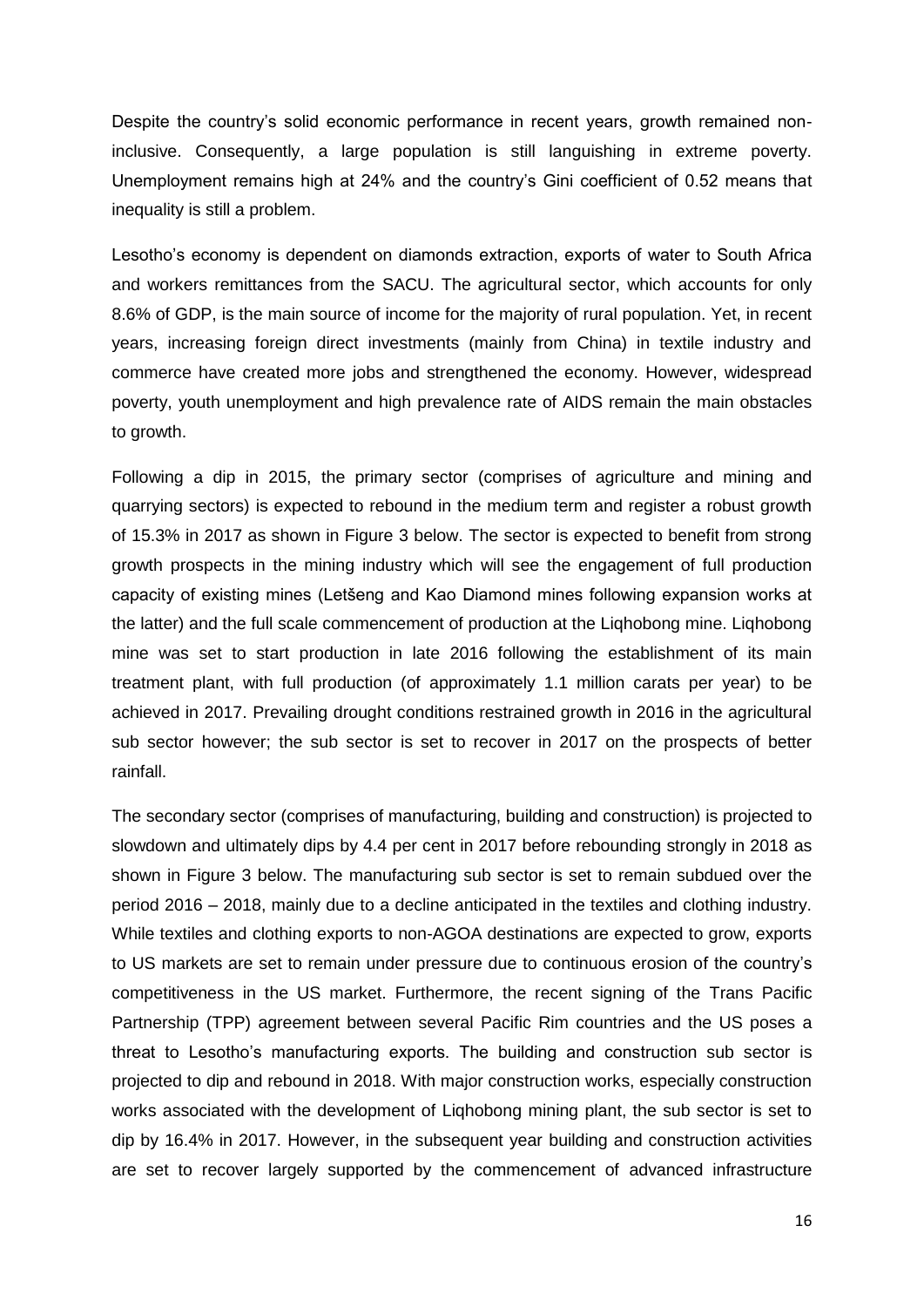Despite the country's solid economic performance in recent years, growth remained noninclusive. Consequently, a large population is still languishing in extreme poverty. Unemployment remains high at 24% and the country's Gini coefficient of 0.52 means that inequality is still a problem.

Lesotho's economy is dependent on diamonds extraction, exports of water to South Africa and workers remittances from the SACU. The agricultural sector, which accounts for only 8.6% of GDP, is the main source of income for the majority of rural population. Yet, in recent years, increasing foreign direct investments (mainly from China) in textile industry and commerce have created more jobs and strengthened the economy. However, widespread poverty, youth unemployment and high prevalence rate of AIDS remain the main obstacles to growth.

Following a dip in 2015, the primary sector (comprises of agriculture and mining and quarrying sectors) is expected to rebound in the medium term and register a robust growth of 15.3% in 2017 as shown in Figure 3 below. The sector is expected to benefit from strong growth prospects in the mining industry which will see the engagement of full production capacity of existing mines (Letšeng and Kao Diamond mines following expansion works at the latter) and the full scale commencement of production at the Liqhobong mine. Liqhobong mine was set to start production in late 2016 following the establishment of its main treatment plant, with full production (of approximately 1.1 million carats per year) to be achieved in 2017. Prevailing drought conditions restrained growth in 2016 in the agricultural sub sector however; the sub sector is set to recover in 2017 on the prospects of better rainfall.

The secondary sector (comprises of manufacturing, building and construction) is projected to slowdown and ultimately dips by 4.4 per cent in 2017 before rebounding strongly in 2018 as shown in Figure 3 below. The manufacturing sub sector is set to remain subdued over the period 2016 – 2018, mainly due to a decline anticipated in the textiles and clothing industry. While textiles and clothing exports to non-AGOA destinations are expected to grow, exports to US markets are set to remain under pressure due to continuous erosion of the country's competitiveness in the US market. Furthermore, the recent signing of the Trans Pacific Partnership (TPP) agreement between several Pacific Rim countries and the US poses a threat to Lesotho's manufacturing exports. The building and construction sub sector is projected to dip and rebound in 2018. With major construction works, especially construction works associated with the development of Liqhobong mining plant, the sub sector is set to dip by 16.4% in 2017. However, in the subsequent year building and construction activities are set to recover largely supported by the commencement of advanced infrastructure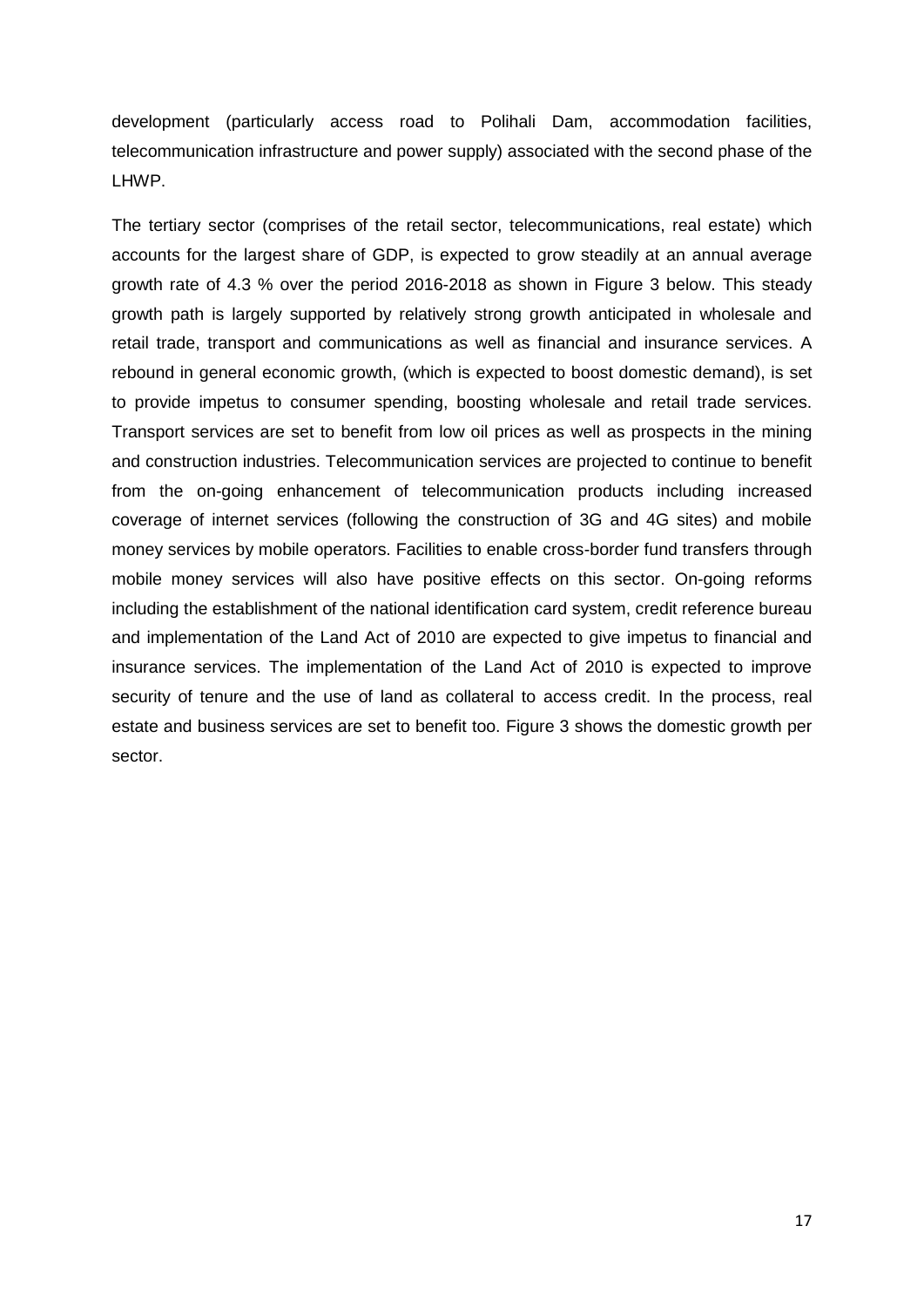development (particularly access road to Polihali Dam, accommodation facilities, telecommunication infrastructure and power supply) associated with the second phase of the LHWP.

The tertiary sector (comprises of the retail sector, telecommunications, real estate) which accounts for the largest share of GDP, is expected to grow steadily at an annual average growth rate of 4.3 % over the period 2016-2018 as shown in Figure 3 below. This steady growth path is largely supported by relatively strong growth anticipated in wholesale and retail trade, transport and communications as well as financial and insurance services. A rebound in general economic growth, (which is expected to boost domestic demand), is set to provide impetus to consumer spending, boosting wholesale and retail trade services. Transport services are set to benefit from low oil prices as well as prospects in the mining and construction industries. Telecommunication services are projected to continue to benefit from the on-going enhancement of telecommunication products including increased coverage of internet services (following the construction of 3G and 4G sites) and mobile money services by mobile operators. Facilities to enable cross-border fund transfers through mobile money services will also have positive effects on this sector. On-going reforms including the establishment of the national identification card system, credit reference bureau and implementation of the Land Act of 2010 are expected to give impetus to financial and insurance services. The implementation of the Land Act of 2010 is expected to improve security of tenure and the use of land as collateral to access credit. In the process, real estate and business services are set to benefit too. Figure 3 shows the domestic growth per sector.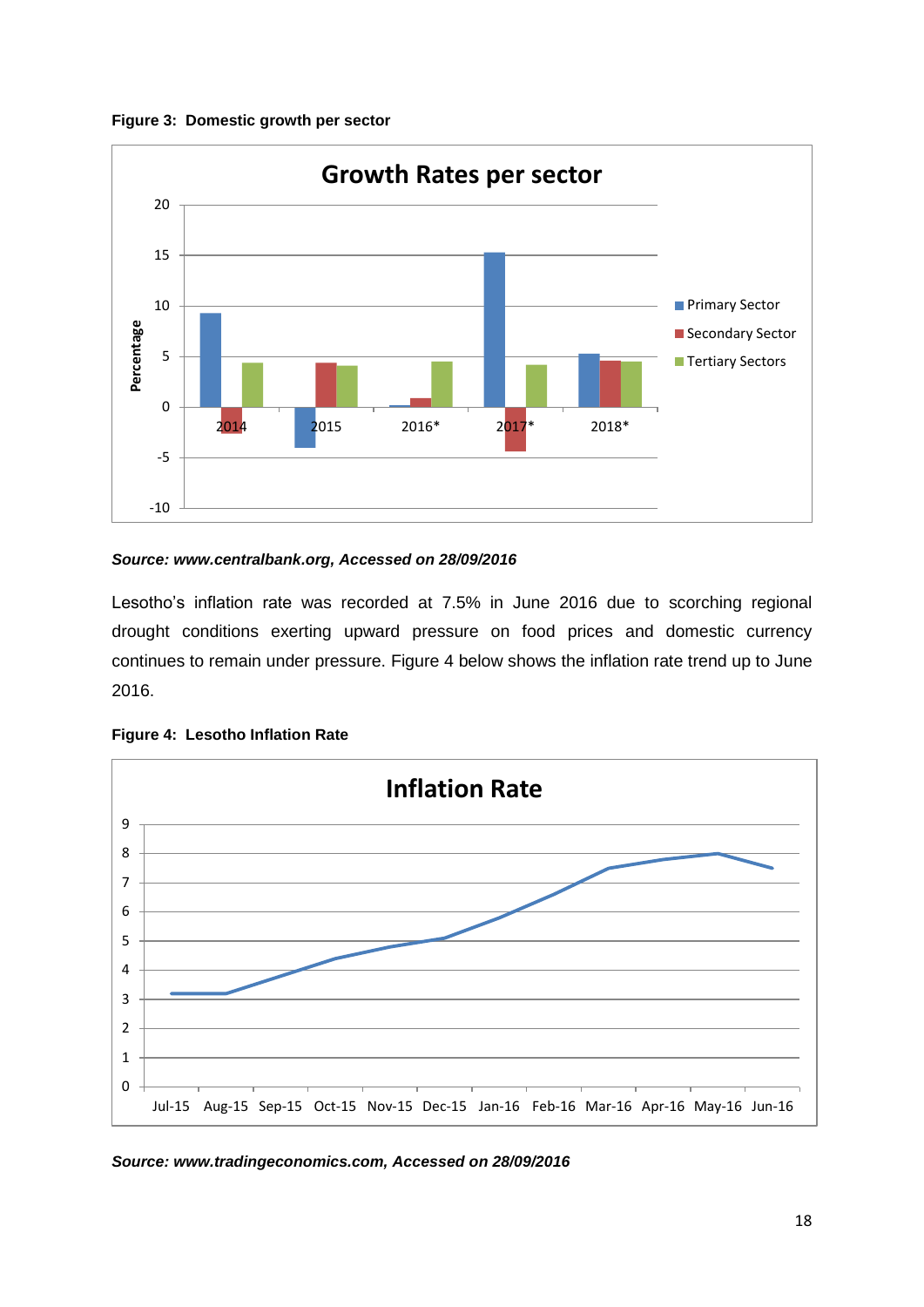<span id="page-17-0"></span>



#### *Source: www.centralbank.org, Accessed on 28/09/2016*

Lesotho's inflation rate was recorded at 7.5% in June 2016 due to scorching regional drought conditions exerting upward pressure on food prices and domestic currency continues to remain under pressure. Figure 4 below shows the inflation rate trend up to June 2016.



<span id="page-17-1"></span>**Figure 4: Lesotho Inflation Rate**

*Source: www.tradingeconomics.com, Accessed on 28/09/2016*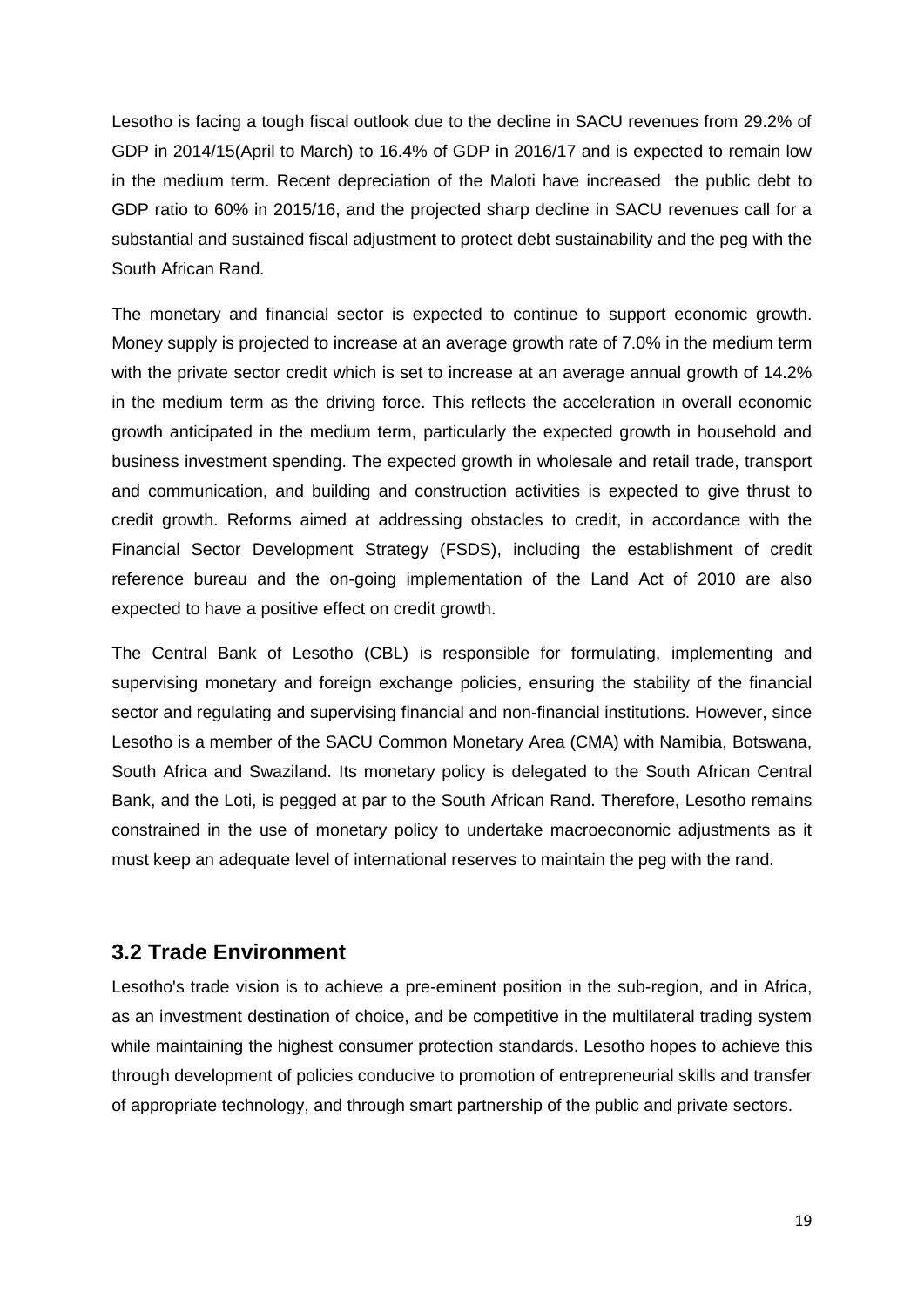Lesotho is facing a tough fiscal outlook due to the decline in SACU revenues from 29.2% of GDP in 2014/15(April to March) to 16.4% of GDP in 2016/17 and is expected to remain low in the medium term. Recent depreciation of the Maloti have increased the public debt to GDP ratio to 60% in 2015/16, and the projected sharp decline in SACU revenues call for a substantial and sustained fiscal adjustment to protect debt sustainability and the peg with the South African Rand.

The monetary and financial sector is expected to continue to support economic growth. Money supply is projected to increase at an average growth rate of 7.0% in the medium term with the private sector credit which is set to increase at an average annual growth of 14.2% in the medium term as the driving force. This reflects the acceleration in overall economic growth anticipated in the medium term, particularly the expected growth in household and business investment spending. The expected growth in wholesale and retail trade, transport and communication, and building and construction activities is expected to give thrust to credit growth. Reforms aimed at addressing obstacles to credit, in accordance with the Financial Sector Development Strategy (FSDS), including the establishment of credit reference bureau and the on-going implementation of the Land Act of 2010 are also expected to have a positive effect on credit growth.

The Central Bank of Lesotho (CBL) is responsible for formulating, implementing and supervising monetary and foreign exchange policies, ensuring the stability of the financial sector and regulating and supervising financial and non-financial institutions. However, since Lesotho is a member of the SACU Common Monetary Area (CMA) with Namibia, Botswana, South Africa and Swaziland. Its monetary policy is delegated to the South African Central Bank, and the Loti, is pegged at par to the South African Rand. Therefore, Lesotho remains constrained in the use of monetary policy to undertake macroeconomic adjustments as it must keep an adequate level of international reserves to maintain the peg with the rand.

#### <span id="page-18-0"></span>**3.2 Trade Environment**

Lesotho's trade vision is to achieve a pre-eminent position in the sub-region, and in Africa, as an investment destination of choice, and be competitive in the multilateral trading system while maintaining the highest consumer protection standards. Lesotho hopes to achieve this through development of policies conducive to promotion of entrepreneurial skills and transfer of appropriate technology, and through smart partnership of the public and private sectors.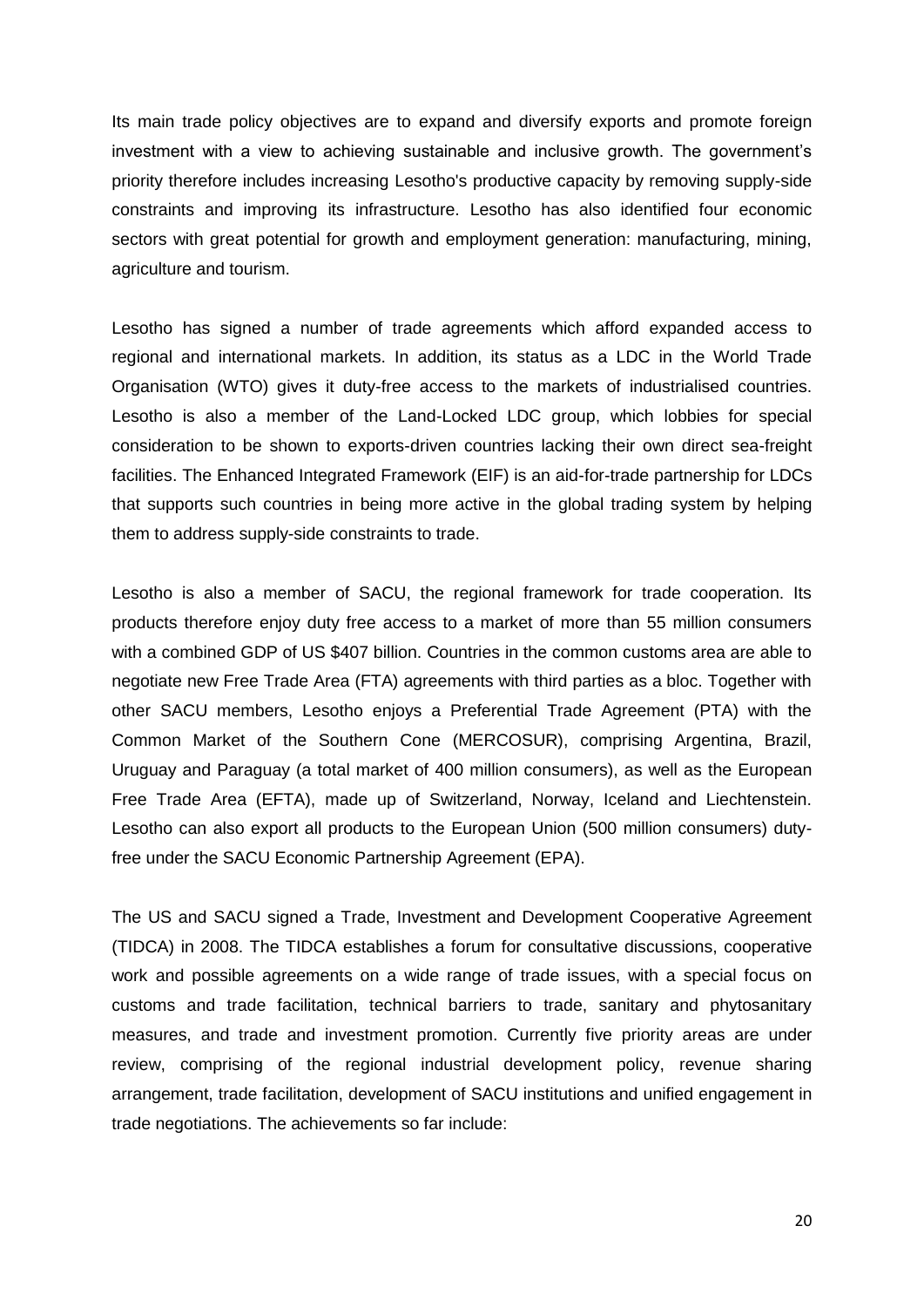Its main trade policy objectives are to expand and diversify exports and promote foreign investment with a view to achieving sustainable and inclusive growth. The government's priority therefore includes increasing Lesotho's productive capacity by removing supply-side constraints and improving its infrastructure. Lesotho has also identified four economic sectors with great potential for growth and employment generation: manufacturing, mining, agriculture and tourism.

Lesotho has signed a number of trade agreements which afford expanded access to regional and international markets. In addition, its status as a LDC in the World Trade Organisation (WTO) gives it duty-free access to the markets of industrialised countries. Lesotho is also a member of the Land-Locked LDC group, which lobbies for special consideration to be shown to exports-driven countries lacking their own direct sea-freight facilities. The Enhanced Integrated Framework (EIF) is an aid-for-trade partnership for LDCs that supports such countries in being more active in the global trading system by helping them to address supply-side constraints to trade.

Lesotho is also a member of SACU, the regional framework for trade cooperation. Its products therefore enjoy duty free access to a market of more than 55 million consumers with a combined GDP of US \$407 billion. Countries in the common customs area are able to negotiate new Free Trade Area (FTA) agreements with third parties as a bloc. Together with other SACU members, Lesotho enjoys a Preferential Trade Agreement (PTA) with the Common Market of the Southern Cone (MERCOSUR), comprising Argentina, Brazil, Uruguay and Paraguay (a total market of 400 million consumers), as well as the European Free Trade Area (EFTA), made up of Switzerland, Norway, Iceland and Liechtenstein. Lesotho can also export all products to the European Union (500 million consumers) dutyfree under the SACU Economic Partnership Agreement (EPA).

The US and SACU signed a Trade, Investment and Development Cooperative Agreement (TIDCA) in 2008. The TIDCA establishes a forum for consultative discussions, cooperative work and possible agreements on a wide range of trade issues, with a special focus on customs and trade facilitation, technical barriers to trade, sanitary and phytosanitary measures, and trade and investment promotion. Currently five priority areas are under review, comprising of the regional industrial development policy, revenue sharing arrangement, trade facilitation, development of SACU institutions and unified engagement in trade negotiations. The achievements so far include: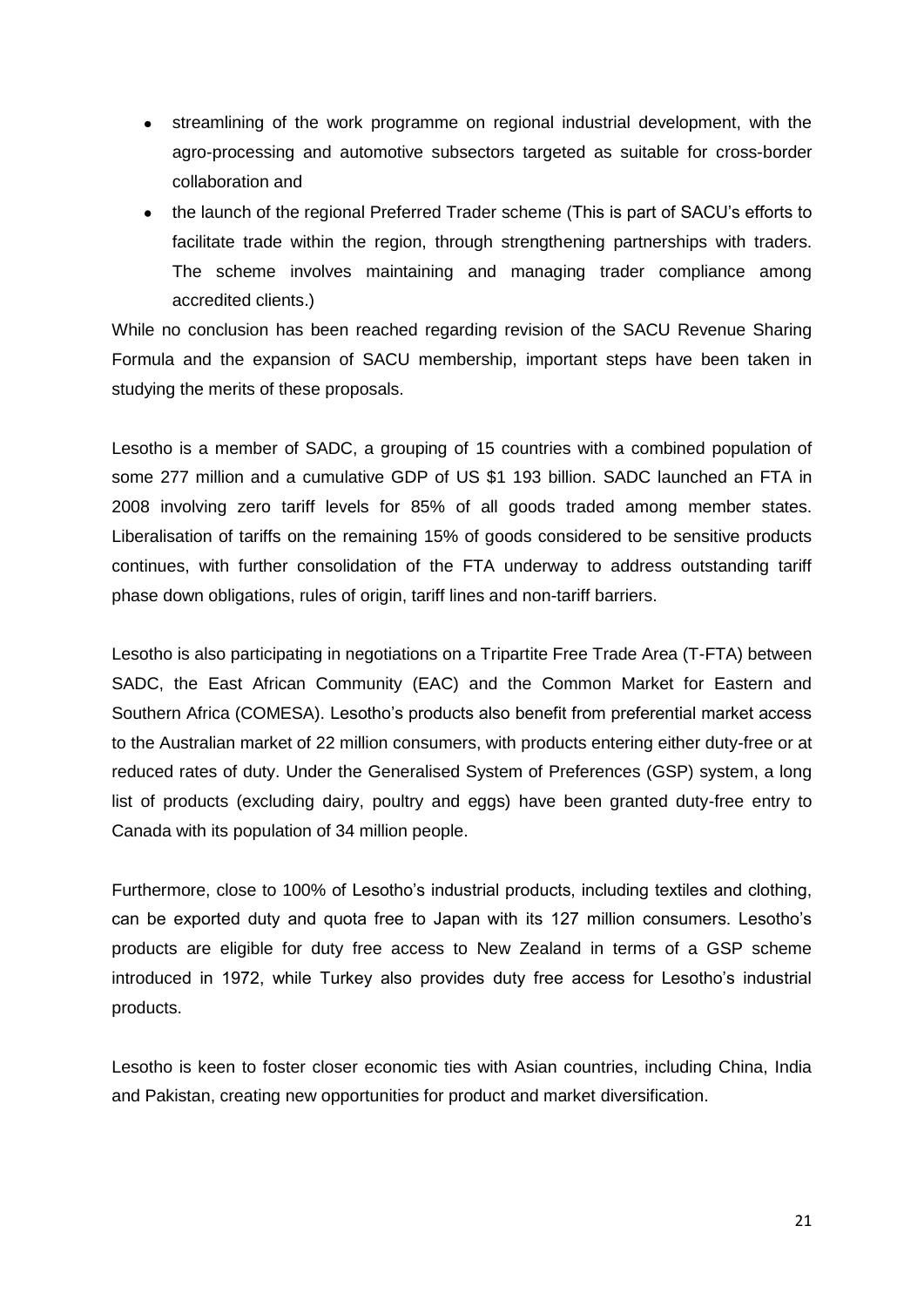- streamlining of the work programme on regional industrial development, with the agro-processing and automotive subsectors targeted as suitable for cross-border collaboration and
- the launch of the regional Preferred Trader scheme (This is part of SACU's efforts to facilitate trade within the region, through strengthening partnerships with traders. The scheme involves maintaining and managing trader compliance among accredited clients.)

While no conclusion has been reached regarding revision of the SACU Revenue Sharing Formula and the expansion of SACU membership, important steps have been taken in studying the merits of these proposals.

Lesotho is a member of SADC, a grouping of 15 countries with a combined population of some 277 million and a cumulative GDP of US \$1 193 billion. SADC launched an FTA in 2008 involving zero tariff levels for 85% of all goods traded among member states. Liberalisation of tariffs on the remaining 15% of goods considered to be sensitive products continues, with further consolidation of the FTA underway to address outstanding tariff phase down obligations, rules of origin, tariff lines and non-tariff barriers.

Lesotho is also participating in negotiations on a Tripartite Free Trade Area (T-FTA) between SADC, the East African Community (EAC) and the Common Market for Eastern and Southern Africa (COMESA). Lesotho's products also benefit from preferential market access to the Australian market of 22 million consumers, with products entering either duty-free or at reduced rates of duty. Under the Generalised System of Preferences (GSP) system, a long list of products (excluding dairy, poultry and eggs) have been granted duty-free entry to Canada with its population of 34 million people.

Furthermore, close to 100% of Lesotho's industrial products, including textiles and clothing, can be exported duty and quota free to Japan with its 127 million consumers. Lesotho's products are eligible for duty free access to New Zealand in terms of a GSP scheme introduced in 1972, while Turkey also provides duty free access for Lesotho's industrial products.

Lesotho is keen to foster closer economic ties with Asian countries, including China, India and Pakistan, creating new opportunities for product and market diversification.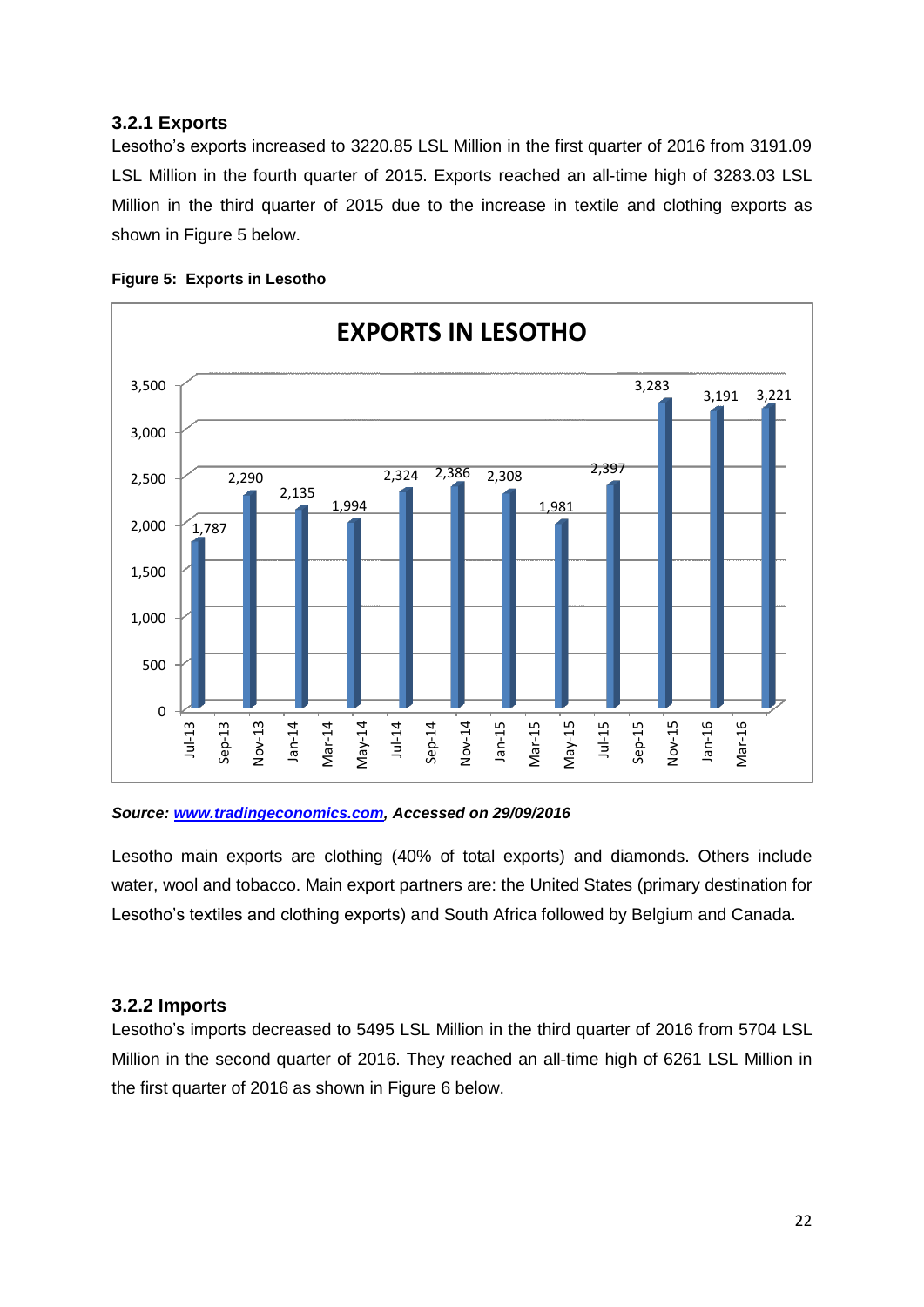#### <span id="page-21-0"></span>**3.2.1 Exports**

Lesotho's exports increased to 3220.85 LSL Million in the first quarter of 2016 from 3191.09 LSL Million in the fourth quarter of 2015. Exports reached an all-time high of 3283.03 LSL Million in the third quarter of 2015 due to the increase in textile and clothing exports as shown in Figure 5 below.

<span id="page-21-2"></span>



#### *Source: [www.tradingeconomics.com,](http://www.tradingeconomics.com/) Accessed on 29/09/2016*

Lesotho main exports are clothing (40% of total exports) and diamonds. Others include water, wool and tobacco. Main export partners are: the United States (primary destination for Lesotho's textiles and clothing exports) and South Africa followed by Belgium and Canada.

#### <span id="page-21-1"></span>**3.2.2 Imports**

Lesotho's imports decreased to 5495 LSL Million in the third quarter of 2016 from 5704 LSL Million in the second quarter of 2016. They reached an all-time high of 6261 LSL Million in the first quarter of 2016 as shown in Figure 6 below.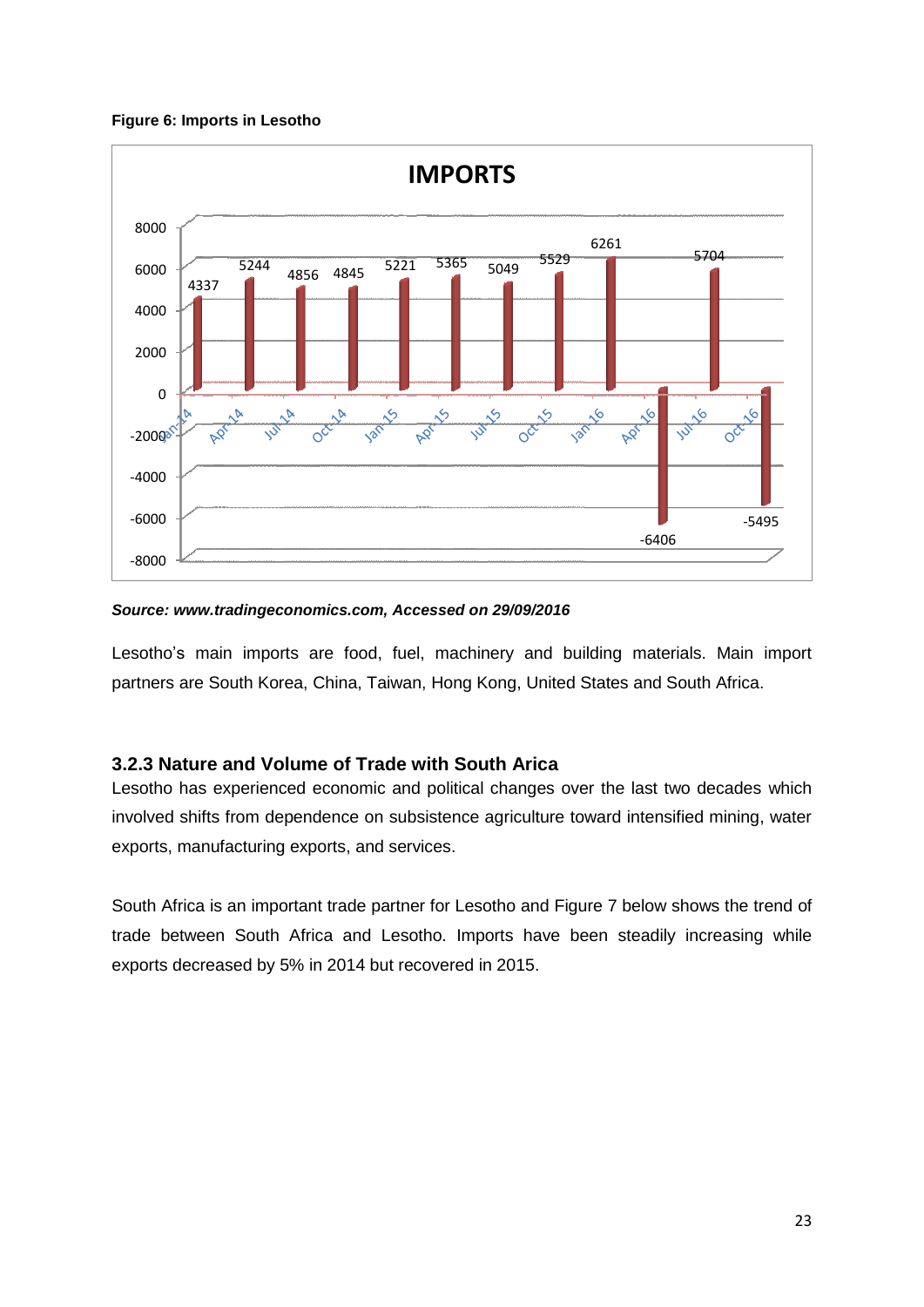#### <span id="page-22-1"></span>**Figure 6: Imports in Lesotho**



#### *Source: www.tradingeconomics.com, Accessed on 29/09/2016*

Lesotho's main imports are food, fuel, machinery and building materials. Main import partners are South Korea, China, Taiwan, Hong Kong, United States and South Africa.

#### <span id="page-22-0"></span>**3.2.3 Nature and Volume of Trade with South Arica**

Lesotho has experienced economic and political changes over the last two decades which involved shifts from dependence on subsistence agriculture toward intensified mining, water exports, manufacturing exports, and services.

South Africa is an important trade partner for Lesotho and Figure 7 below shows the trend of trade between South Africa and Lesotho. Imports have been steadily increasing while exports decreased by 5% in 2014 but recovered in 2015.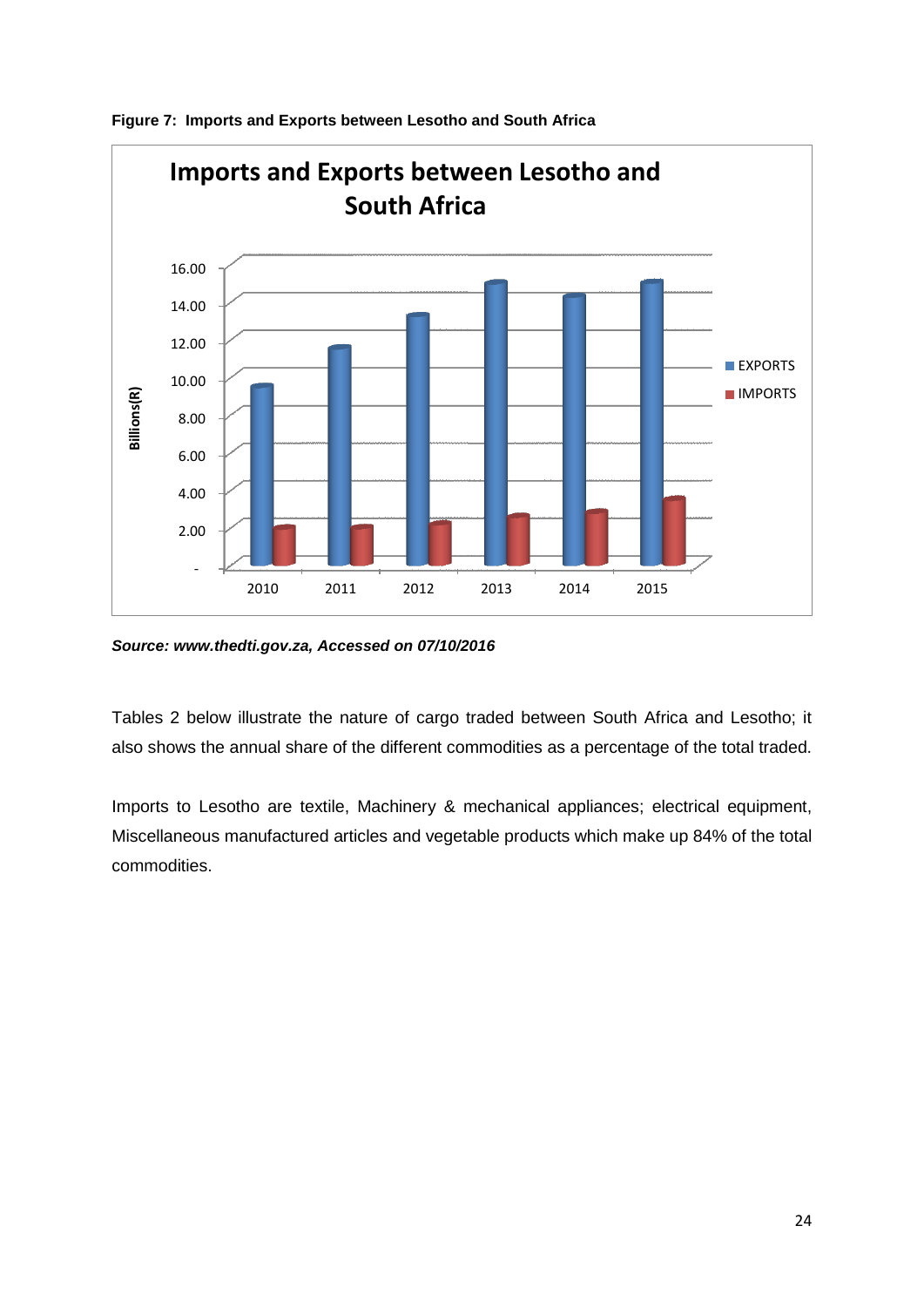

<span id="page-23-0"></span>**Figure 7: Imports and Exports between Lesotho and South Africa**

*Source: www.thedti.gov.za, Accessed on 07/10/2016*

Tables 2 below illustrate the nature of cargo traded between South Africa and Lesotho; it also shows the annual share of the different commodities as a percentage of the total traded.

Imports to Lesotho are textile, Machinery & mechanical appliances; electrical equipment, Miscellaneous manufactured articles and vegetable products which make up 84% of the total commodities.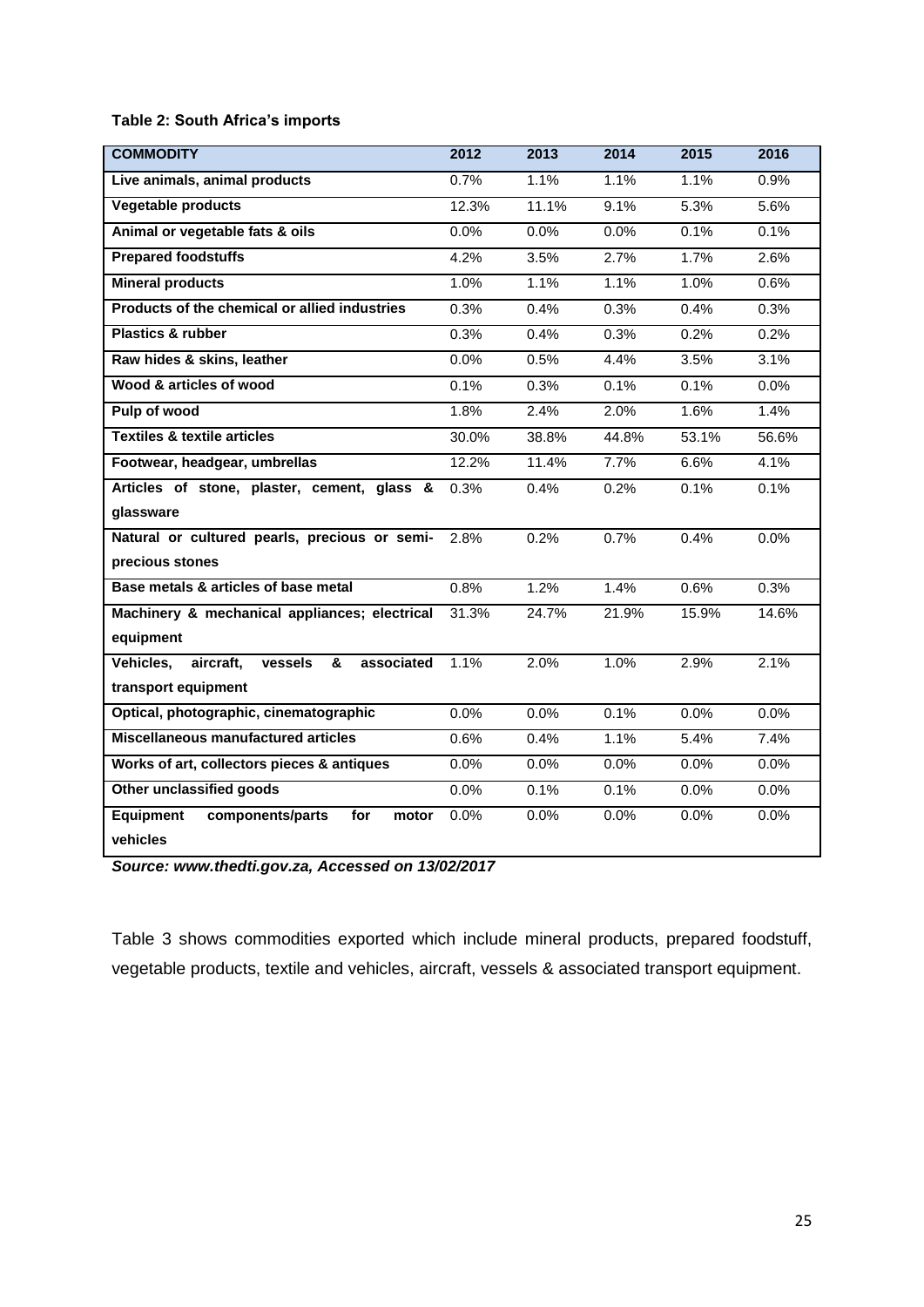#### <span id="page-24-0"></span>**Table 2: South Africa's imports**

| <b>COMMODITY</b>                                     | 2012  | 2013  | 2014  | 2015  | 2016  |
|------------------------------------------------------|-------|-------|-------|-------|-------|
| Live animals, animal products                        | 0.7%  | 1.1%  | 1.1%  | 1.1%  | 0.9%  |
| Vegetable products                                   | 12.3% | 11.1% | 9.1%  | 5.3%  | 5.6%  |
| Animal or vegetable fats & oils                      | 0.0%  | 0.0%  | 0.0%  | 0.1%  | 0.1%  |
| <b>Prepared foodstuffs</b>                           | 4.2%  | 3.5%  | 2.7%  | 1.7%  | 2.6%  |
| <b>Mineral products</b>                              | 1.0%  | 1.1%  | 1.1%  | 1.0%  | 0.6%  |
| Products of the chemical or allied industries        | 0.3%  | 0.4%  | 0.3%  | 0.4%  | 0.3%  |
| <b>Plastics &amp; rubber</b>                         | 0.3%  | 0.4%  | 0.3%  | 0.2%  | 0.2%  |
| Raw hides & skins, leather                           | 0.0%  | 0.5%  | 4.4%  | 3.5%  | 3.1%  |
| Wood & articles of wood                              | 0.1%  | 0.3%  | 0.1%  | 0.1%  | 0.0%  |
| Pulp of wood                                         | 1.8%  | 2.4%  | 2.0%  | 1.6%  | 1.4%  |
| <b>Textiles &amp; textile articles</b>               | 30.0% | 38.8% | 44.8% | 53.1% | 56.6% |
| Footwear, headgear, umbrellas                        | 12.2% | 11.4% | 7.7%  | 6.6%  | 4.1%  |
| Articles of stone, plaster, cement, glass &          | 0.3%  | 0.4%  | 0.2%  | 0.1%  | 0.1%  |
| glassware                                            |       |       |       |       |       |
| Natural or cultured pearls, precious or semi-        | 2.8%  | 0.2%  | 0.7%  | 0.4%  | 0.0%  |
| precious stones                                      |       |       |       |       |       |
| Base metals & articles of base metal                 | 0.8%  | 1.2%  | 1.4%  | 0.6%  | 0.3%  |
| Machinery & mechanical appliances; electrical        | 31.3% | 24.7% | 21.9% | 15.9% | 14.6% |
| equipment                                            |       |       |       |       |       |
| aircraft,<br>&<br>associated<br>Vehicles,<br>vessels | 1.1%  | 2.0%  | 1.0%  | 2.9%  | 2.1%  |
| transport equipment                                  |       |       |       |       |       |
| Optical, photographic, cinematographic               | 0.0%  | 0.0%  | 0.1%  | 0.0%  | 0.0%  |
| <b>Miscellaneous manufactured articles</b>           | 0.6%  | 0.4%  | 1.1%  | 5.4%  | 7.4%  |
| Works of art, collectors pieces & antiques           | 0.0%  | 0.0%  | 0.0%  | 0.0%  | 0.0%  |
| Other unclassified goods                             | 0.0%  | 0.1%  | 0.1%  | 0.0%  | 0.0%  |
| <b>Equipment</b><br>components/parts<br>for<br>motor | 0.0%  | 0.0%  | 0.0%  | 0.0%  | 0.0%  |
| vehicles                                             |       |       |       |       |       |

*Source: www.thedti.gov.za, Accessed on 13/02/2017*

Table 3 shows commodities exported which include mineral products, prepared foodstuff, vegetable products, textile and vehicles, aircraft, vessels & associated transport equipment.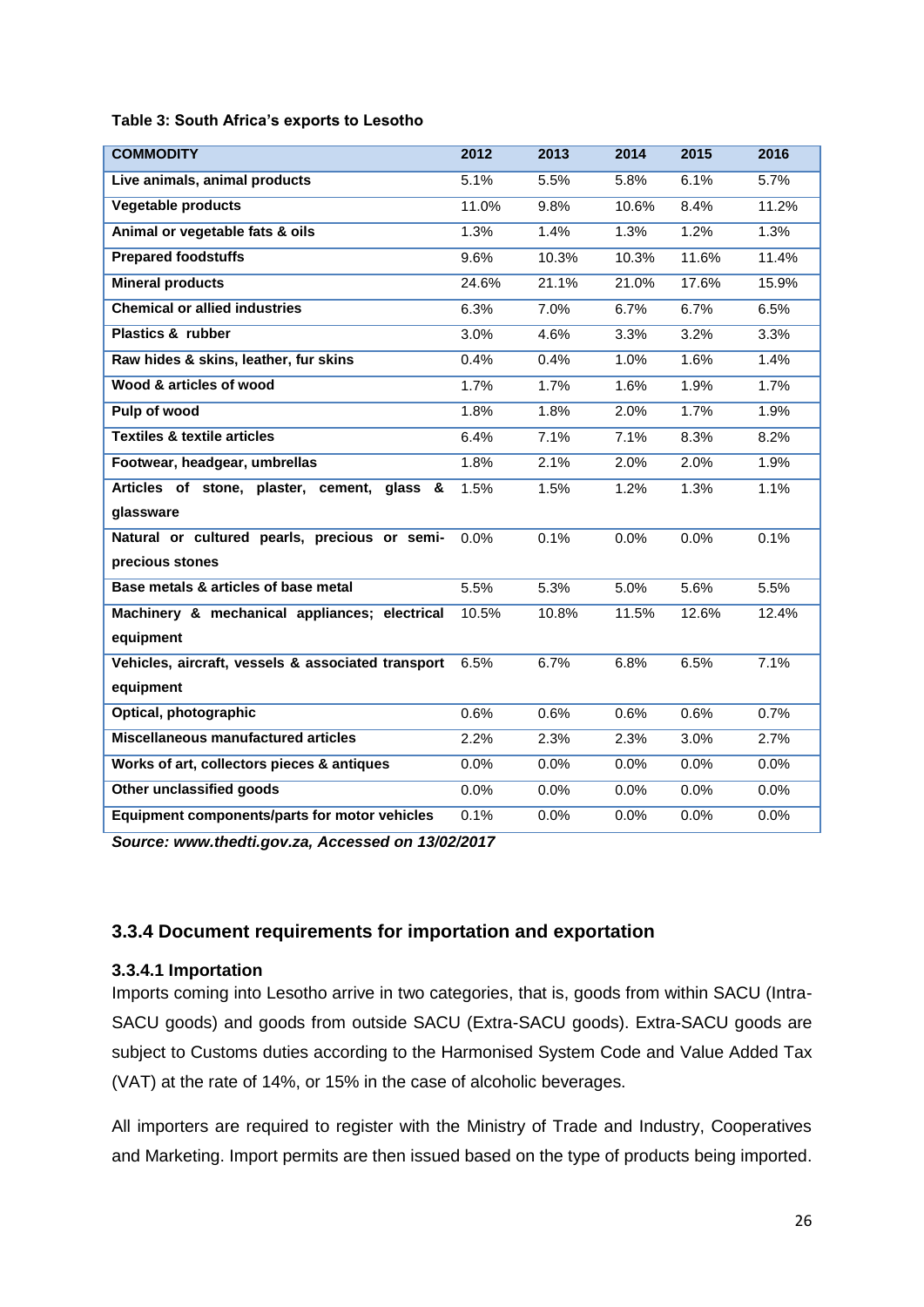<span id="page-25-1"></span>

| Table 3: South Africa's exports to Lesotho |  |  |  |  |
|--------------------------------------------|--|--|--|--|
|--------------------------------------------|--|--|--|--|

| <b>COMMODITY</b>                                     | 2012  | 2013  | 2014  | 2015  | 2016  |
|------------------------------------------------------|-------|-------|-------|-------|-------|
| Live animals, animal products                        | 5.1%  | 5.5%  | 5.8%  | 6.1%  | 5.7%  |
| <b>Vegetable products</b>                            | 11.0% | 9.8%  | 10.6% | 8.4%  | 11.2% |
| Animal or vegetable fats & oils                      | 1.3%  | 1.4%  | 1.3%  | 1.2%  | 1.3%  |
| <b>Prepared foodstuffs</b>                           | 9.6%  | 10.3% | 10.3% | 11.6% | 11.4% |
| <b>Mineral products</b>                              | 24.6% | 21.1% | 21.0% | 17.6% | 15.9% |
| <b>Chemical or allied industries</b>                 | 6.3%  | 7.0%  | 6.7%  | 6.7%  | 6.5%  |
| <b>Plastics &amp; rubber</b>                         | 3.0%  | 4.6%  | 3.3%  | 3.2%  | 3.3%  |
| Raw hides & skins, leather, fur skins                | 0.4%  | 0.4%  | 1.0%  | 1.6%  | 1.4%  |
| Wood & articles of wood                              | 1.7%  | 1.7%  | 1.6%  | 1.9%  | 1.7%  |
| Pulp of wood                                         | 1.8%  | 1.8%  | 2.0%  | 1.7%  | 1.9%  |
| <b>Textiles &amp; textile articles</b>               | 6.4%  | 7.1%  | 7.1%  | 8.3%  | 8.2%  |
| Footwear, headgear, umbrellas                        | 1.8%  | 2.1%  | 2.0%  | 2.0%  | 1.9%  |
| Articles of stone, plaster, cement,<br>qlass<br>&    | 1.5%  | 1.5%  | 1.2%  | 1.3%  | 1.1%  |
| glassware                                            |       |       |       |       |       |
| Natural or cultured pearls, precious or semi-        | 0.0%  | 0.1%  | 0.0%  | 0.0%  | 0.1%  |
| precious stones                                      |       |       |       |       |       |
| Base metals & articles of base metal                 | 5.5%  | 5.3%  | 5.0%  | 5.6%  | 5.5%  |
| Machinery & mechanical appliances; electrical        | 10.5% | 10.8% | 11.5% | 12.6% | 12.4% |
| equipment                                            |       |       |       |       |       |
| Vehicles, aircraft, vessels & associated transport   | 6.5%  | 6.7%  | 6.8%  | 6.5%  | 7.1%  |
| equipment                                            |       |       |       |       |       |
| Optical, photographic                                | 0.6%  | 0.6%  | 0.6%  | 0.6%  | 0.7%  |
| Miscellaneous manufactured articles                  | 2.2%  | 2.3%  | 2.3%  | 3.0%  | 2.7%  |
| Works of art, collectors pieces & antiques           | 0.0%  | 0.0%  | 0.0%  | 0.0%  | 0.0%  |
| Other unclassified goods                             | 0.0%  | 0.0%  | 0.0%  | 0.0%  | 0.0%  |
| <b>Equipment components/parts for motor vehicles</b> | 0.1%  | 0.0%  | 0.0%  | 0.0%  | 0.0%  |

*Source: www.thedti.gov.za, Accessed on 13/02/2017*

#### <span id="page-25-0"></span>**3.3.4 Document requirements for importation and exportation**

#### **3.3.4.1 Importation**

Imports coming into Lesotho arrive in two categories, that is, goods from within SACU (Intra-SACU goods) and goods from outside SACU (Extra-SACU goods). Extra-SACU goods are subject to Customs duties according to the Harmonised System Code and Value Added Tax (VAT) at the rate of 14%, or 15% in the case of alcoholic beverages.

All importers are required to register with the Ministry of Trade and Industry, Cooperatives and Marketing. Import permits are then issued based on the type of products being imported.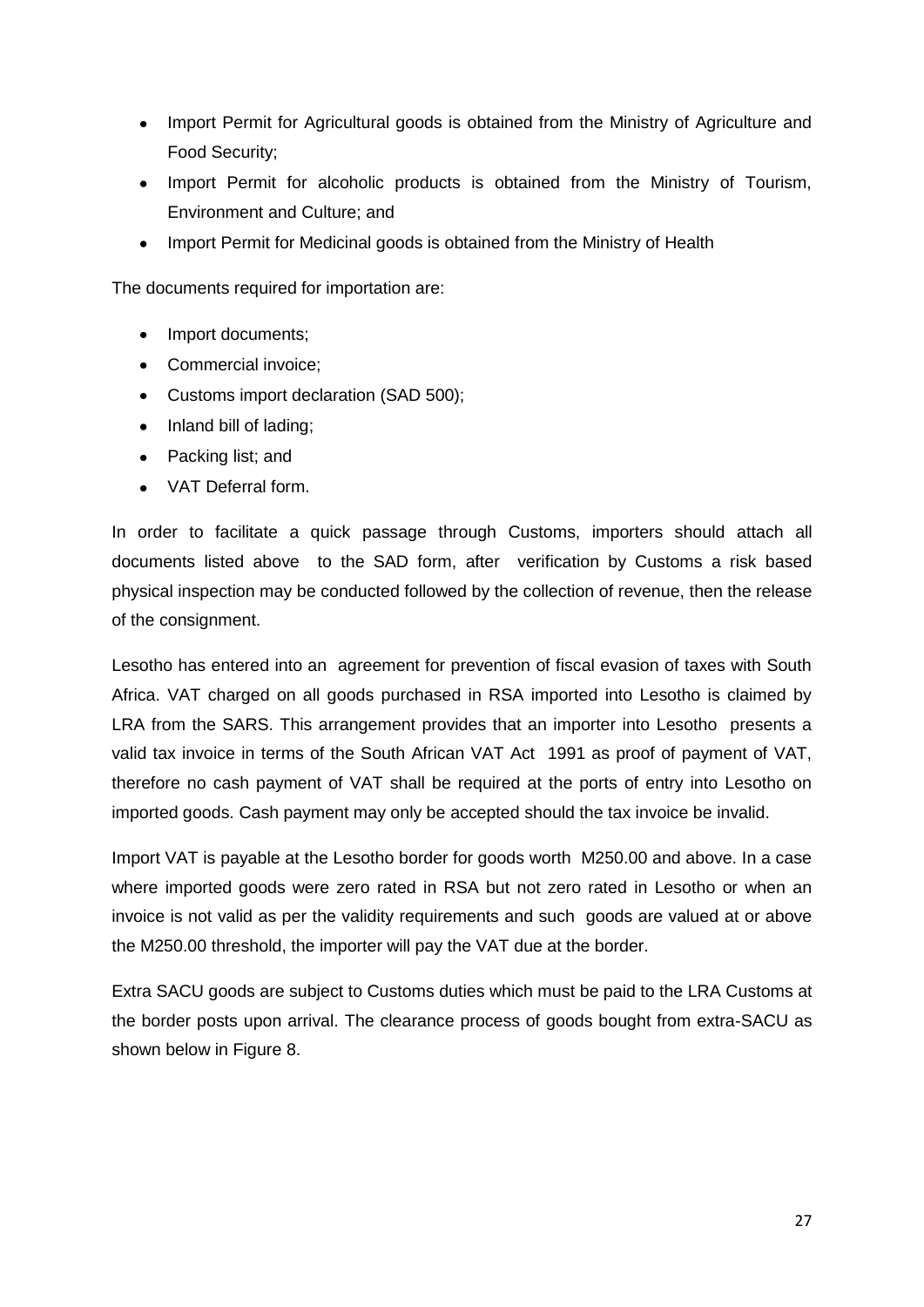- Import Permit for Agricultural goods is obtained from the Ministry of Agriculture and Food Security;
- Import Permit for alcoholic products is obtained from the Ministry of Tourism, Environment and Culture; and
- Import Permit for Medicinal goods is obtained from the Ministry of Health

The documents required for importation are:

- Import documents;
- Commercial invoice:
- Customs import declaration (SAD 500);
- Inland bill of lading;
- Packing list: and
- VAT Deferral form.

In order to facilitate a quick passage through Customs, importers should attach all documents listed above to the SAD form, after verification by Customs a risk based physical inspection may be conducted followed by the collection of revenue, then the release of the consignment.

Lesotho has entered into an agreement for prevention of fiscal evasion of taxes with South Africa. VAT charged on all goods purchased in RSA imported into Lesotho is claimed by LRA from the SARS. This arrangement provides that an importer into Lesotho presents a valid tax invoice in terms of the South African VAT Act 1991 as proof of payment of VAT, therefore no cash payment of VAT shall be required at the ports of entry into Lesotho on imported goods. Cash payment may only be accepted should the tax invoice be invalid.

Import VAT is payable at the Lesotho border for goods worth M250.00 and above. In a case where imported goods were zero rated in RSA but not zero rated in Lesotho or when an invoice is not valid as per the validity requirements and such goods are valued at or above the M250.00 threshold, the importer will pay the VAT due at the border.

Extra SACU goods are subject to Customs duties which must be paid to the LRA Customs at the border posts upon arrival. The clearance process of goods bought from extra-SACU as shown below in Figure 8.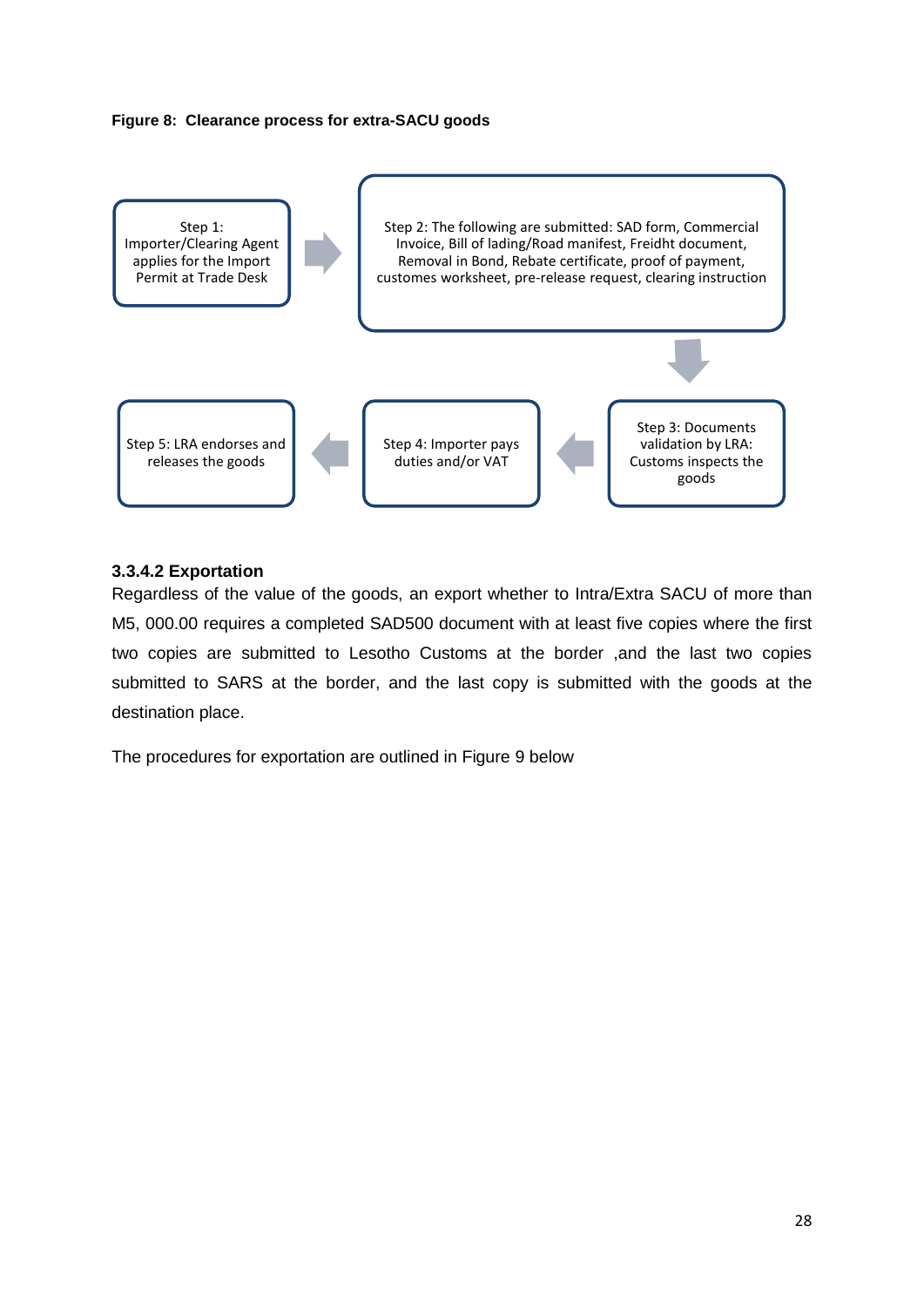#### <span id="page-27-0"></span>**Figure 8: Clearance process for extra-SACU goods**



#### **3.3.4.2 Exportation**

Regardless of the value of the goods, an export whether to Intra/Extra SACU of more than M5, 000.00 requires a completed SAD500 document with at least five copies where the first two copies are submitted to Lesotho Customs at the border ,and the last two copies submitted to SARS at the border, and the last copy is submitted with the goods at the destination place.

The procedures for exportation are outlined in Figure 9 below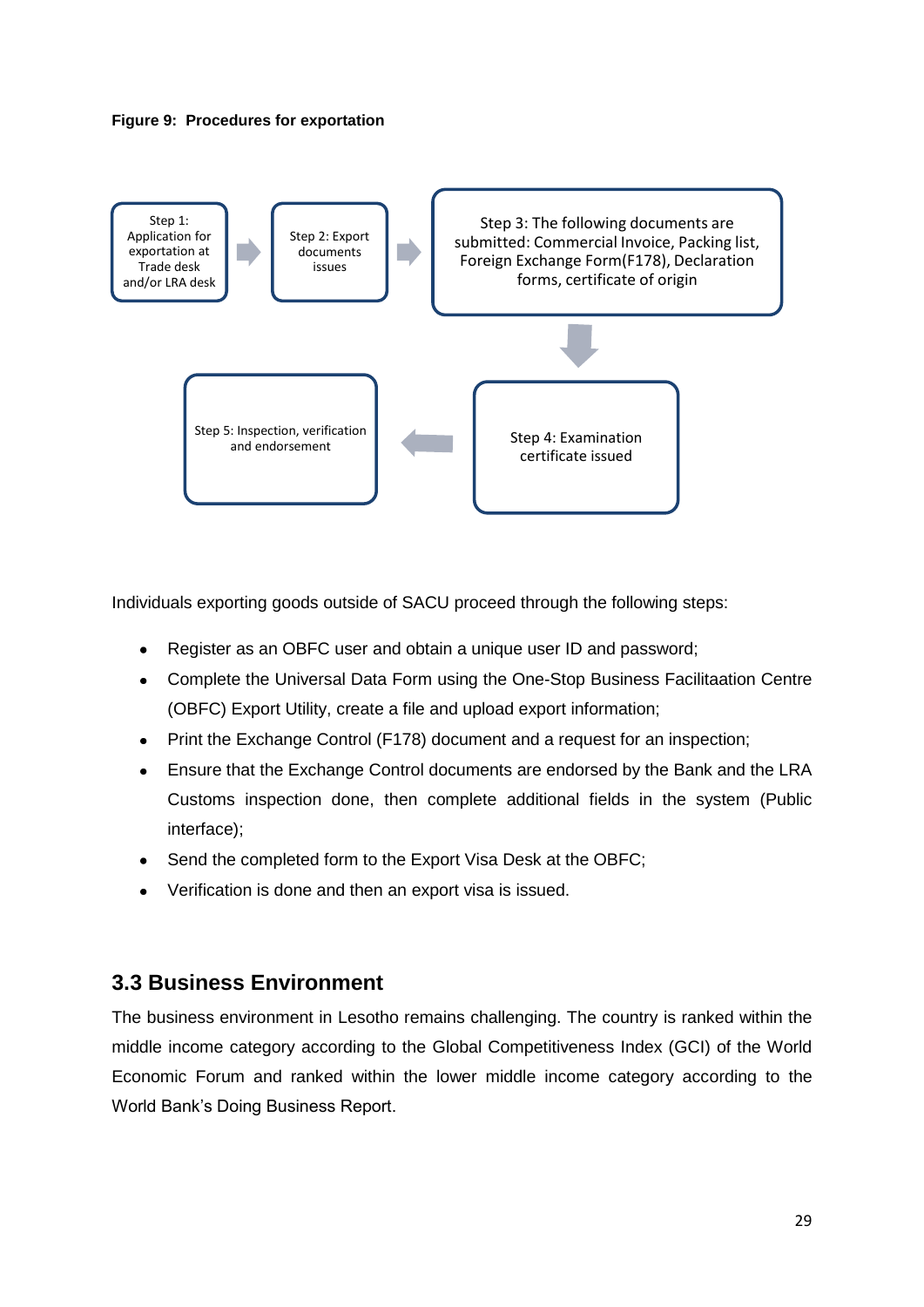<span id="page-28-1"></span>



Individuals exporting goods outside of SACU proceed through the following steps:

- Register as an OBFC user and obtain a unique user ID and password;  $\bullet$
- Complete the Universal Data Form using the One-Stop Business Facilitaation Centre (OBFC) Export Utility, create a file and upload export information;
- Print the Exchange Control (F178) document and a request for an inspection;  $\bullet$
- Ensure that the Exchange Control documents are endorsed by the Bank and the LRA  $\bullet$ Customs inspection done, then complete additional fields in the system (Public interface);
- Send the completed form to the Export Visa Desk at the OBFC;
- Verification is done and then an export visa is issued.

### <span id="page-28-0"></span>**3.3 Business Environment**

The business environment in Lesotho remains challenging. The country is ranked within the middle income category according to the Global Competitiveness Index (GCI) of the World Economic Forum and ranked within the lower middle income category according to the World Bank's Doing Business Report.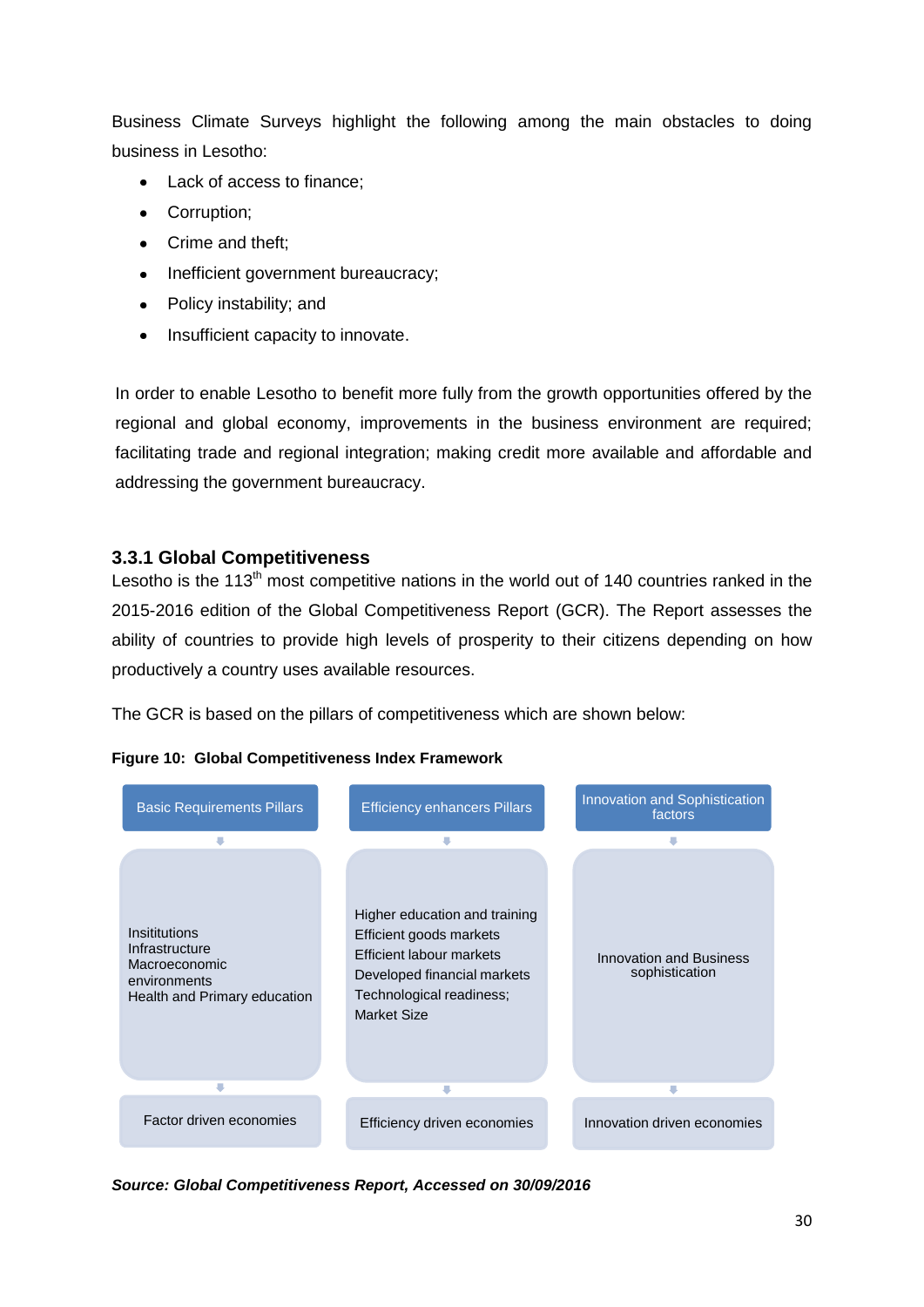Business Climate Surveys highlight the following among the main obstacles to doing business in Lesotho:

- Lack of access to finance:
- Corruption;  $\bullet$
- Crime and theft;
- $\bullet$ Inefficient government bureaucracy;
- Policy instability; and  $\bullet$
- Insufficient capacity to innovate.

In order to enable Lesotho to benefit more fully from the growth opportunities offered by the regional and global economy, improvements in the business environment are required; facilitating trade and regional integration; making credit more available and affordable and addressing the government bureaucracy.

#### <span id="page-29-0"></span>**3.3.1 Global Competitiveness**

Lesotho is the  $113<sup>th</sup>$  most competitive nations in the world out of 140 countries ranked in the 2015-2016 edition of the Global Competitiveness Report (GCR). The Report assesses the ability of countries to provide high levels of prosperity to their citizens depending on how productively a country uses available resources.

The GCR is based on the pillars of competitiveness which are shown below:



<span id="page-29-1"></span>**Figure 10: Global Competitiveness Index Framework**

*Source: Global Competitiveness Report, Accessed on 30/09/2016*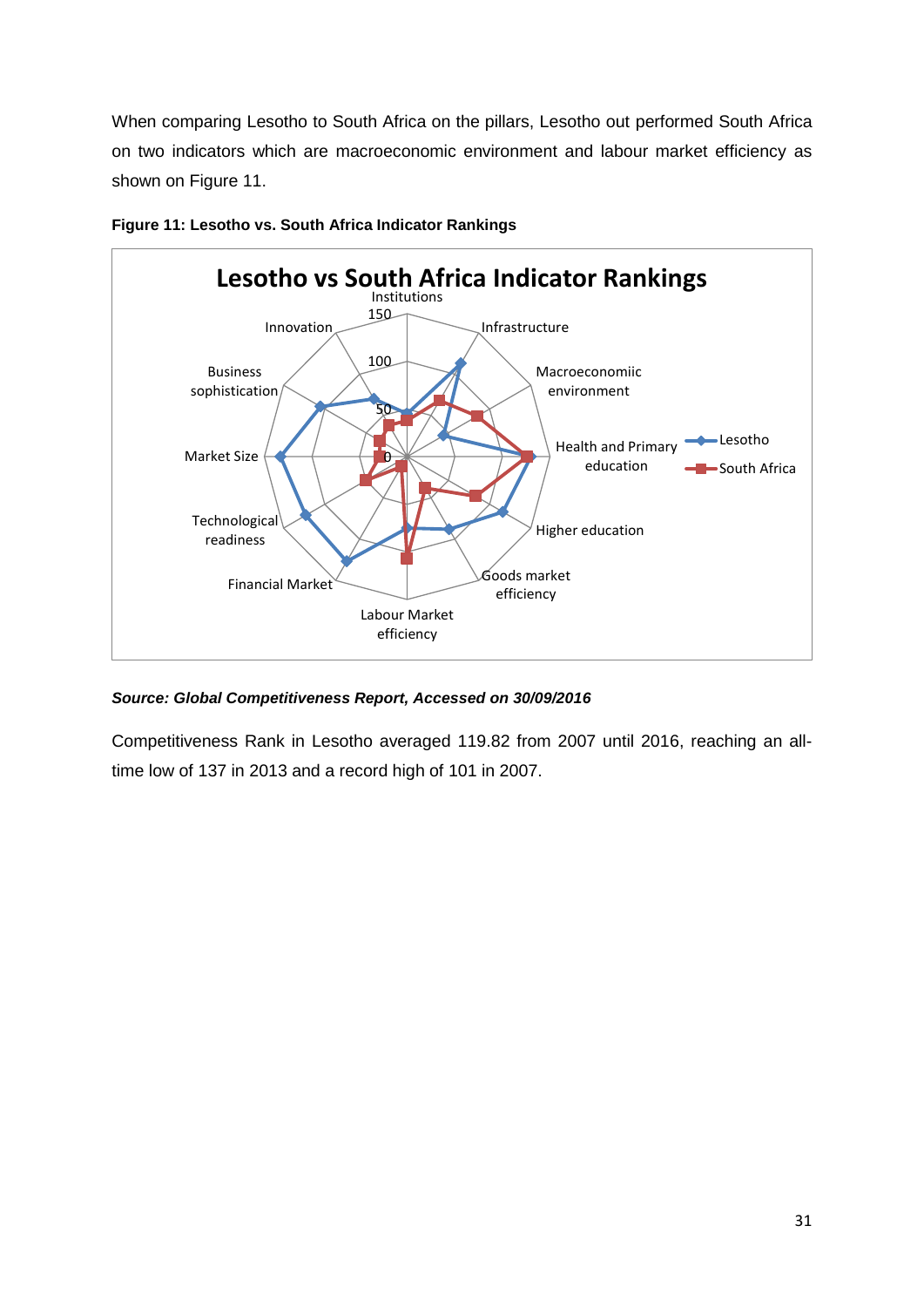When comparing Lesotho to South Africa on the pillars, Lesotho out performed South Africa on two indicators which are macroeconomic environment and labour market efficiency as shown on Figure 11.



<span id="page-30-0"></span>**Figure 11: Lesotho vs. South Africa Indicator Rankings**

*Source: Global Competitiveness Report, Accessed on 30/09/2016*

Competitiveness Rank in Lesotho averaged 119.82 from 2007 until 2016, reaching an alltime low of 137 in 2013 and a record high of 101 in 2007.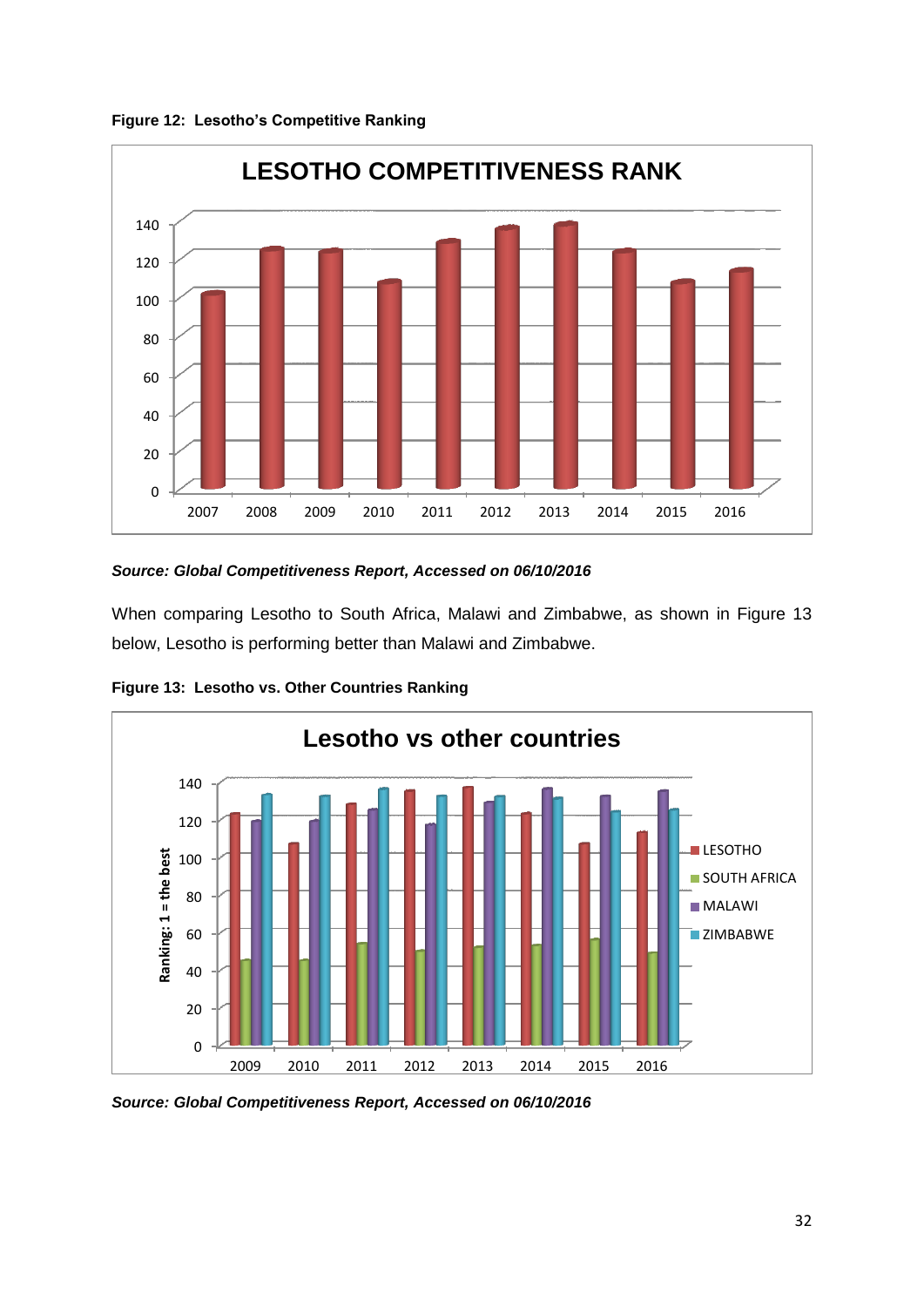<span id="page-31-0"></span>**Figure 12: Lesotho's Competitive Ranking**



#### *Source: Global Competitiveness Report, Accessed on 06/10/2016*

When comparing Lesotho to South Africa, Malawi and Zimbabwe, as shown in Figure 13 below, Lesotho is performing better than Malawi and Zimbabwe.



<span id="page-31-1"></span>**Figure 13: Lesotho vs. Other Countries Ranking**

*Source: Global Competitiveness Report, Accessed on 06/10/2016*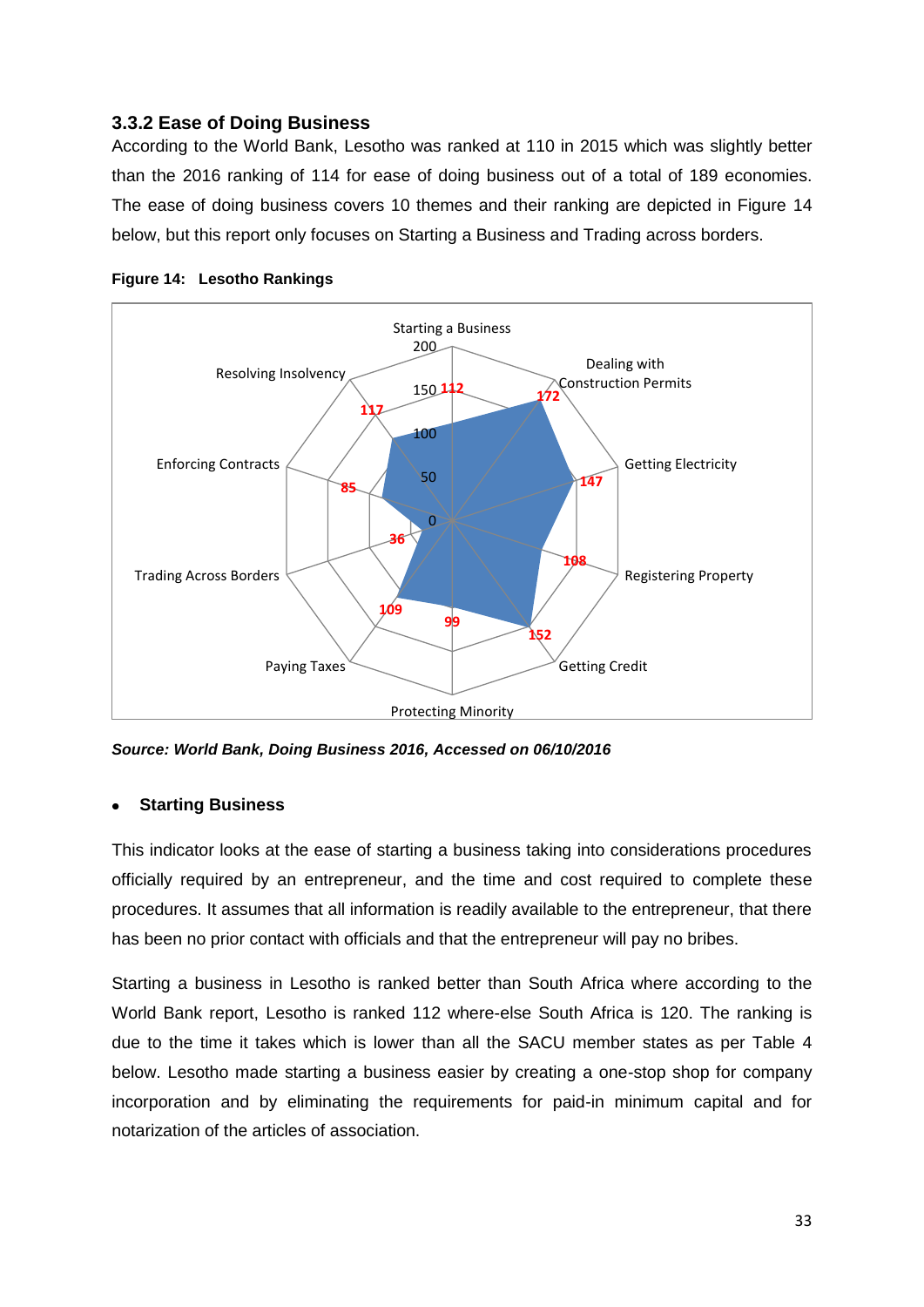#### <span id="page-32-0"></span>**3.3.2 Ease of Doing Business**

According to the World Bank, Lesotho was ranked at 110 in 2015 which was slightly better than the 2016 ranking of 114 for ease of doing business out of a total of 189 economies. The ease of doing business covers 10 themes and their ranking are depicted in Figure 14 below, but this report only focuses on Starting a Business and Trading across borders.



<span id="page-32-1"></span>

*Source: World Bank, Doing Business 2016, Accessed on 06/10/2016*

#### **Starting Business**

This indicator looks at the ease of starting a business taking into considerations procedures officially required by an entrepreneur, and the time and cost required to complete these procedures. It assumes that all information is readily available to the entrepreneur, that there has been no prior contact with officials and that the entrepreneur will pay no bribes.

Starting a business in Lesotho is ranked better than South Africa where according to the World Bank report, Lesotho is ranked 112 where-else South Africa is 120. The ranking is due to the time it takes which is lower than all the SACU member states as per Table 4 below. Lesotho made starting a business easier by creating a one-stop shop for company incorporation and by eliminating the requirements for paid-in minimum capital and for notarization of the articles of association.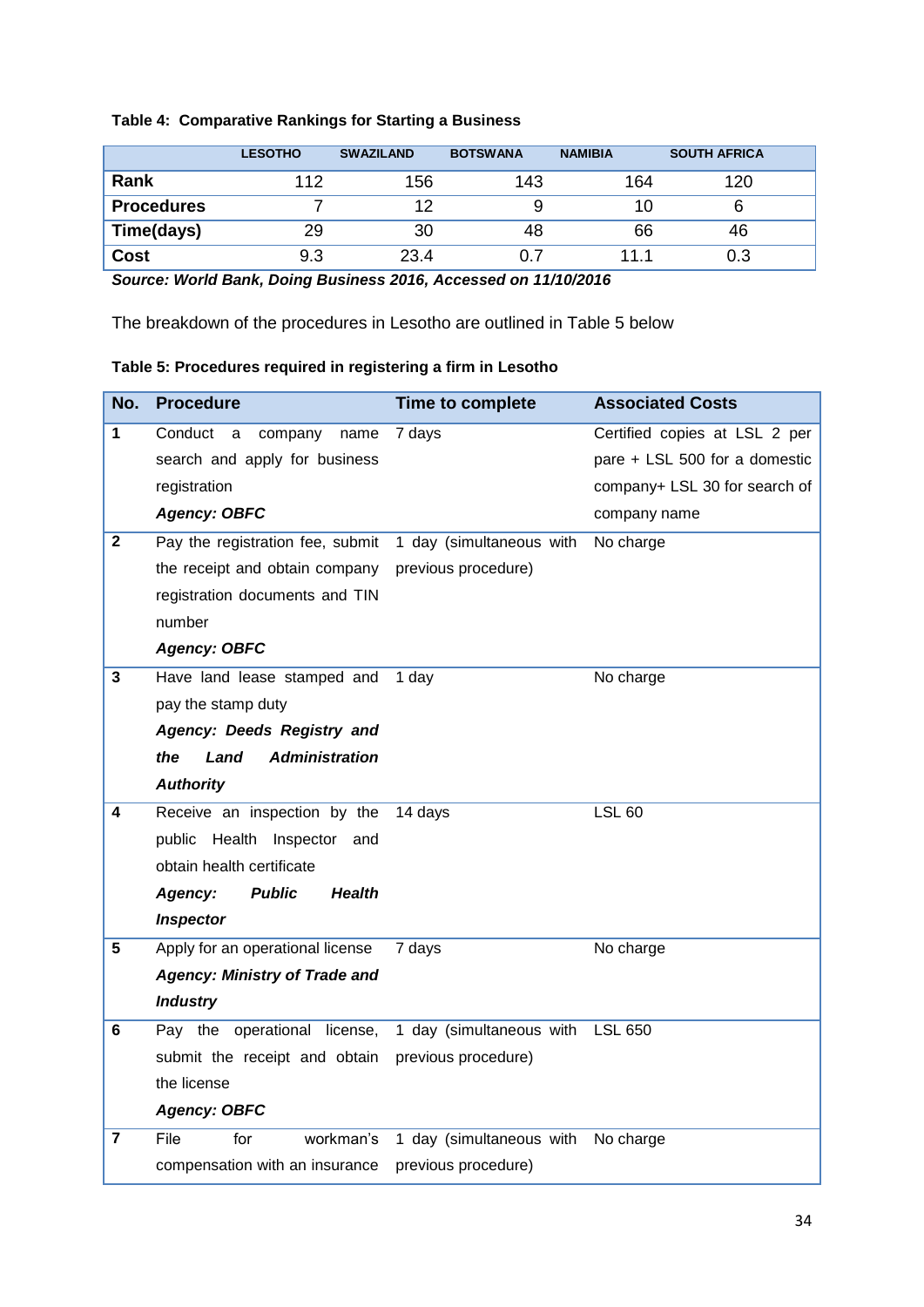#### <span id="page-33-0"></span>**Table 4: Comparative Rankings for Starting a Business**

|                   | <b>LESOTHO</b> | <b>SWAZILAND</b> | <b>BOTSWANA</b> | <b>NAMIBIA</b> | <b>SOUTH AFRICA</b> |
|-------------------|----------------|------------------|-----------------|----------------|---------------------|
| Rank              | 112            | 156              | 143             | 164            | 120                 |
| <b>Procedures</b> |                | 12               |                 | 10             |                     |
| Time(days)        | 29             | 30               | 48              | 66             | 46                  |
| <b>Cost</b>       | 9.3            | 23.4             | 0.7             | 11.1           | 0.3                 |

*Source: World Bank, Doing Business 2016, Accessed on 11/10/2016*

The breakdown of the procedures in Lesotho are outlined in Table 5 below

#### <span id="page-33-1"></span>**Table 5: Procedures required in registering a firm in Lesotho**

| No.          | <b>Procedure</b>                          | Time to complete         | <b>Associated Costs</b>       |
|--------------|-------------------------------------------|--------------------------|-------------------------------|
| 1            | Conduct<br>company<br>name<br>a           | 7 days                   | Certified copies at LSL 2 per |
|              | search and apply for business             |                          | pare + LSL 500 for a domestic |
|              | registration                              |                          | company+ LSL 30 for search of |
|              | <b>Agency: OBFC</b>                       |                          | company name                  |
| $\mathbf{2}$ | Pay the registration fee, submit          | 1 day (simultaneous with | No charge                     |
|              | the receipt and obtain company            | previous procedure)      |                               |
|              | registration documents and TIN            |                          |                               |
|              | number                                    |                          |                               |
|              | <b>Agency: OBFC</b>                       |                          |                               |
| 3            | Have land lease stamped and               | 1 day                    | No charge                     |
|              | pay the stamp duty                        |                          |                               |
|              | Agency: Deeds Registry and                |                          |                               |
|              | <b>Administration</b><br>the<br>Land      |                          |                               |
|              | <b>Authority</b>                          |                          |                               |
| 4            | Receive an inspection by the              | 14 days                  | <b>LSL 60</b>                 |
|              | public Health<br>Inspector and            |                          |                               |
|              | obtain health certificate                 |                          |                               |
|              | <b>Public</b><br><b>Health</b><br>Agency: |                          |                               |
|              | <b>Inspector</b>                          |                          |                               |
| 5            | Apply for an operational license          | 7 days                   | No charge                     |
|              | <b>Agency: Ministry of Trade and</b>      |                          |                               |
|              | <b>Industry</b>                           |                          |                               |
| 6            | Pay the operational license,              | 1 day (simultaneous with | LSL 650                       |
|              | submit the receipt and obtain             | previous procedure)      |                               |
|              | the license                               |                          |                               |
|              | <b>Agency: OBFC</b>                       |                          |                               |
| 7            | File<br>for<br>workman's                  | 1 day (simultaneous with | No charge                     |
|              | compensation with an insurance            | previous procedure)      |                               |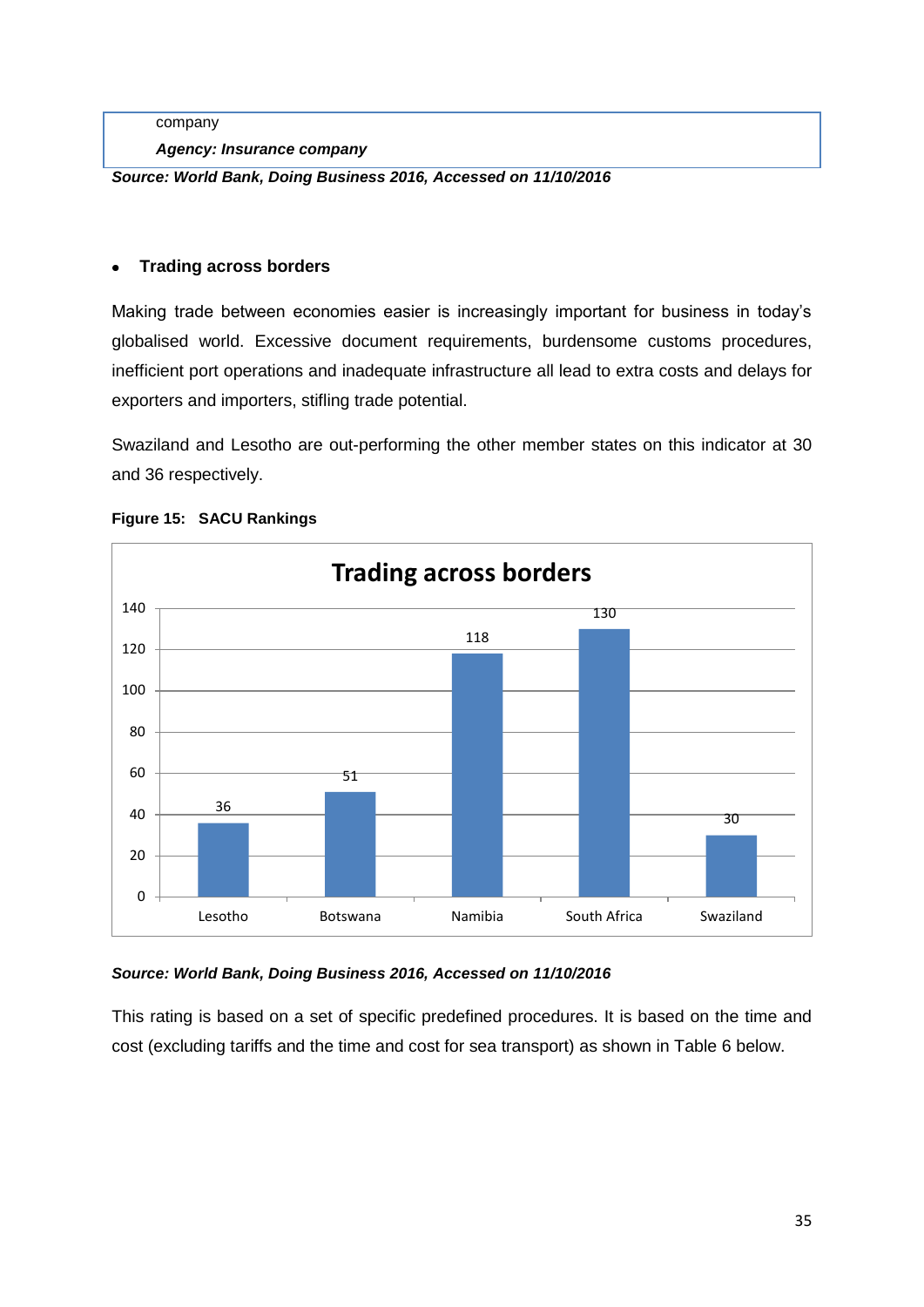company

*Agency: Insurance company*

*Source: World Bank, Doing Business 2016, Accessed on 11/10/2016*

#### **Trading across borders**

Making trade between economies easier is increasingly important for business in today's globalised world. Excessive document requirements, burdensome customs procedures, inefficient port operations and inadequate infrastructure all lead to extra costs and delays for exporters and importers, stifling trade potential.

Swaziland and Lesotho are out-performing the other member states on this indicator at 30 and 36 respectively.



#### <span id="page-34-0"></span>**Figure 15: SACU Rankings**

*Source: World Bank, Doing Business 2016, Accessed on 11/10/2016*

This rating is based on a set of specific predefined procedures. It is based on the time and cost (excluding tariffs and the time and cost for sea transport) as shown in Table 6 below.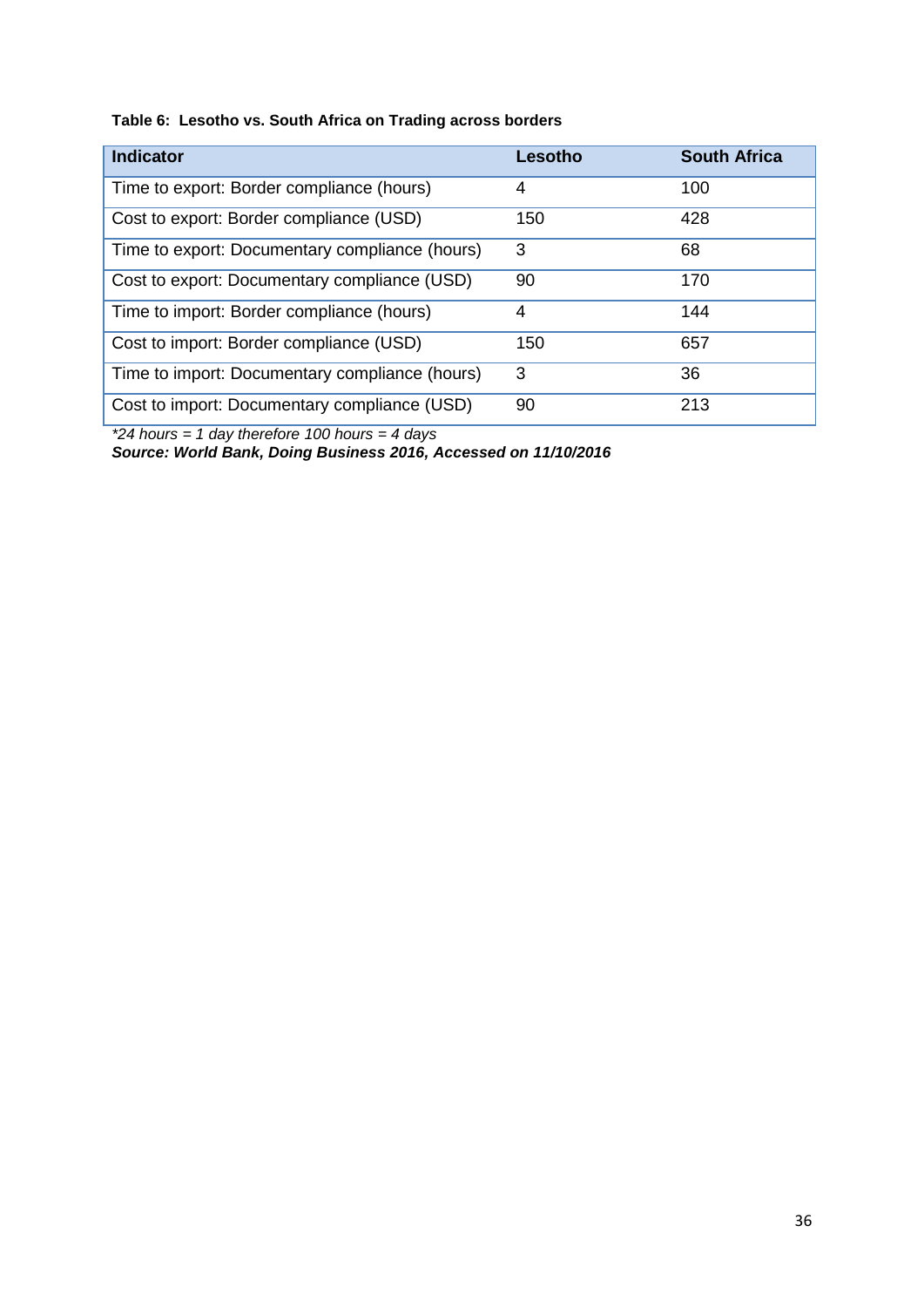#### <span id="page-35-0"></span>**Table 6: Lesotho vs. South Africa on Trading across borders**

| <b>Indicator</b>                               | Lesotho | <b>South Africa</b> |
|------------------------------------------------|---------|---------------------|
| Time to export: Border compliance (hours)      | 4       | 100                 |
| Cost to export: Border compliance (USD)        | 150     | 428                 |
| Time to export: Documentary compliance (hours) | 3       | 68                  |
| Cost to export: Documentary compliance (USD)   | 90      | 170                 |
| Time to import: Border compliance (hours)      | 4       | 144                 |
| Cost to import: Border compliance (USD)        | 150     | 657                 |
| Time to import: Documentary compliance (hours) | 3       | 36                  |
| Cost to import: Documentary compliance (USD)   | 90      | 213                 |

*\*24 hours = 1 day therefore 100 hours = 4 days*

*Source: World Bank, Doing Business 2016, Accessed on 11/10/2016*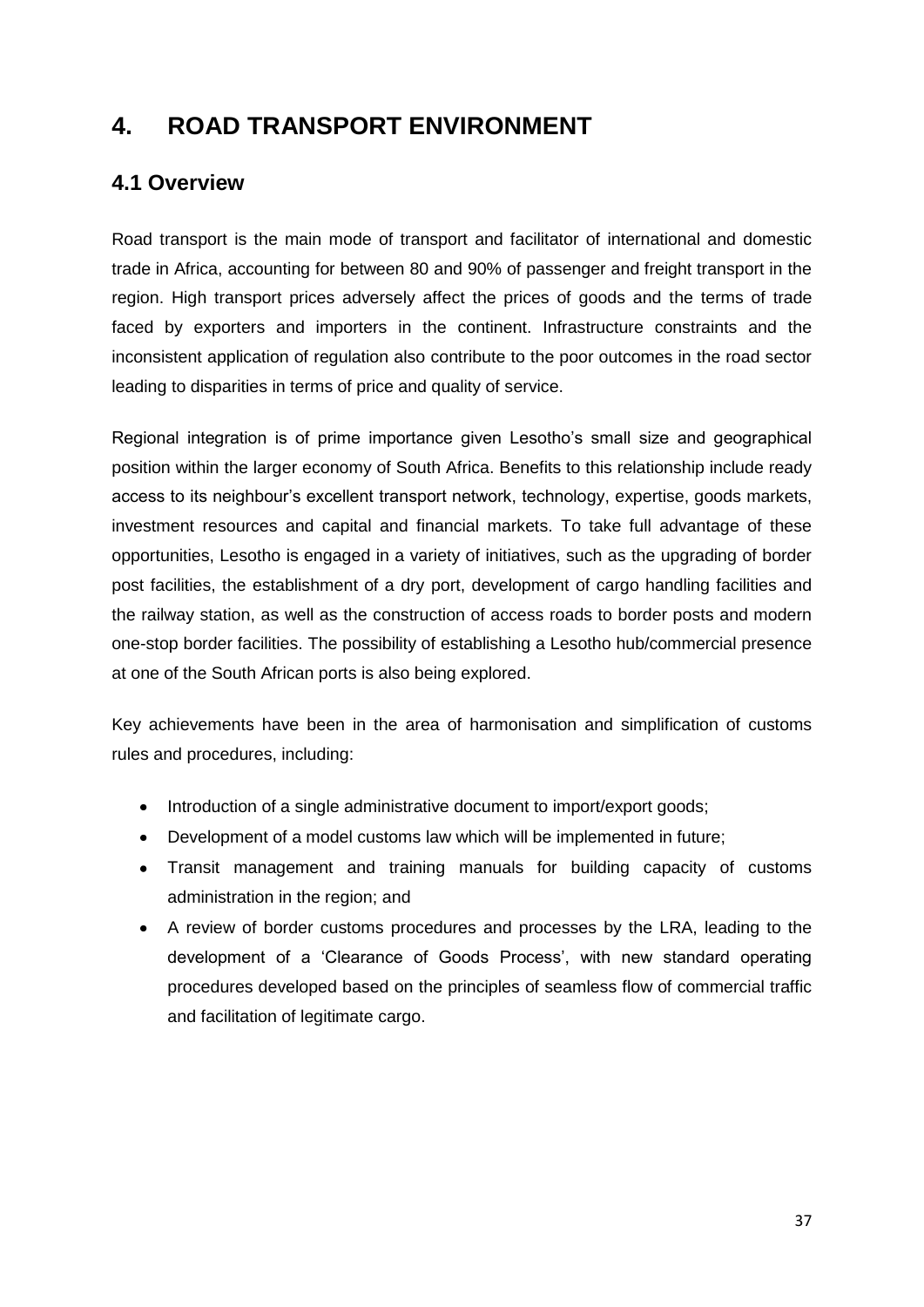### <span id="page-36-0"></span>**4. ROAD TRANSPORT ENVIRONMENT**

### <span id="page-36-1"></span>**4.1 Overview**

Road transport is the main mode of transport and facilitator of international and domestic trade in Africa, accounting for between 80 and 90% of passenger and freight transport in the region. High transport prices adversely affect the prices of goods and the terms of trade faced by exporters and importers in the continent. Infrastructure constraints and the inconsistent application of regulation also contribute to the poor outcomes in the road sector leading to disparities in terms of price and quality of service.

Regional integration is of prime importance given Lesotho's small size and geographical position within the larger economy of South Africa. Benefits to this relationship include ready access to its neighbour's excellent transport network, technology, expertise, goods markets, investment resources and capital and financial markets. To take full advantage of these opportunities, Lesotho is engaged in a variety of initiatives, such as the upgrading of border post facilities, the establishment of a dry port, development of cargo handling facilities and the railway station, as well as the construction of access roads to border posts and modern one-stop border facilities. The possibility of establishing a Lesotho hub/commercial presence at one of the South African ports is also being explored.

Key achievements have been in the area of harmonisation and simplification of customs rules and procedures, including:

- Introduction of a single administrative document to import/export goods;
- Development of a model customs law which will be implemented in future;
- Transit management and training manuals for building capacity of customs administration in the region; and
- A review of border customs procedures and processes by the LRA, leading to the development of a 'Clearance of Goods Process', with new standard operating procedures developed based on the principles of seamless flow of commercial traffic and facilitation of legitimate cargo.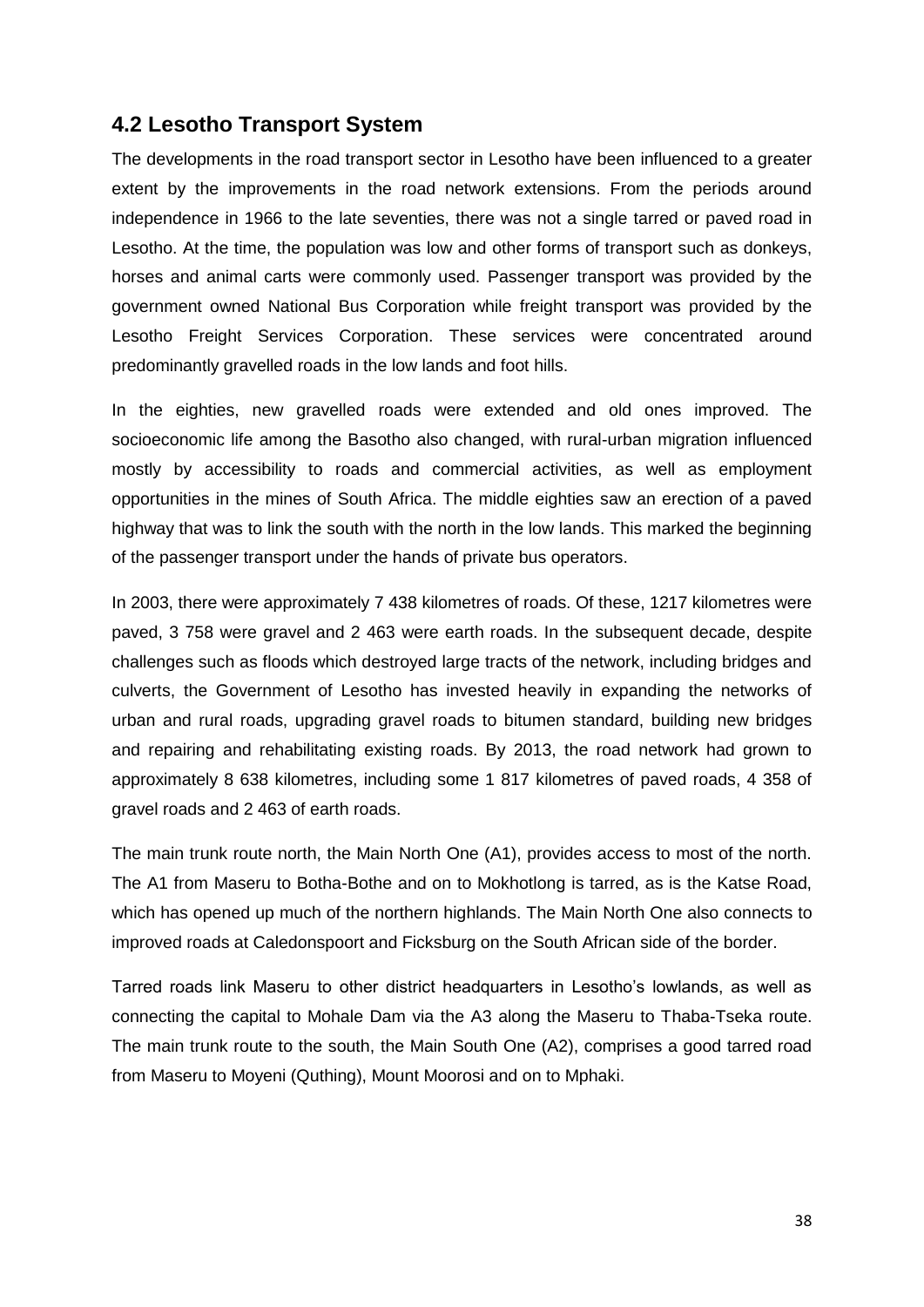#### <span id="page-37-0"></span>**4.2 Lesotho Transport System**

The developments in the road transport sector in Lesotho have been influenced to a greater extent by the improvements in the road network extensions. From the periods around independence in 1966 to the late seventies, there was not a single tarred or paved road in Lesotho. At the time, the population was low and other forms of transport such as donkeys, horses and animal carts were commonly used. Passenger transport was provided by the government owned National Bus Corporation while freight transport was provided by the Lesotho Freight Services Corporation. These services were concentrated around predominantly gravelled roads in the low lands and foot hills.

In the eighties, new gravelled roads were extended and old ones improved. The socioeconomic life among the Basotho also changed, with rural-urban migration influenced mostly by accessibility to roads and commercial activities, as well as employment opportunities in the mines of South Africa. The middle eighties saw an erection of a paved highway that was to link the south with the north in the low lands. This marked the beginning of the passenger transport under the hands of private bus operators.

In 2003, there were approximately 7 438 kilometres of roads. Of these, 1217 kilometres were paved, 3 758 were gravel and 2 463 were earth roads. In the subsequent decade, despite challenges such as floods which destroyed large tracts of the network, including bridges and culverts, the Government of Lesotho has invested heavily in expanding the networks of urban and rural roads, upgrading gravel roads to bitumen standard, building new bridges and repairing and rehabilitating existing roads. By 2013, the road network had grown to approximately 8 638 kilometres, including some 1 817 kilometres of paved roads, 4 358 of gravel roads and 2 463 of earth roads.

The main trunk route north, the Main North One (A1), provides access to most of the north. The A1 from Maseru to Botha-Bothe and on to Mokhotlong is tarred, as is the Katse Road, which has opened up much of the northern highlands. The Main North One also connects to improved roads at Caledonspoort and Ficksburg on the South African side of the border.

Tarred roads link Maseru to other district headquarters in Lesotho's lowlands, as well as connecting the capital to Mohale Dam via the A3 along the Maseru to Thaba-Tseka route. The main trunk route to the south, the Main South One (A2), comprises a good tarred road from Maseru to Moyeni (Quthing), Mount Moorosi and on to Mphaki.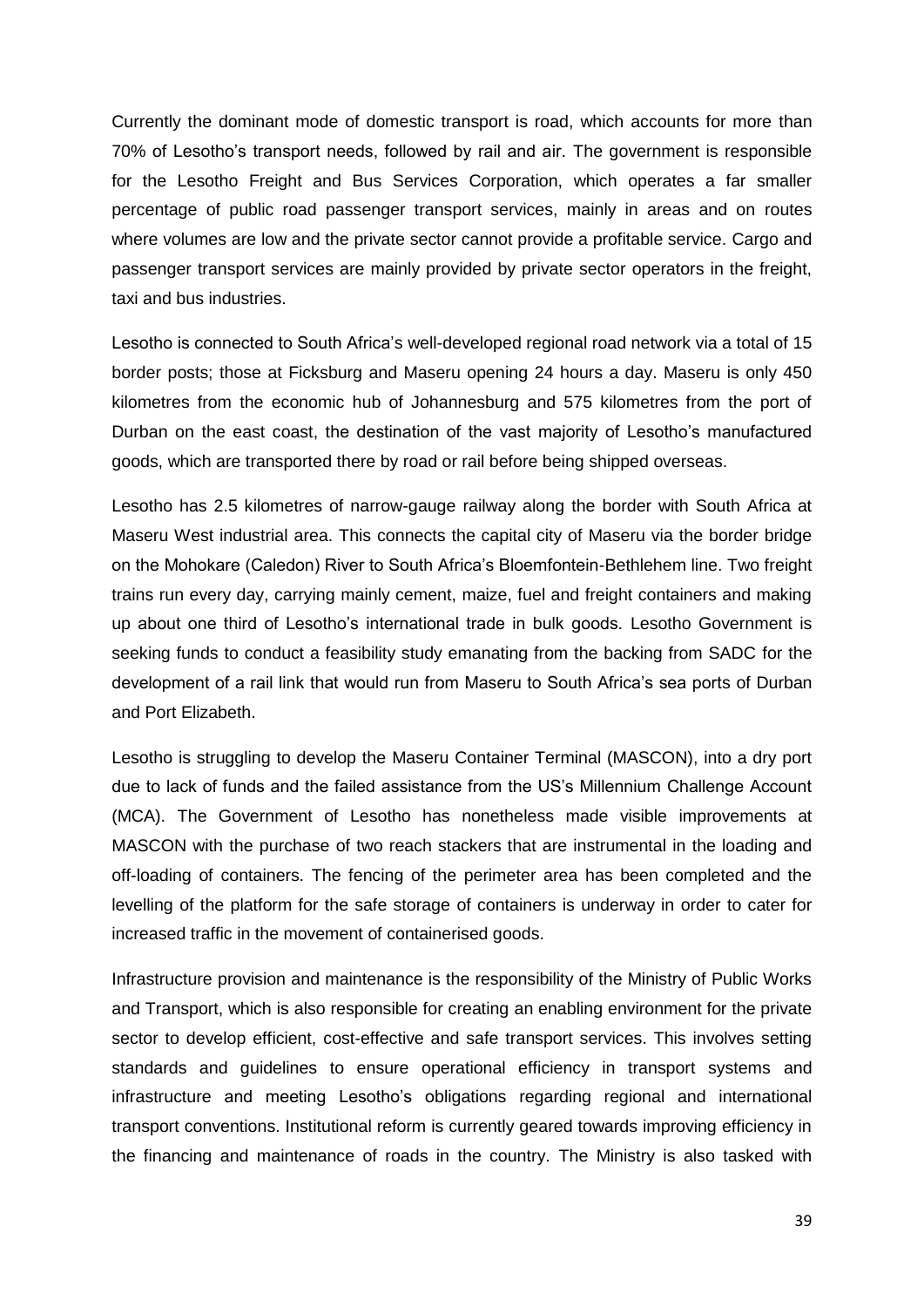Currently the dominant mode of domestic transport is road, which accounts for more than 70% of Lesotho's transport needs, followed by rail and air. The government is responsible for the Lesotho Freight and Bus Services Corporation, which operates a far smaller percentage of public road passenger transport services, mainly in areas and on routes where volumes are low and the private sector cannot provide a profitable service. Cargo and passenger transport services are mainly provided by private sector operators in the freight, taxi and bus industries.

Lesotho is connected to South Africa's well-developed regional road network via a total of 15 border posts; those at Ficksburg and Maseru opening 24 hours a day. Maseru is only 450 kilometres from the economic hub of Johannesburg and 575 kilometres from the port of Durban on the east coast, the destination of the vast majority of Lesotho's manufactured goods, which are transported there by road or rail before being shipped overseas.

Lesotho has 2.5 kilometres of narrow-gauge railway along the border with South Africa at Maseru West industrial area. This connects the capital city of Maseru via the border bridge on the Mohokare (Caledon) River to South Africa's Bloemfontein-Bethlehem line. Two freight trains run every day, carrying mainly cement, maize, fuel and freight containers and making up about one third of Lesotho's international trade in bulk goods. Lesotho Government is seeking funds to conduct a feasibility study emanating from the backing from SADC for the development of a rail link that would run from Maseru to South Africa's sea ports of Durban and Port Elizabeth.

Lesotho is struggling to develop the Maseru Container Terminal (MASCON), into a dry port due to lack of funds and the failed assistance from the US's Millennium Challenge Account (MCA). The Government of Lesotho has nonetheless made visible improvements at MASCON with the purchase of two reach stackers that are instrumental in the loading and off-loading of containers. The fencing of the perimeter area has been completed and the levelling of the platform for the safe storage of containers is underway in order to cater for increased traffic in the movement of containerised goods.

Infrastructure provision and maintenance is the responsibility of the Ministry of Public Works and Transport, which is also responsible for creating an enabling environment for the private sector to develop efficient, cost-effective and safe transport services. This involves setting standards and guidelines to ensure operational efficiency in transport systems and infrastructure and meeting Lesotho's obligations regarding regional and international transport conventions. Institutional reform is currently geared towards improving efficiency in the financing and maintenance of roads in the country. The Ministry is also tasked with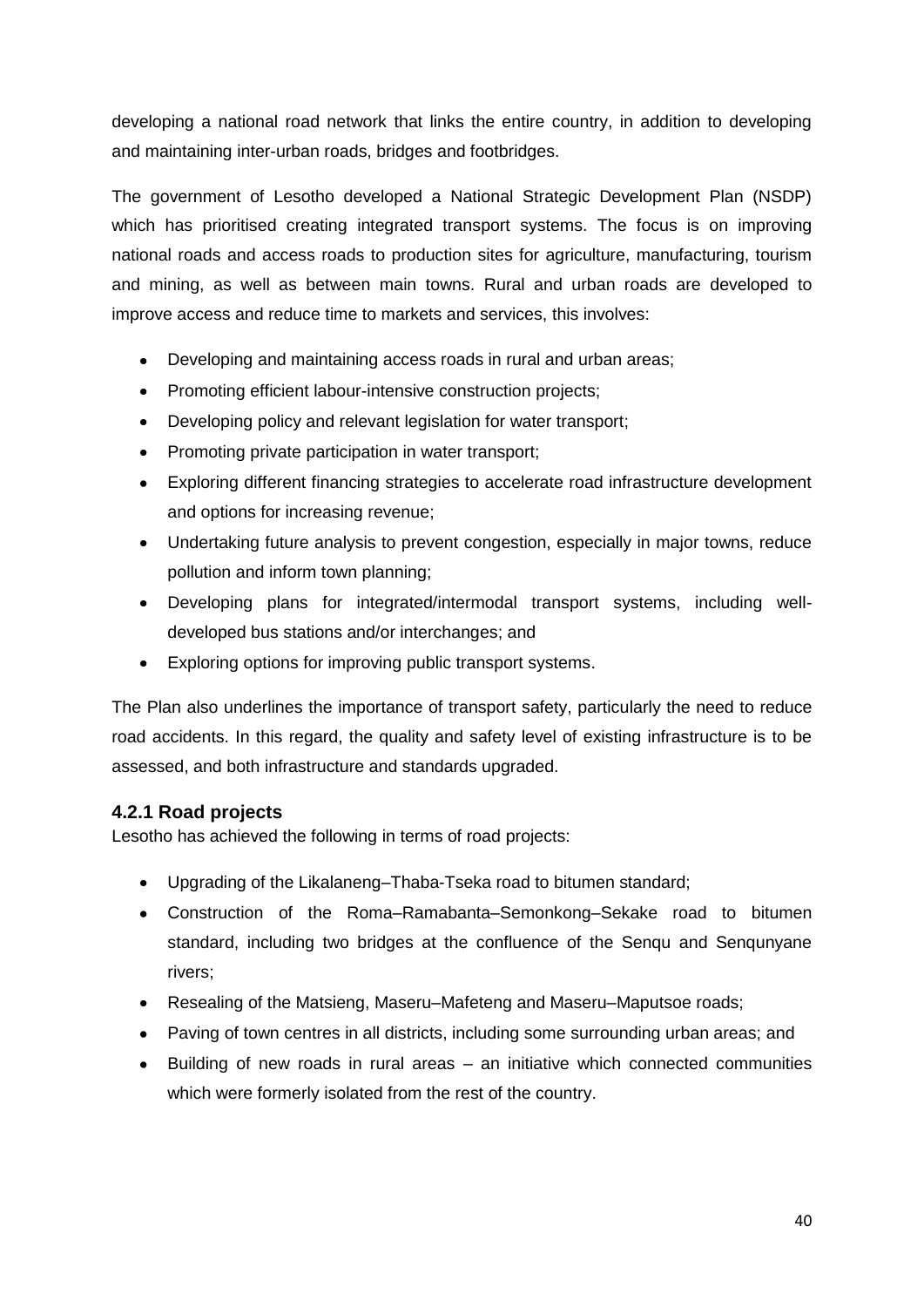developing a national road network that links the entire country, in addition to developing and maintaining inter-urban roads, bridges and footbridges.

The government of Lesotho developed a National Strategic Development Plan (NSDP) which has prioritised creating integrated transport systems. The focus is on improving national roads and access roads to production sites for agriculture, manufacturing, tourism and mining, as well as between main towns. Rural and urban roads are developed to improve access and reduce time to markets and services, this involves:

- Developing and maintaining access roads in rural and urban areas;  $\bullet$
- Promoting efficient labour-intensive construction projects;
- Developing policy and relevant legislation for water transport;
- Promoting private participation in water transport;
- $\bullet$ Exploring different financing strategies to accelerate road infrastructure development and options for increasing revenue;
- Undertaking future analysis to prevent congestion, especially in major towns, reduce pollution and inform town planning;
- Developing plans for integrated/intermodal transport systems, including welldeveloped bus stations and/or interchanges; and
- Exploring options for improving public transport systems.

The Plan also underlines the importance of transport safety, particularly the need to reduce road accidents. In this regard, the quality and safety level of existing infrastructure is to be assessed, and both infrastructure and standards upgraded.

#### <span id="page-39-0"></span>**4.2.1 Road projects**

Lesotho has achieved the following in terms of road projects:

- Upgrading of the Likalaneng–Thaba-Tseka road to bitumen standard;
- Construction of the Roma–Ramabanta–Semonkong–Sekake road to bitumen standard, including two bridges at the confluence of the Senqu and Senqunyane rivers;
- Resealing of the Matsieng, Maseru–Mafeteng and Maseru–Maputsoe roads;
- Paving of town centres in all districts, including some surrounding urban areas; and
- Building of new roads in rural areas an initiative which connected communities which were formerly isolated from the rest of the country.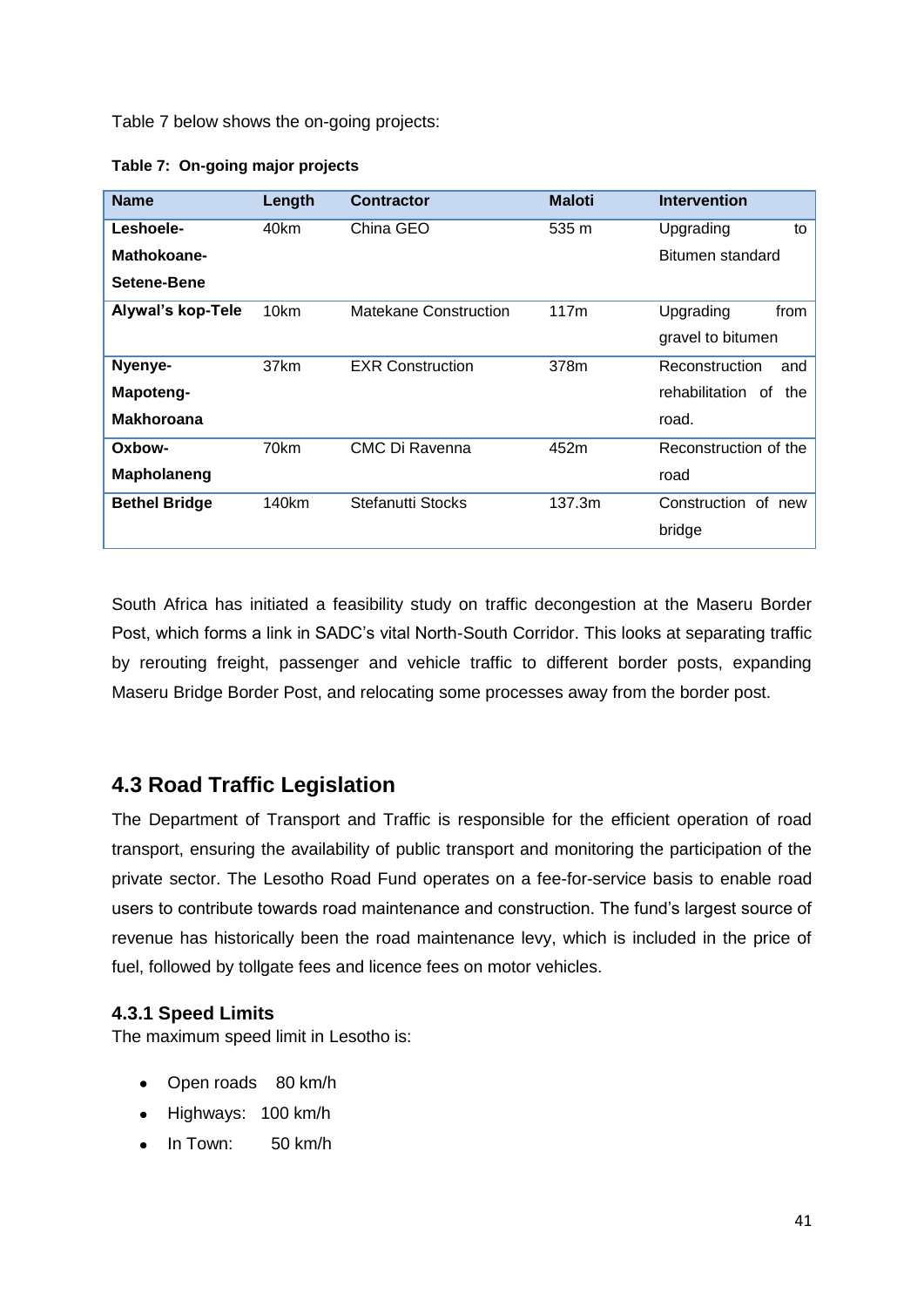Table 7 below shows the on-going projects:

<span id="page-40-2"></span>

| Table 7: On-going major projects |  |
|----------------------------------|--|
|                                  |  |

| <b>Name</b>              | Length | <b>Contractor</b>            | <b>Maloti</b> | <b>Intervention</b>         |
|--------------------------|--------|------------------------------|---------------|-----------------------------|
| Leshoele-                | 40km   | China GEO                    | 535 m         | Upgrading<br>to             |
| Mathokoane-              |        |                              |               | Bitumen standard            |
| Setene-Bene              |        |                              |               |                             |
| <b>Alywal's kop-Tele</b> | 10km   | <b>Matekane Construction</b> | 117m          | Upgrading<br>from           |
|                          |        |                              |               | gravel to bitumen           |
| Nyenye-                  | 37km   | <b>EXR Construction</b>      | 378m          | Reconstruction<br>and       |
| Mapoteng-                |        |                              |               | rehabilitation<br>0f<br>the |
| <b>Makhoroana</b>        |        |                              |               | road.                       |
| Oxbow-                   | 70km   | CMC Di Ravenna               | 452m          | Reconstruction of the       |
| Mapholaneng              |        |                              |               | road                        |
| <b>Bethel Bridge</b>     | 140km  | Stefanutti Stocks            | 137.3m        | Construction of new         |
|                          |        |                              |               | bridge                      |

South Africa has initiated a feasibility study on traffic decongestion at the Maseru Border Post, which forms a link in SADC's vital North-South Corridor. This looks at separating traffic by rerouting freight, passenger and vehicle traffic to different border posts, expanding Maseru Bridge Border Post, and relocating some processes away from the border post.

### <span id="page-40-0"></span>**4.3 Road Traffic Legislation**

The Department of Transport and Traffic is responsible for the efficient operation of road transport, ensuring the availability of public transport and monitoring the participation of the private sector. The Lesotho Road Fund operates on a fee-for-service basis to enable road users to contribute towards road maintenance and construction. The fund's largest source of revenue has historically been the road maintenance levy, which is included in the price of fuel, followed by tollgate fees and licence fees on motor vehicles.

#### <span id="page-40-1"></span>**4.3.1 Speed Limits**

The maximum speed limit in Lesotho is:

- Open roads 80 km/h
- Highways: 100 km/h
- $\bullet$  In Town: 50 km/h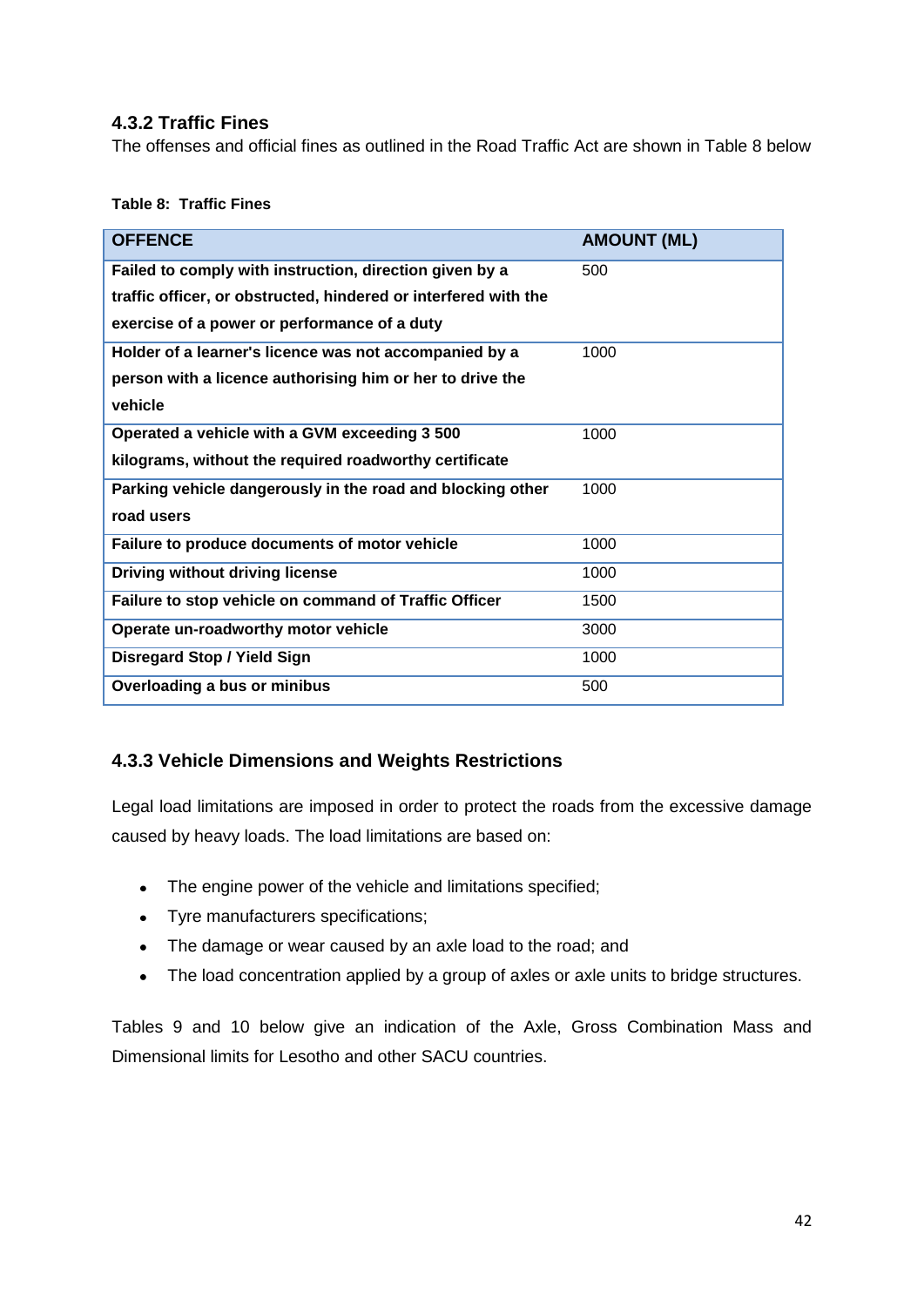#### <span id="page-41-0"></span>**4.3.2 Traffic Fines**

The offenses and official fines as outlined in the Road Traffic Act are shown in Table 8 below

#### <span id="page-41-2"></span>**Table 8: Traffic Fines**

| <b>OFFENCE</b>                                                  | <b>AMOUNT (ML)</b> |
|-----------------------------------------------------------------|--------------------|
|                                                                 |                    |
| Failed to comply with instruction, direction given by a         | 500                |
| traffic officer, or obstructed, hindered or interfered with the |                    |
| exercise of a power or performance of a duty                    |                    |
| Holder of a learner's licence was not accompanied by a          | 1000               |
| person with a licence authorising him or her to drive the       |                    |
| vehicle                                                         |                    |
| Operated a vehicle with a GVM exceeding 3 500                   | 1000               |
| kilograms, without the required roadworthy certificate          |                    |
| Parking vehicle dangerously in the road and blocking other      | 1000               |
| road users                                                      |                    |
| Failure to produce documents of motor vehicle                   | 1000               |
| <b>Driving without driving license</b>                          | 1000               |
| Failure to stop vehicle on command of Traffic Officer           | 1500               |
| Operate un-roadworthy motor vehicle                             | 3000               |
| <b>Disregard Stop / Yield Sign</b>                              | 1000               |
| Overloading a bus or minibus                                    | 500                |

#### <span id="page-41-1"></span>**4.3.3 Vehicle Dimensions and Weights Restrictions**

Legal load limitations are imposed in order to protect the roads from the excessive damage caused by heavy loads. The load limitations are based on:

- The engine power of the vehicle and limitations specified;
- Tyre manufacturers specifications;
- The damage or wear caused by an axle load to the road; and
- The load concentration applied by a group of axles or axle units to bridge structures.

Tables 9 and 10 below give an indication of the Axle, Gross Combination Mass and Dimensional limits for Lesotho and other SACU countries.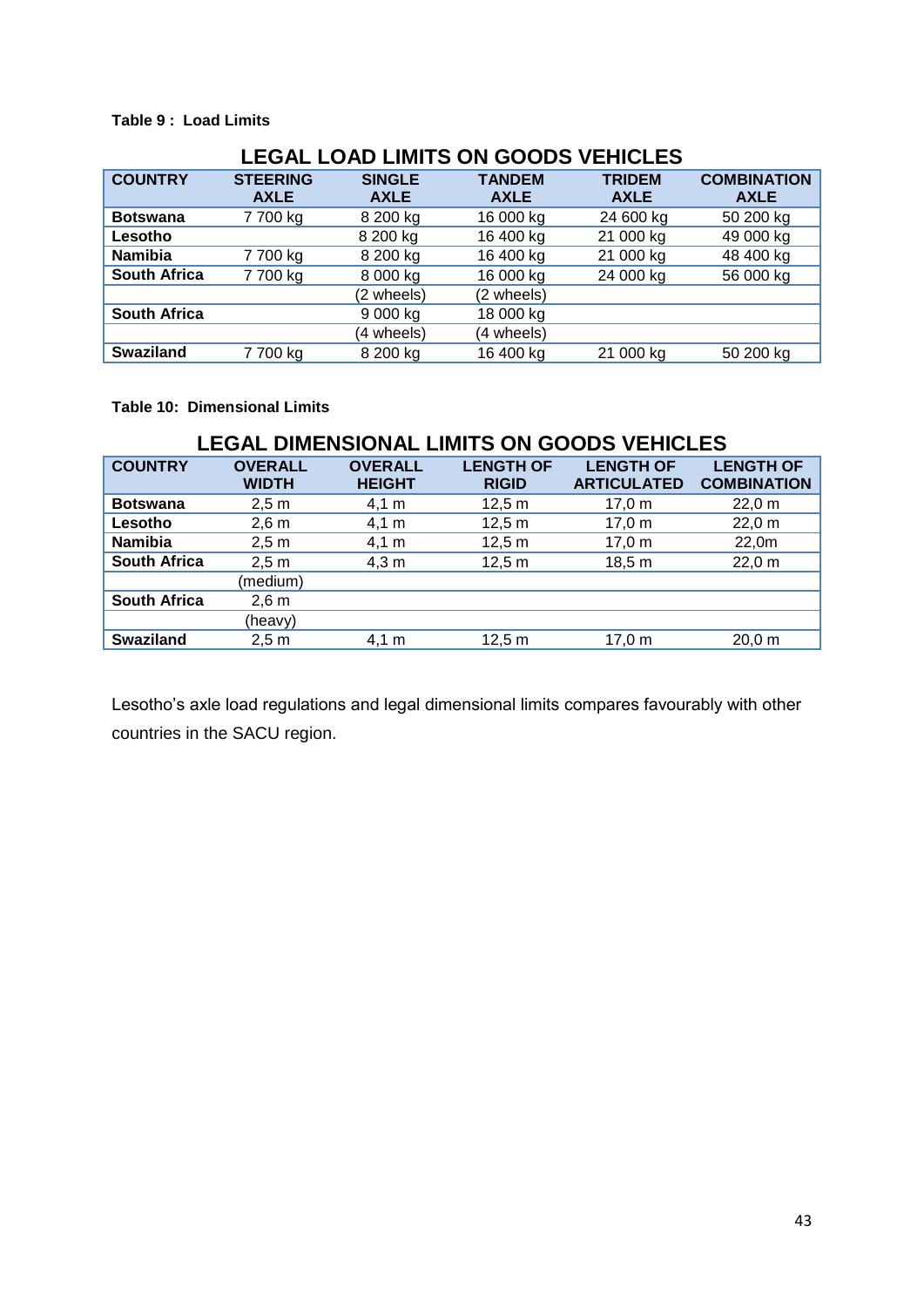#### <span id="page-42-0"></span>**Table 9 : Load Limits**

| <b>LEGAL LOAD LIMITS ON GOODS VEHICLES</b> |                 |               |               |               |                    |  |
|--------------------------------------------|-----------------|---------------|---------------|---------------|--------------------|--|
| <b>COUNTRY</b>                             | <b>STEERING</b> | <b>SINGLE</b> | <b>TANDEM</b> | <b>TRIDEM</b> | <b>COMBINATION</b> |  |
|                                            | <b>AXLE</b>     | <b>AXLE</b>   | <b>AXLE</b>   | <b>AXLE</b>   | <b>AXLE</b>        |  |
| <b>Botswana</b>                            | 7700 kg         | 8 200 kg      | 16 000 kg     | 24 600 kg     | 50 200 kg          |  |
| Lesotho                                    |                 | 8 200 kg      | 16 400 kg     | 21 000 kg     | 49 000 kg          |  |
| <b>Namibia</b>                             | 7 700 kg        | 8 200 kg      | 16 400 kg     | 21 000 kg     | 48 400 kg          |  |
| <b>South Africa</b>                        | 7700 kg         | 8 000 kg      | 16 000 kg     | 24 000 kg     | 56 000 kg          |  |
|                                            |                 | (2 wheels)    | (2 wheels)    |               |                    |  |
| <b>South Africa</b>                        |                 | 9 000 kg      | 18 000 kg     |               |                    |  |
|                                            |                 | (4 wheels)    | (4 wheels)    |               |                    |  |
| <b>Swaziland</b>                           | 7700 kg         | 8 200 kg      | 16 400 kg     | 21 000 kg     | 50 200 kg          |  |

#### <span id="page-42-1"></span>**Table 10: Dimensional Limits**

| <b>LEGAL DIMENSIONAL LIMITS ON GOODS VEHICLES</b> |                                |                                 |                                  |                                        |                                        |  |
|---------------------------------------------------|--------------------------------|---------------------------------|----------------------------------|----------------------------------------|----------------------------------------|--|
| <b>COUNTRY</b>                                    | <b>OVERALL</b><br><b>WIDTH</b> | <b>OVERALL</b><br><b>HEIGHT</b> | <b>LENGTH OF</b><br><b>RIGID</b> | <b>LENGTH OF</b><br><b>ARTICULATED</b> | <b>LENGTH OF</b><br><b>COMBINATION</b> |  |
| <b>Botswana</b>                                   | 2.5 m                          | 4,1 m                           | 12,5 m                           | $17.0 \text{ m}$                       | 22,0 m                                 |  |
| Lesotho                                           | $2,6 \text{ m}$                | 4,1 m                           | 12,5 m                           | 17,0 m                                 | 22,0 m                                 |  |
| <b>Namibia</b>                                    | 2,5 m                          | $4,1 \; m$                      | 12,5 m                           | 17,0 m                                 | 22,0m                                  |  |
| <b>South Africa</b>                               | 2,5 m                          | 4,3 m                           | 12,5 m                           | 18,5 m                                 | 22,0 m                                 |  |
|                                                   | (medium)                       |                                 |                                  |                                        |                                        |  |
| <b>South Africa</b>                               | $2,6 \text{ m}$                |                                 |                                  |                                        |                                        |  |
|                                                   | (heavy)                        |                                 |                                  |                                        |                                        |  |
| <b>Swaziland</b>                                  | 2,5m                           | 4.1 m                           | 12.5 m                           | 17.0 m                                 | 20.0 m                                 |  |

Lesotho's axle load regulations and legal dimensional limits compares favourably with other countries in the SACU region.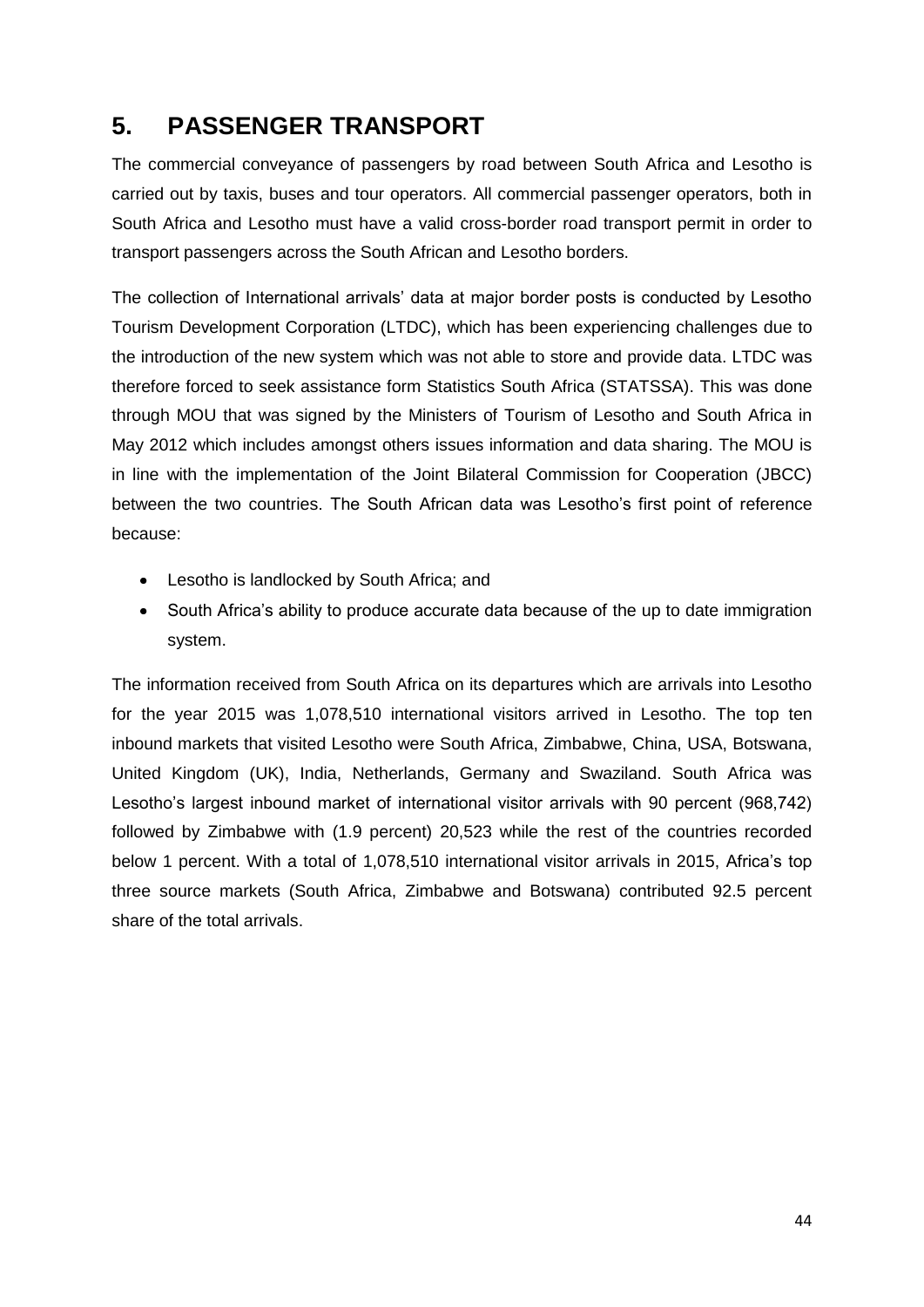## <span id="page-43-0"></span>**5. PASSENGER TRANSPORT**

The commercial conveyance of passengers by road between South Africa and Lesotho is carried out by taxis, buses and tour operators. All commercial passenger operators, both in South Africa and Lesotho must have a valid cross-border road transport permit in order to transport passengers across the South African and Lesotho borders.

The collection of International arrivals' data at major border posts is conducted by Lesotho Tourism Development Corporation (LTDC), which has been experiencing challenges due to the introduction of the new system which was not able to store and provide data. LTDC was therefore forced to seek assistance form Statistics South Africa (STATSSA). This was done through MOU that was signed by the Ministers of Tourism of Lesotho and South Africa in May 2012 which includes amongst others issues information and data sharing. The MOU is in line with the implementation of the Joint Bilateral Commission for Cooperation (JBCC) between the two countries. The South African data was Lesotho's first point of reference because:

- Lesotho is landlocked by South Africa; and
- South Africa's ability to produce accurate data because of the up to date immigration system.

The information received from South Africa on its departures which are arrivals into Lesotho for the year 2015 was 1,078,510 international visitors arrived in Lesotho. The top ten inbound markets that visited Lesotho were South Africa, Zimbabwe, China, USA, Botswana, United Kingdom (UK), India, Netherlands, Germany and Swaziland. South Africa was Lesotho's largest inbound market of international visitor arrivals with 90 percent (968,742) followed by Zimbabwe with (1.9 percent) 20,523 while the rest of the countries recorded below 1 percent. With a total of 1,078,510 international visitor arrivals in 2015, Africa's top three source markets (South Africa, Zimbabwe and Botswana) contributed 92.5 percent share of the total arrivals.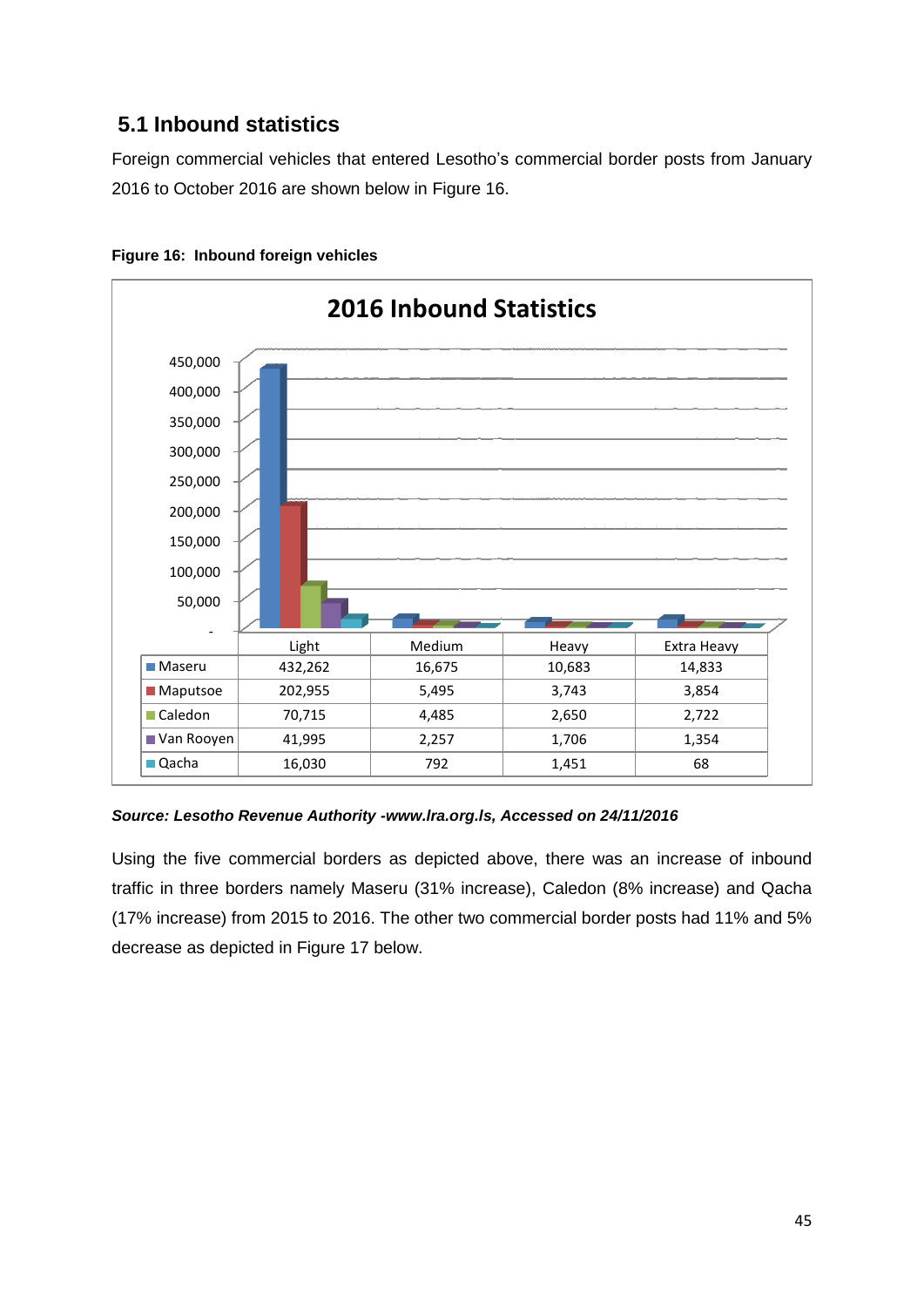### <span id="page-44-0"></span>**5.1 Inbound statistics**

Foreign commercial vehicles that entered Lesotho's commercial border posts from January 2016 to October 2016 are shown below in Figure 16.



<span id="page-44-1"></span>

*Source: Lesotho Revenue Authority -www.lra.org.ls, Accessed on 24/11/2016*

Using the five commercial borders as depicted above, there was an increase of inbound traffic in three borders namely Maseru (31% increase), Caledon (8% increase) and Qacha (17% increase) from 2015 to 2016. The other two commercial border posts had 11% and 5% decrease as depicted in Figure 17 below.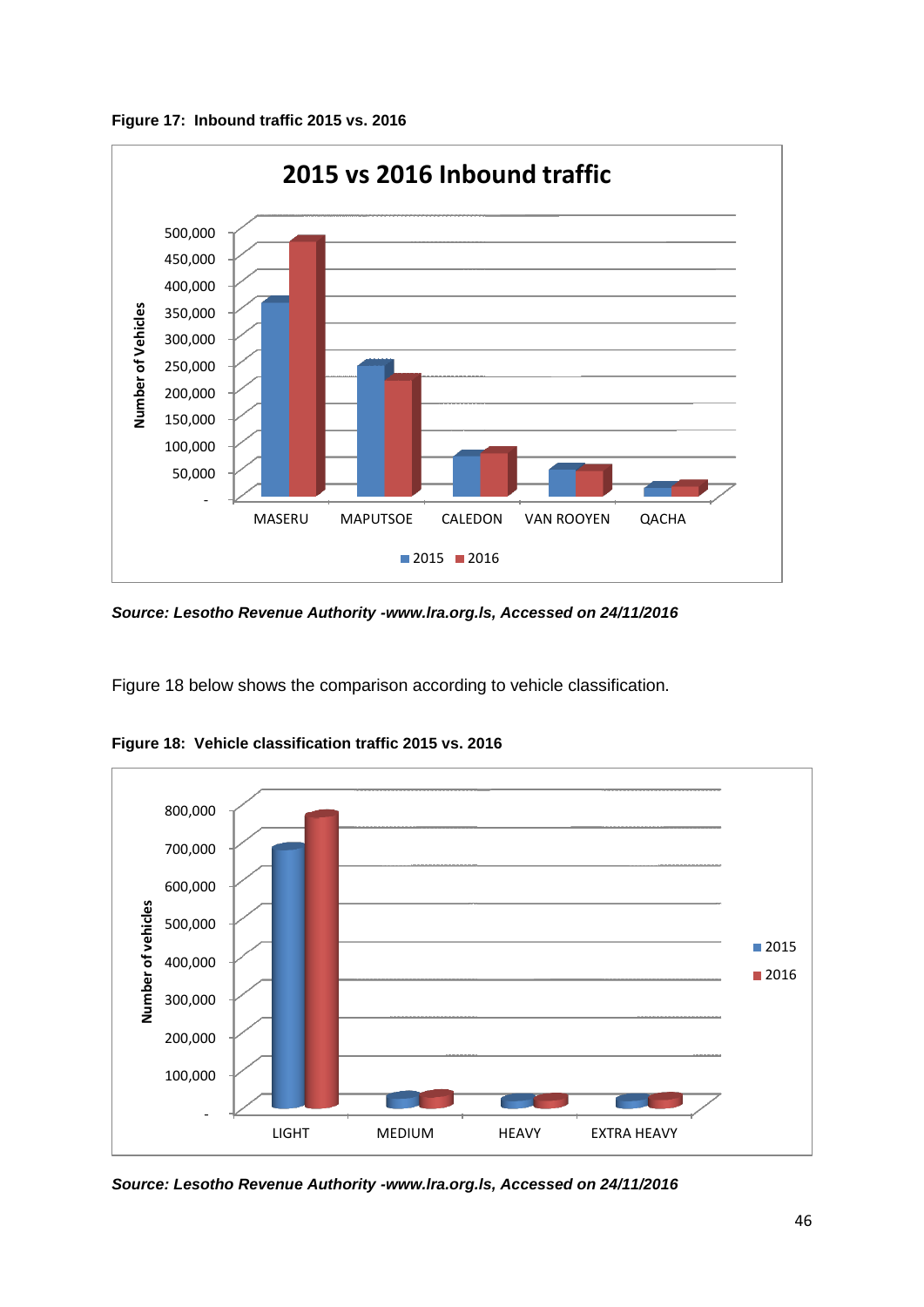<span id="page-45-0"></span>**Figure 17: Inbound traffic 2015 vs. 2016**



*Source: Lesotho Revenue Authority -www.lra.org.ls, Accessed on 24/11/2016*

Figure 18 below shows the comparison according to vehicle classification.



<span id="page-45-1"></span>**Figure 18: Vehicle classification traffic 2015 vs. 2016**

*Source: Lesotho Revenue Authority -www.lra.org.ls, Accessed on 24/11/2016*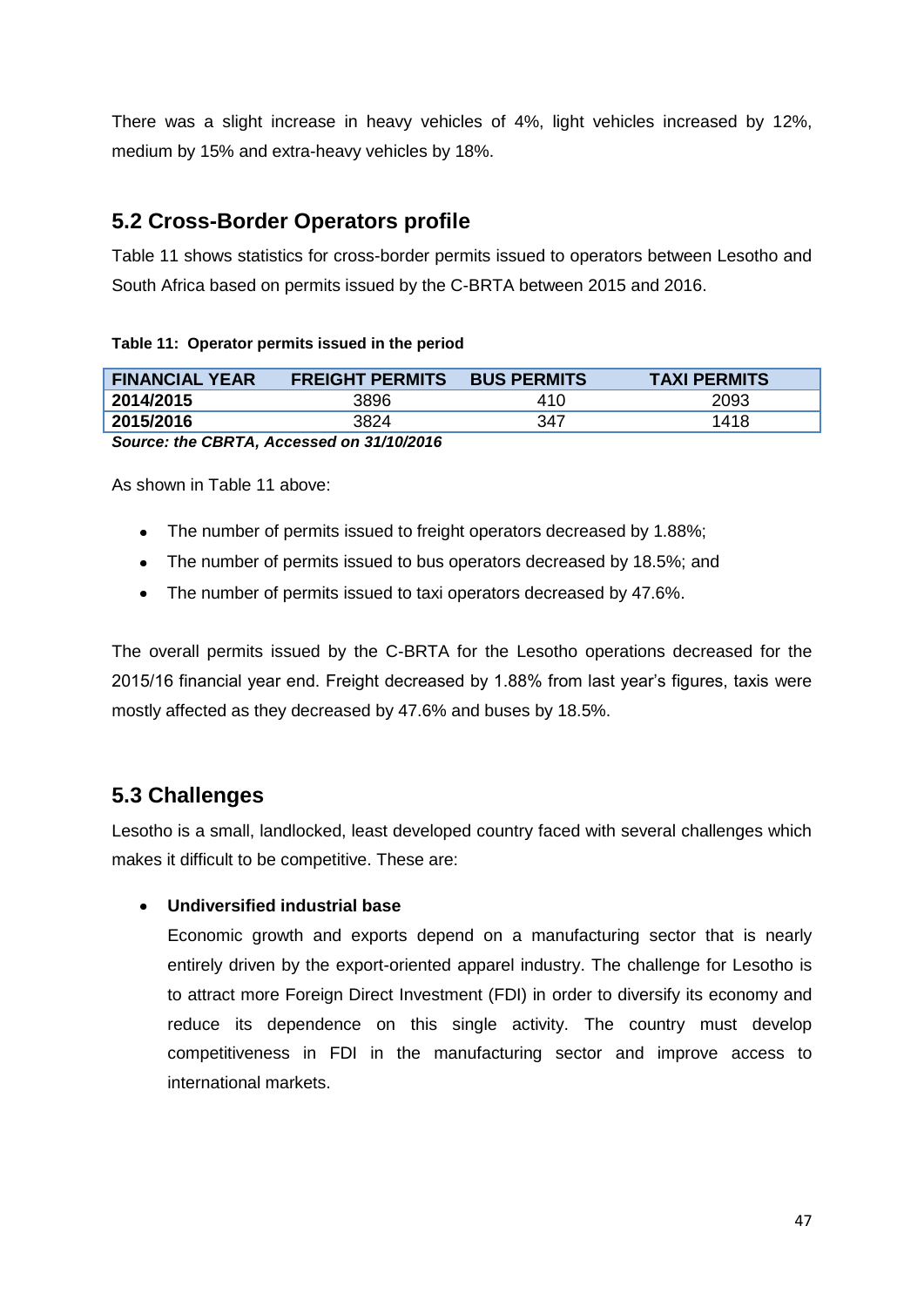There was a slight increase in heavy vehicles of 4%, light vehicles increased by 12%, medium by 15% and extra-heavy vehicles by 18%.

### <span id="page-46-0"></span>**5.2 Cross-Border Operators profile**

Table 11 shows statistics for cross-border permits issued to operators between Lesotho and South Africa based on permits issued by the C-BRTA between 2015 and 2016.

#### <span id="page-46-2"></span>**Table 11: Operator permits issued in the period**

| <b>FINANCIAL YEAR</b>                     | <b>FREIGHT PERMITS</b> | <b>BUS PERMITS</b> | <b>TAXI PERMITS</b> |  |  |
|-------------------------------------------|------------------------|--------------------|---------------------|--|--|
| 2014/2015                                 | 3896                   | 410                | 2093                |  |  |
| 2015/2016                                 | 3824                   | 347                | 1418                |  |  |
| Source: the CBRTA, Accessed on 31/10/2016 |                        |                    |                     |  |  |

As shown in Table 11 above:

- The number of permits issued to freight operators decreased by 1.88%;
- The number of permits issued to bus operators decreased by 18.5%; and
- The number of permits issued to taxi operators decreased by 47.6%.

The overall permits issued by the C-BRTA for the Lesotho operations decreased for the 2015/16 financial year end. Freight decreased by 1.88% from last year's figures, taxis were mostly affected as they decreased by 47.6% and buses by 18.5%.

### <span id="page-46-1"></span>**5.3 Challenges**

Lesotho is a small, landlocked, least developed country faced with several challenges which makes it difficult to be competitive. These are:

#### **Undiversified industrial base**

Economic growth and exports depend on a manufacturing sector that is nearly entirely driven by the export-oriented apparel industry. The challenge for Lesotho is to attract more Foreign Direct Investment (FDI) in order to diversify its economy and reduce its dependence on this single activity. The country must develop competitiveness in FDI in the manufacturing sector and improve access to international markets.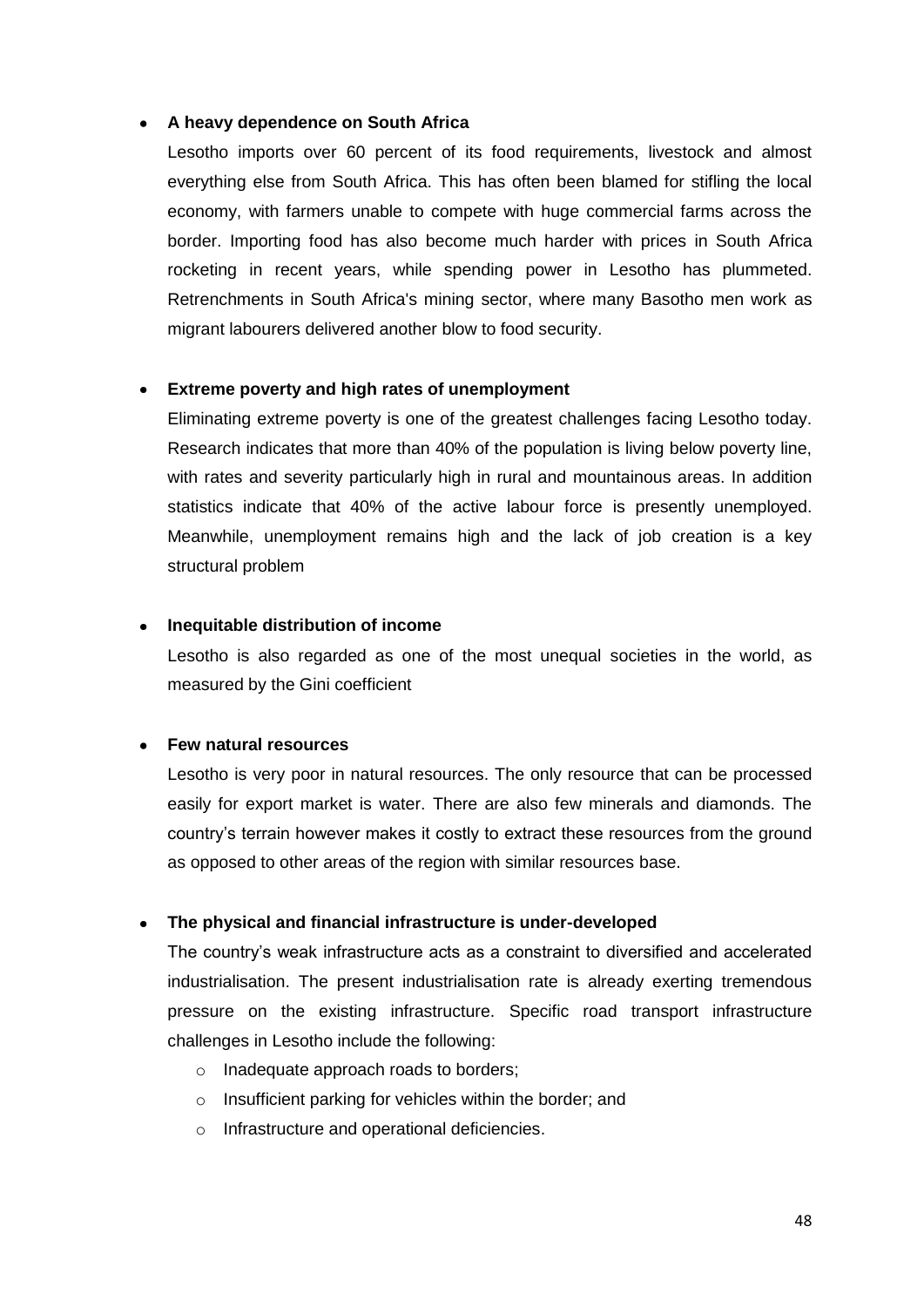#### **A heavy dependence on South Africa**

Lesotho imports over 60 percent of its food requirements, livestock and almost everything else from South Africa. This has often been blamed for stifling the local economy, with farmers unable to compete with huge commercial farms across the border. Importing food has also become much harder with prices in South Africa rocketing in recent years, while spending power in Lesotho has plummeted. Retrenchments in South Africa's mining sector, where many Basotho men work as migrant labourers delivered another blow to food security.

#### **Extreme poverty and high rates of unemployment**

Eliminating extreme poverty is one of the greatest challenges facing Lesotho today. Research indicates that more than 40% of the population is living below poverty line, with rates and severity particularly high in rural and mountainous areas. In addition statistics indicate that 40% of the active labour force is presently unemployed. Meanwhile, unemployment remains high and the lack of job creation is a key structural problem

#### **Inequitable distribution of income**

Lesotho is also regarded as one of the most unequal societies in the world, as measured by the Gini coefficient

#### **Few natural resources**  $\bullet$

Lesotho is very poor in natural resources. The only resource that can be processed easily for export market is water. There are also few minerals and diamonds. The country's terrain however makes it costly to extract these resources from the ground as opposed to other areas of the region with similar resources base.

#### **The physical and financial infrastructure is under-developed**

The country's weak infrastructure acts as a constraint to diversified and accelerated industrialisation. The present industrialisation rate is already exerting tremendous pressure on the existing infrastructure. Specific road transport infrastructure challenges in Lesotho include the following:

- o Inadequate approach roads to borders;
- o Insufficient parking for vehicles within the border; and
- o Infrastructure and operational deficiencies.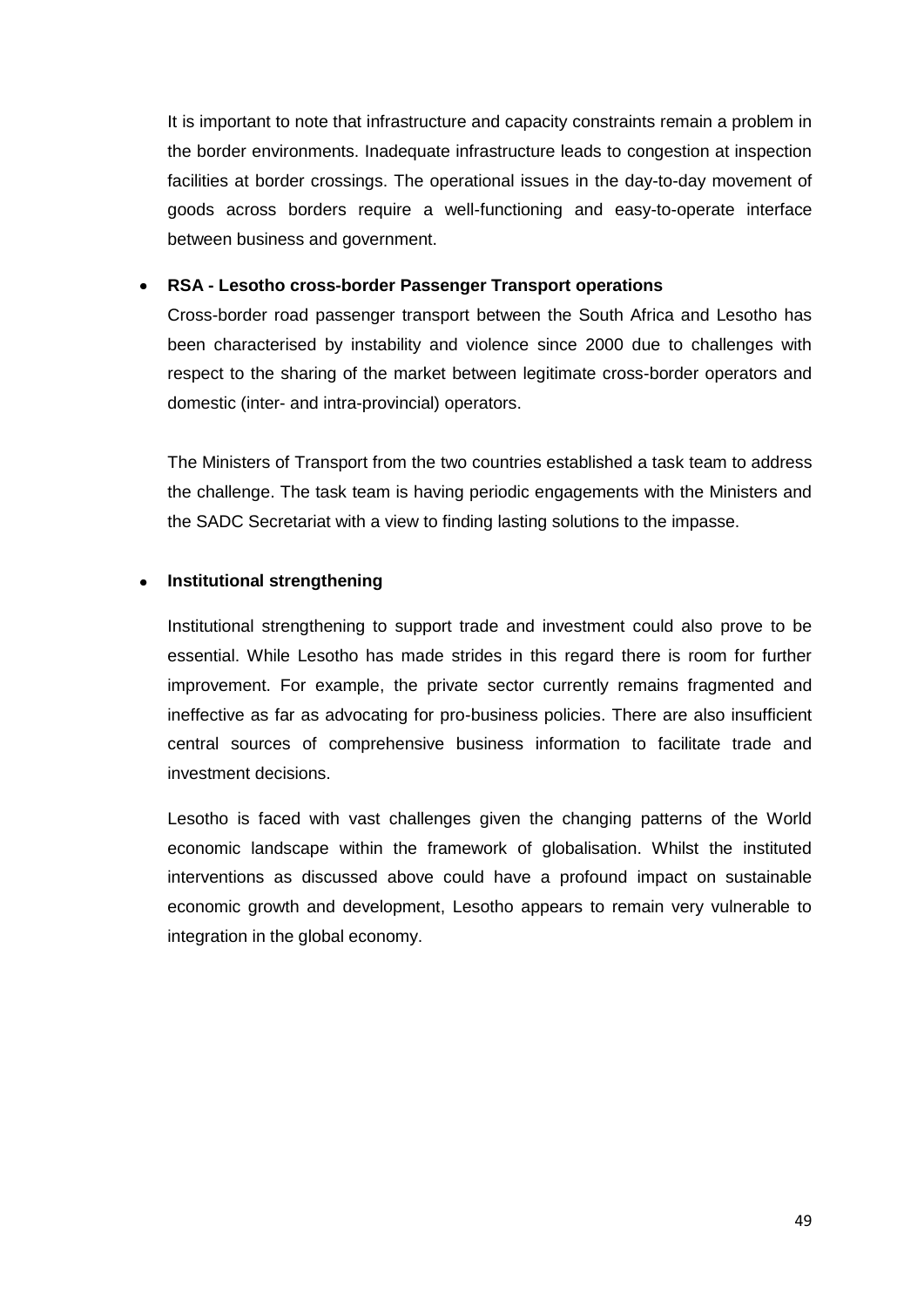It is important to note that infrastructure and capacity constraints remain a problem in the border environments. Inadequate infrastructure leads to congestion at inspection facilities at border crossings. The operational issues in the day-to-day movement of goods across borders require a well-functioning and easy-to-operate interface between business and government.

#### **RSA - Lesotho cross-border Passenger Transport operations**   $\bullet$

Cross-border road passenger transport between the South Africa and Lesotho has been characterised by instability and violence since 2000 due to challenges with respect to the sharing of the market between legitimate cross-border operators and domestic (inter- and intra-provincial) operators.

The Ministers of Transport from the two countries established a task team to address the challenge. The task team is having periodic engagements with the Ministers and the SADC Secretariat with a view to finding lasting solutions to the impasse.

#### **Institutional strengthening**  $\bullet$

Institutional strengthening to support trade and investment could also prove to be essential. While Lesotho has made strides in this regard there is room for further improvement. For example, the private sector currently remains fragmented and ineffective as far as advocating for pro-business policies. There are also insufficient central sources of comprehensive business information to facilitate trade and investment decisions.

Lesotho is faced with vast challenges given the changing patterns of the World economic landscape within the framework of globalisation. Whilst the instituted interventions as discussed above could have a profound impact on sustainable economic growth and development, Lesotho appears to remain very vulnerable to integration in the global economy.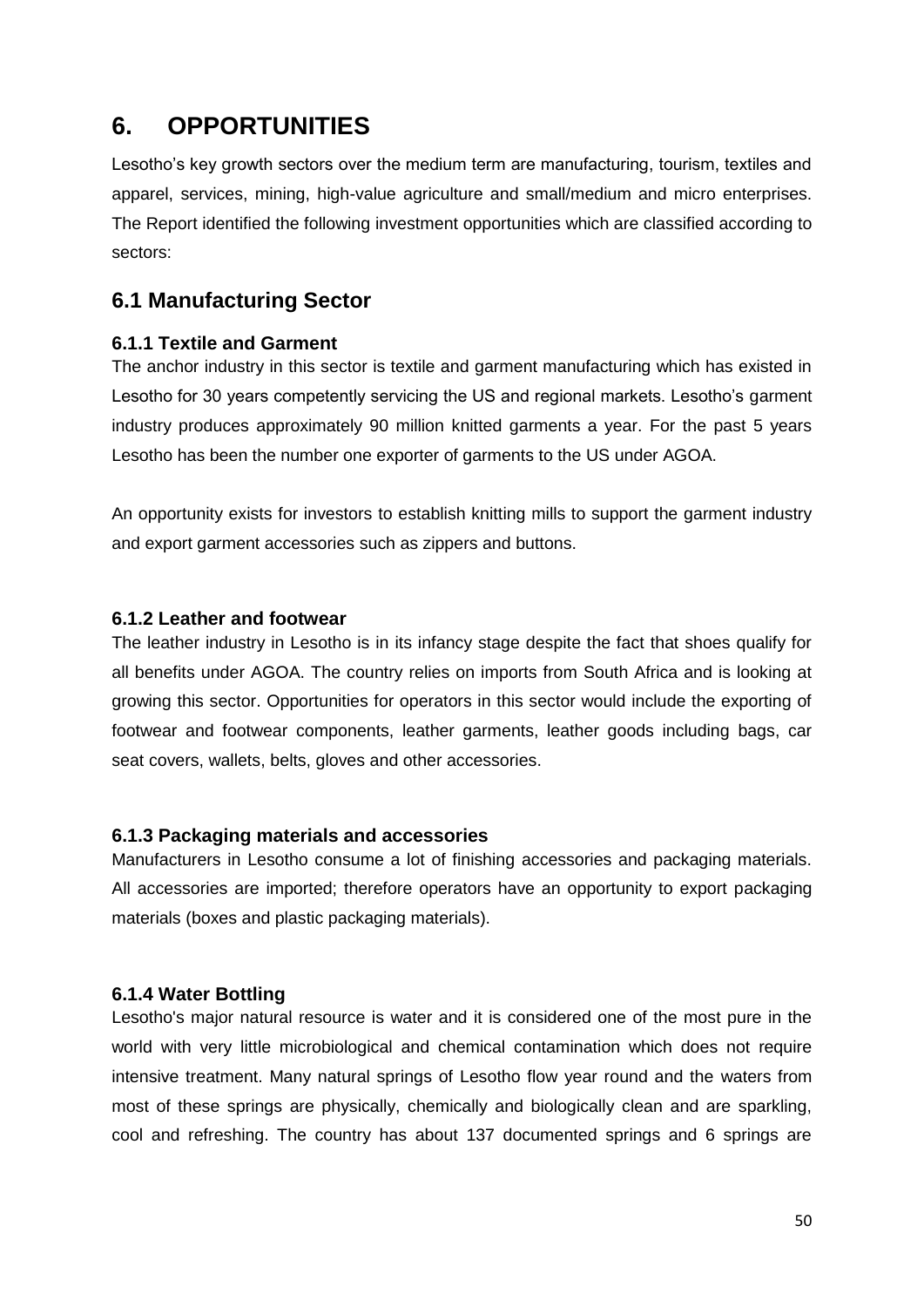### <span id="page-49-0"></span>**6. OPPORTUNITIES**

Lesotho's key growth sectors over the medium term are manufacturing, tourism, textiles and apparel, services, mining, high-value agriculture and small/medium and micro enterprises. The Report identified the following investment opportunities which are classified according to sectors:

### <span id="page-49-1"></span>**6.1 Manufacturing Sector**

#### <span id="page-49-2"></span>**6.1.1 Textile and Garment**

The anchor industry in this sector is textile and garment manufacturing which has existed in Lesotho for 30 years competently servicing the US and regional markets. Lesotho's garment industry produces approximately 90 million knitted garments a year. For the past 5 years Lesotho has been the number one exporter of garments to the US under AGOA.

An opportunity exists for investors to establish knitting mills to support the garment industry and export garment accessories such as zippers and buttons.

#### <span id="page-49-3"></span>**6.1.2 Leather and footwear**

The leather industry in Lesotho is in its infancy stage despite the fact that shoes qualify for all benefits under AGOA. The country relies on imports from South Africa and is looking at growing this sector. Opportunities for operators in this sector would include the exporting of footwear and footwear components, leather garments, leather goods including bags, car seat covers, wallets, belts, gloves and other accessories.

#### <span id="page-49-4"></span>**6.1.3 Packaging materials and accessories**

Manufacturers in Lesotho consume a lot of finishing accessories and packaging materials. All accessories are imported; therefore operators have an opportunity to export packaging materials (boxes and plastic packaging materials).

#### <span id="page-49-5"></span>**6.1.4 Water Bottling**

Lesotho's major natural resource is water and it is considered one of the most pure in the world with very little microbiological and chemical contamination which does not require intensive treatment. Many natural springs of Lesotho flow year round and the waters from most of these springs are physically, chemically and biologically clean and are sparkling, cool and refreshing. The country has about 137 documented springs and 6 springs are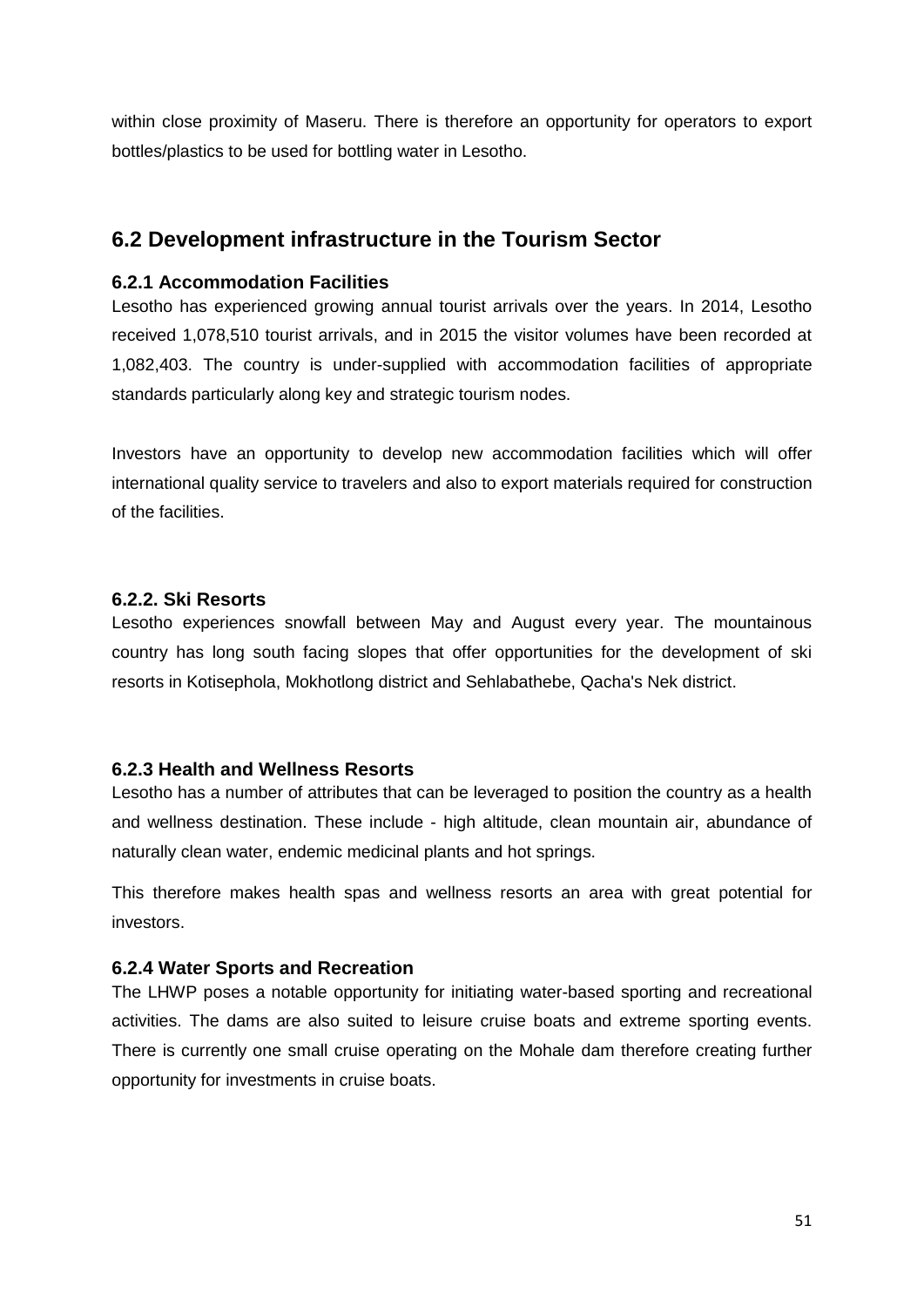within close proximity of Maseru. There is therefore an opportunity for operators to export bottles/plastics to be used for bottling water in Lesotho.

### <span id="page-50-0"></span>**6.2 Development infrastructure in the Tourism Sector**

#### <span id="page-50-1"></span>**6.2.1 Accommodation Facilities**

Lesotho has experienced growing annual tourist arrivals over the years. In 2014, Lesotho received 1,078,510 tourist arrivals, and in 2015 the visitor volumes have been recorded at 1,082,403. The country is under-supplied with accommodation facilities of appropriate standards particularly along key and strategic tourism nodes.

Investors have an opportunity to develop new accommodation facilities which will offer international quality service to travelers and also to export materials required for construction of the facilities.

#### <span id="page-50-2"></span>**6.2.2. Ski Resorts**

Lesotho experiences snowfall between May and August every year. The mountainous country has long south facing slopes that offer opportunities for the development of ski resorts in Kotisephola, Mokhotlong district and Sehlabathebe, Qacha's Nek district.

#### <span id="page-50-3"></span>**6.2.3 Health and Wellness Resorts**

Lesotho has a number of attributes that can be leveraged to position the country as a health and wellness destination. These include - high altitude, clean mountain air, abundance of naturally clean water, endemic medicinal plants and hot springs.

This therefore makes health spas and wellness resorts an area with great potential for investors.

#### <span id="page-50-4"></span>**6.2.4 Water Sports and Recreation**

The LHWP poses a notable opportunity for initiating water-based sporting and recreational activities. The dams are also suited to leisure cruise boats and extreme sporting events. There is currently one small cruise operating on the Mohale dam therefore creating further opportunity for investments in cruise boats.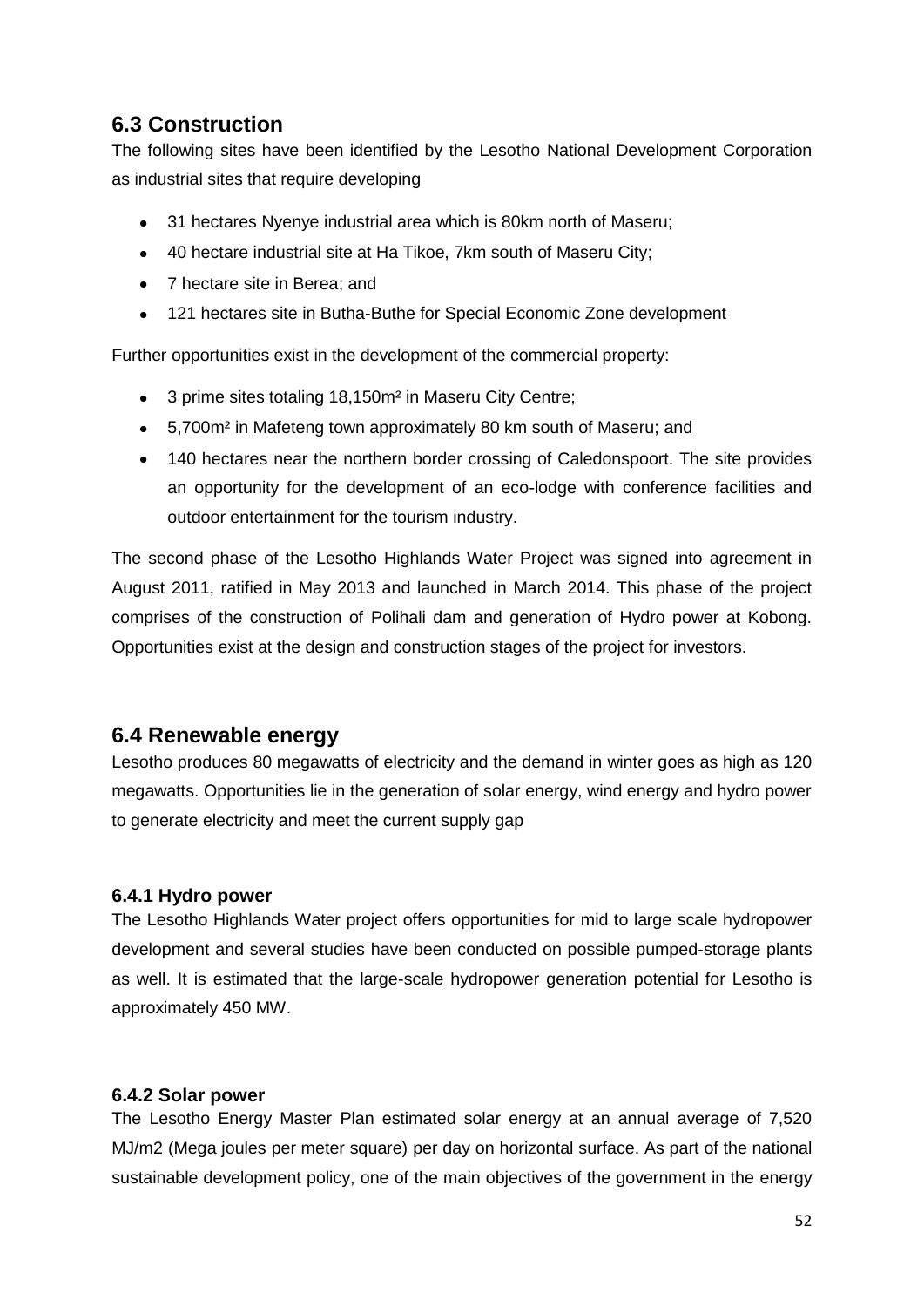### <span id="page-51-0"></span>**6.3 Construction**

The following sites have been identified by the Lesotho National Development Corporation as industrial sites that require developing

- 31 hectares Nyenye industrial area which is 80km north of Maseru;  $\bullet$
- 40 hectare industrial site at Ha Tikoe, 7km south of Maseru City;
- 7 hectare site in Berea: and
- 121 hectares site in Butha-Buthe for Special Economic Zone development

Further opportunities exist in the development of the commercial property:

- $\bullet$ 3 prime sites totaling 18,150m² in Maseru City Centre;
- 5,700m² in Mafeteng town approximately 80 km south of Maseru; and
- 140 hectares near the northern border crossing of Caledonspoort. The site provides an opportunity for the development of an eco-lodge with conference facilities and outdoor entertainment for the tourism industry.

The second phase of the Lesotho Highlands Water Project was signed into agreement in August 2011, ratified in May 2013 and launched in March 2014. This phase of the project comprises of the construction of Polihali dam and generation of Hydro power at Kobong. Opportunities exist at the design and construction stages of the project for investors.

### <span id="page-51-1"></span>**6.4 Renewable energy**

Lesotho produces 80 megawatts of electricity and the demand in winter goes as high as 120 megawatts. Opportunities lie in the generation of solar energy, wind energy and hydro power to generate electricity and meet the current supply gap

#### <span id="page-51-2"></span>**6.4.1 Hydro power**

The Lesotho Highlands Water project offers opportunities for mid to large scale hydropower development and several studies have been conducted on possible pumped-storage plants as well. It is estimated that the large-scale hydropower generation potential for Lesotho is approximately 450 MW.

#### <span id="page-51-3"></span>**6.4.2 Solar power**

The Lesotho Energy Master Plan estimated solar energy at an annual average of 7,520 MJ/m2 (Mega joules per meter square) per day on horizontal surface. As part of the national sustainable development policy, one of the main objectives of the government in the energy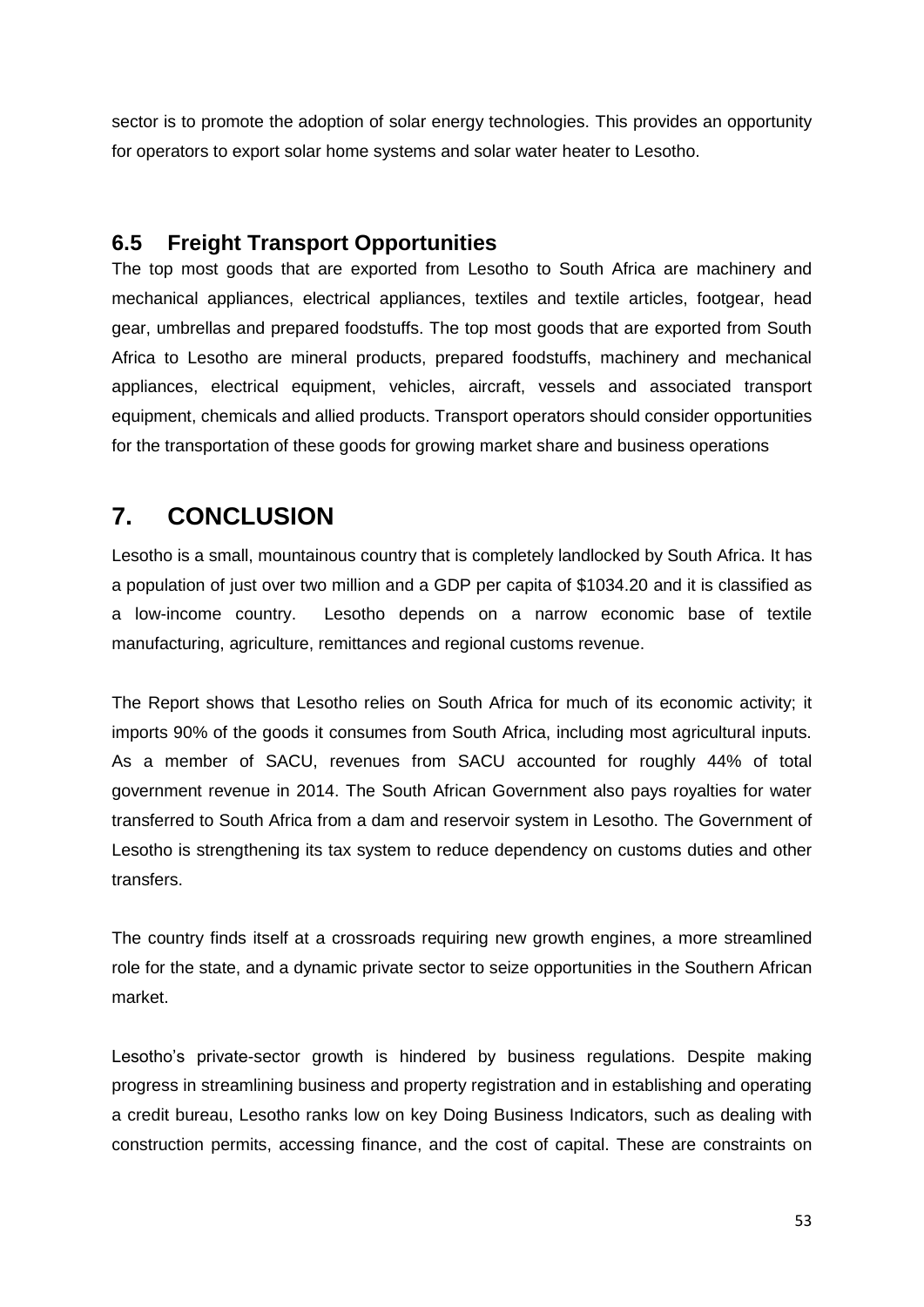sector is to promote the adoption of solar energy technologies. This provides an opportunity for operators to export solar home systems and solar water heater to Lesotho.

#### <span id="page-52-0"></span>**6.5 Freight Transport Opportunities**

The top most goods that are exported from Lesotho to South Africa are machinery and mechanical appliances, electrical appliances, textiles and textile articles, footgear, head gear, umbrellas and prepared foodstuffs. The top most goods that are exported from South Africa to Lesotho are mineral products, prepared foodstuffs, machinery and mechanical appliances, electrical equipment, vehicles, aircraft, vessels and associated transport equipment, chemicals and allied products. Transport operators should consider opportunities for the transportation of these goods for growing market share and business operations

### <span id="page-52-1"></span>**7. CONCLUSION**

Lesotho is a small, mountainous country that is completely landlocked by South Africa. It has a population of just over two million and a GDP per capita of \$1034.20 and it is classified as a low-income country. Lesotho depends on a narrow economic base of textile manufacturing, agriculture, remittances and regional customs revenue.

The Report shows that Lesotho relies on South Africa for much of its economic activity; it imports 90% of the goods it consumes from South Africa, including most agricultural inputs. As a member of SACU, revenues from SACU accounted for roughly 44% of total government revenue in 2014. The South African Government also pays royalties for water transferred to South Africa from a dam and reservoir system in Lesotho. The Government of Lesotho is strengthening its tax system to reduce dependency on customs duties and other transfers.

The country finds itself at a crossroads requiring new growth engines, a more streamlined role for the state, and a dynamic private sector to seize opportunities in the Southern African market.

Lesotho's private-sector growth is hindered by business regulations. Despite making progress in streamlining business and property registration and in establishing and operating a credit bureau, Lesotho ranks low on key Doing Business Indicators, such as dealing with construction permits, accessing finance, and the cost of capital. These are constraints on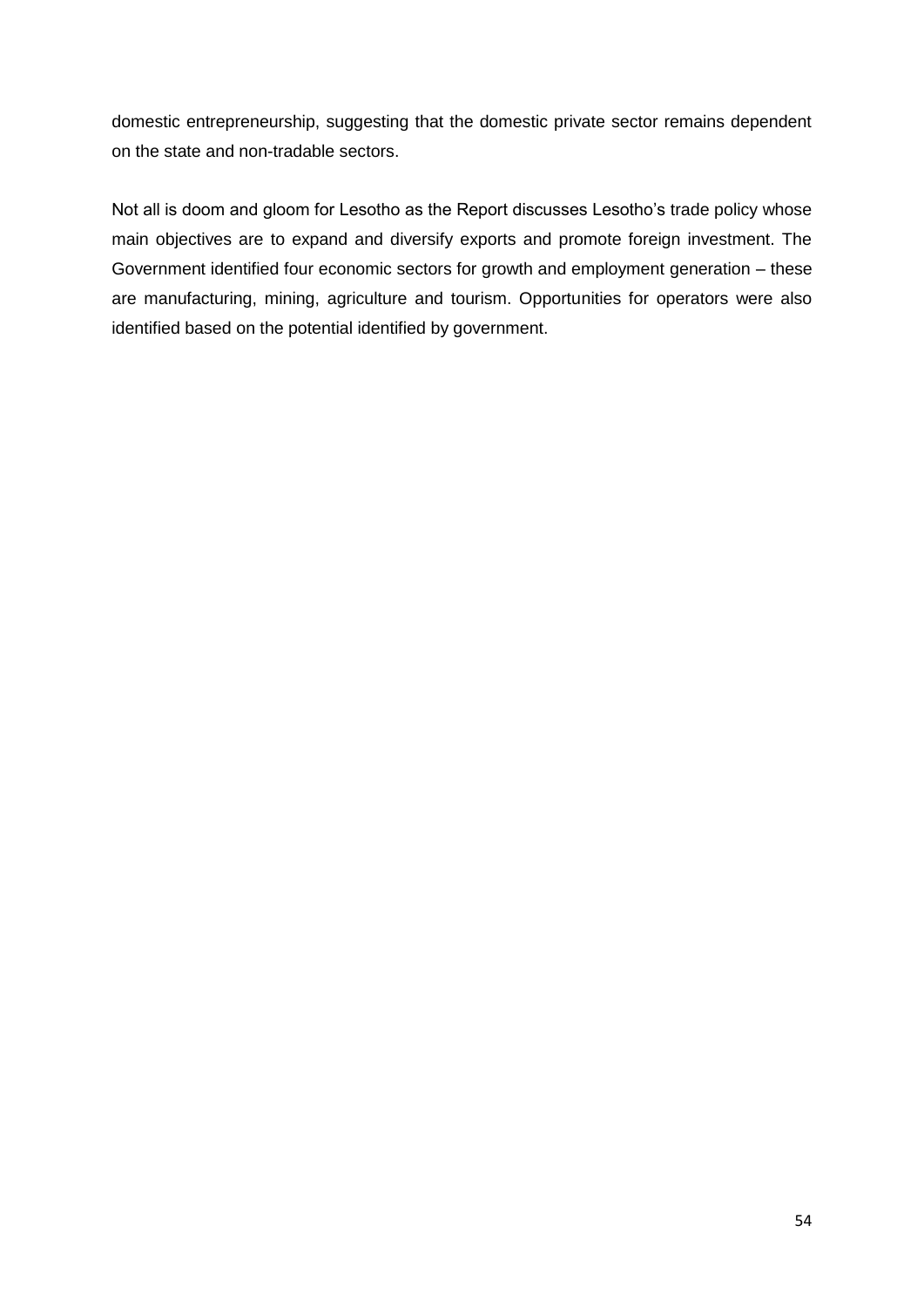domestic entrepreneurship, suggesting that the domestic private sector remains dependent on the state and non-tradable sectors.

Not all is doom and gloom for Lesotho as the Report discusses Lesotho's trade policy whose main objectives are to expand and diversify exports and promote foreign investment. The Government identified four economic sectors for growth and employment generation – these are manufacturing, mining, agriculture and tourism. Opportunities for operators were also identified based on the potential identified by government.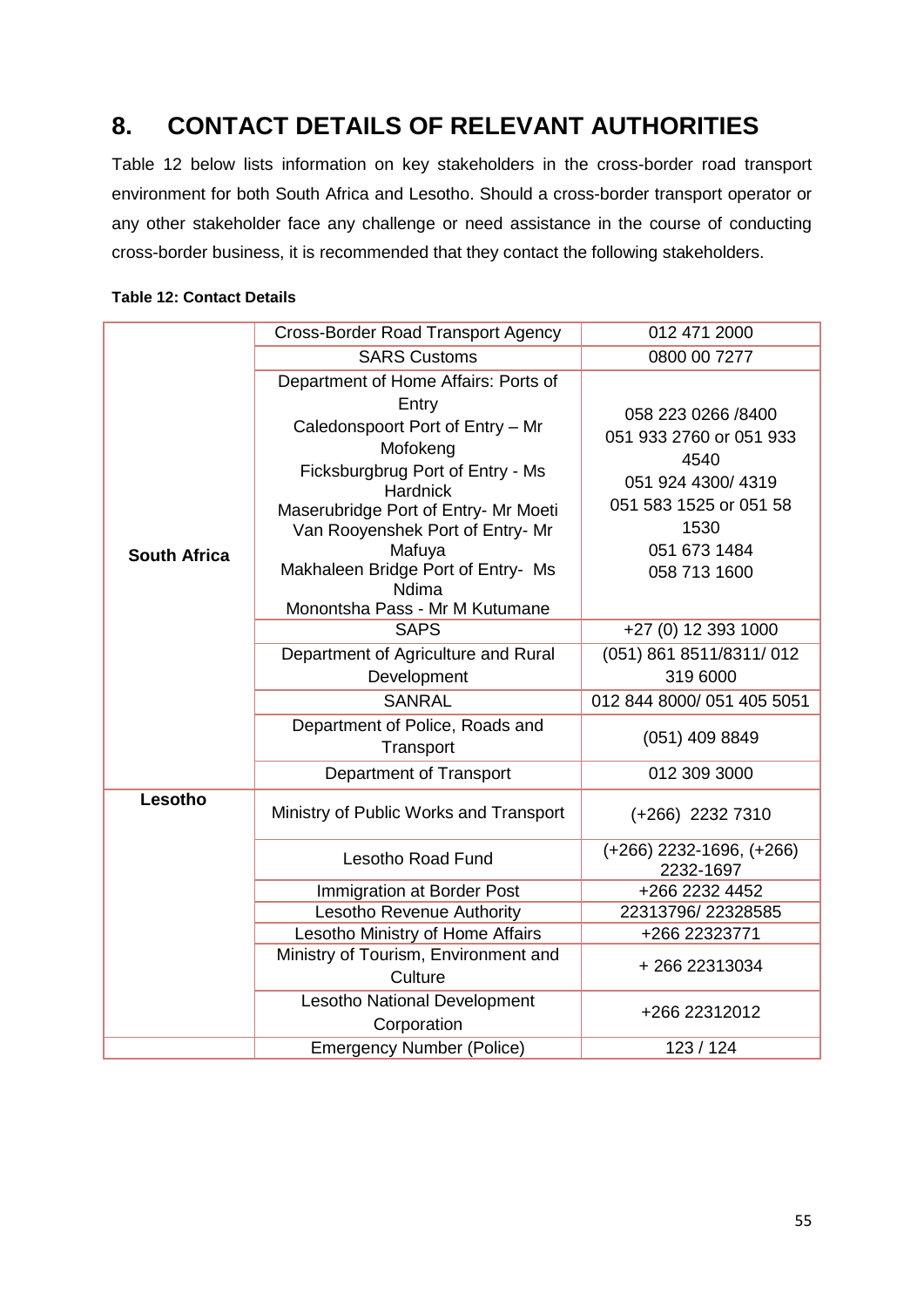## <span id="page-54-0"></span>**8. CONTACT DETAILS OF RELEVANT AUTHORITIES**

Table 12 below lists information on key stakeholders in the cross-border road transport environment for both South Africa and Lesotho. Should a cross-border transport operator or any other stakeholder face any challenge or need assistance in the course of conducting cross-border business, it is recommended that they contact the following stakeholders.

#### <span id="page-54-1"></span>**Table 12: Contact Details**

|                     | <b>Cross-Border Road Transport Agency</b>                                                                                                                                                                                                                                                  | 012 471 2000                                                                                                                                 |
|---------------------|--------------------------------------------------------------------------------------------------------------------------------------------------------------------------------------------------------------------------------------------------------------------------------------------|----------------------------------------------------------------------------------------------------------------------------------------------|
|                     | <b>SARS Customs</b>                                                                                                                                                                                                                                                                        | 0800 00 7277                                                                                                                                 |
|                     | Department of Home Affairs: Ports of                                                                                                                                                                                                                                                       |                                                                                                                                              |
| <b>South Africa</b> | Entry<br>Caledonspoort Port of Entry - Mr<br>Mofokeng<br>Ficksburgbrug Port of Entry - Ms<br><b>Hardnick</b><br>Maserubridge Port of Entry- Mr Moeti<br>Van Rooyenshek Port of Entry- Mr<br>Mafuya<br>Makhaleen Bridge Port of Entry- Ms<br><b>Ndima</b><br>Monontsha Pass - Mr M Kutumane | 058 223 0266 /8400<br>051 933 2760 or 051 933<br>4540<br>051 924 4300/4319<br>051 583 1525 or 051 58<br>1530<br>051 673 1484<br>058 713 1600 |
|                     | <b>SAPS</b>                                                                                                                                                                                                                                                                                | +27 (0) 12 393 1000                                                                                                                          |
|                     | Department of Agriculture and Rural                                                                                                                                                                                                                                                        | $(051)$ 861 8511/8311/012                                                                                                                    |
|                     | Development                                                                                                                                                                                                                                                                                | 319 6000                                                                                                                                     |
|                     | <b>SANRAL</b>                                                                                                                                                                                                                                                                              | 012 844 8000/051 405 5051                                                                                                                    |
|                     | Department of Police, Roads and<br>Transport                                                                                                                                                                                                                                               | (051) 409 8849                                                                                                                               |
|                     | Department of Transport                                                                                                                                                                                                                                                                    | 012 309 3000                                                                                                                                 |
| Lesotho             | Ministry of Public Works and Transport                                                                                                                                                                                                                                                     | (+266) 2232 7310                                                                                                                             |
|                     | Lesotho Road Fund                                                                                                                                                                                                                                                                          | $(+266)$ 2232-1696, $(+266)$<br>2232-1697                                                                                                    |
|                     | Immigration at Border Post                                                                                                                                                                                                                                                                 | +266 2232 4452                                                                                                                               |
|                     | Lesotho Revenue Authority                                                                                                                                                                                                                                                                  | 22313796/22328585                                                                                                                            |
|                     | Lesotho Ministry of Home Affairs                                                                                                                                                                                                                                                           | +266 22323771                                                                                                                                |
|                     | Ministry of Tourism, Environment and<br>Culture                                                                                                                                                                                                                                            | +26622313034                                                                                                                                 |
|                     | Lesotho National Development<br>Corporation                                                                                                                                                                                                                                                | +266 22312012                                                                                                                                |
|                     | <b>Emergency Number (Police)</b>                                                                                                                                                                                                                                                           | 123/124                                                                                                                                      |